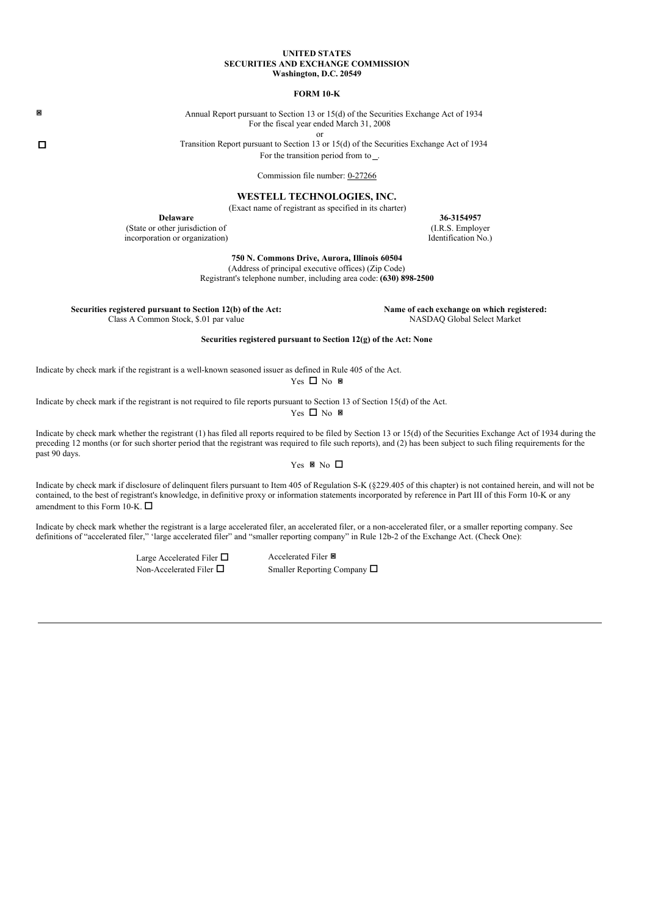#### **UNITED STATES SECURITIES AND EXCHANGE COMMISSION Washington, D.C. 20549**

#### **FORM 10-K**

Annual Report pursuant to Section 13 or 15(d) of the Securities Exchange Act of 1934 For the fiscal year ended March 31, 2008

or

**O** Transition Report pursuant to Section 13 or 15(d) of the Securities Exchange Act of 1934 For the transition period from to  $\overline{\phantom{a}}$ .

Commission file number: 0-27266

# **WESTELL TECHNOLOGIES, INC.**

(Exact name of registrant as specified in its charter)

**Delaware 36-3154957**

(State or other jurisdiction of (I.R.S. Employer incorporation or organization) incorporation  $\infty$ .

**750 N. Commons Drive, Aurora, Illinois 60504**

(Address of principal executive offices) (Zip Code)

Registrant's telephone number, including area code: **(630) 898-2500**

**Securities registered pursuant to Section 12(b) of the Act: Name of each exchange on which registered:**

Class A Common Stock, \$.01 par value NASDAQ Global Select Market

**Securities registered pursuant to Section 12(g) of the Act: None**

Indicate by check mark if the registrant is a well-known seasoned issuer as defined in Rule 405 of the Act. Yes  $\Box$  No  $\boxtimes$ 

Indicate by check mark if the registrant is not required to file reports pursuant to Section 13 of Section 15(d) of the Act.

Yes  $\Box$  No  $\boxtimes$ 

Indicate by check mark whether the registrant (1) has filed all reports required to be filed by Section 13 or 15(d) of the Securities Exchange Act of 1934 during the preceding 12 months (or for such shorter period that the registrant was required to file such reports), and (2) has been subject to such filing requirements for the past 90 days.

Yes  $\boxtimes$  No  $\square$ 

Indicate by check mark if disclosure of delinquent filers pursuant to Item 405 of Regulation S-K (§229.405 of this chapter) is not contained herein, and will not be contained, to the best of registrant's knowledge, in definitive proxy or information statements incorporated by reference in Part III of this Form 10-K or any amendment to this Form 10-K.  $\Box$ 

Indicate by check mark whether the registrant is a large accelerated filer, an accelerated filer, or a non-accelerated filer, or a smaller reporting company. See definitions of "accelerated filer," 'large accelerated filer" and "smaller reporting company" in Rule 12b-2 of the Exchange Act. (Check One):

Large Accelerated Filer  $\square$  Accelerated Filer  $\boxtimes$ Non-Accelerated Filer  $\Box$  Smaller Reporting Company  $\Box$ 

國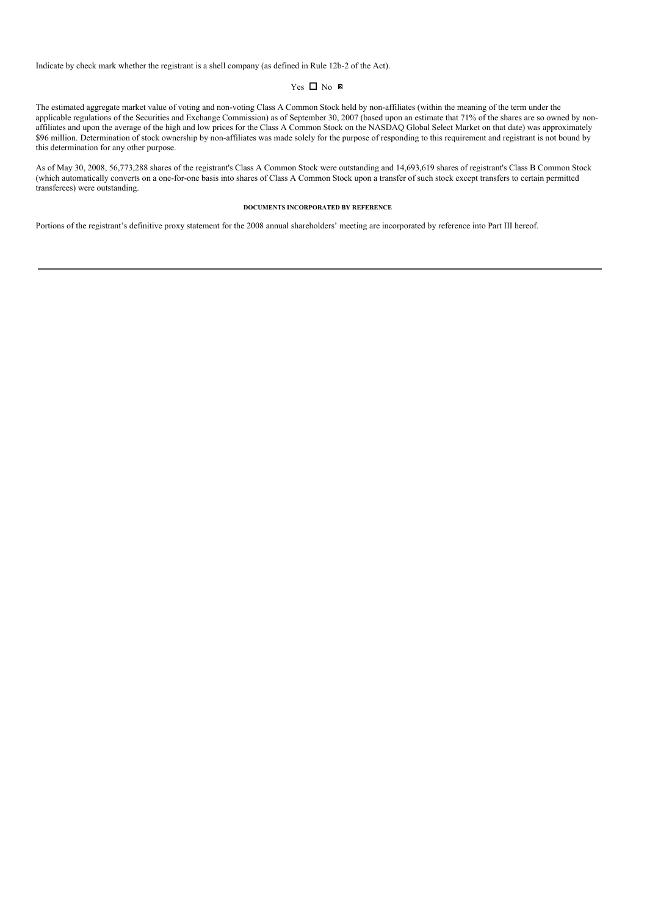Indicate by check mark whether the registrant is a shell company (as defined in Rule 12b-2 of the Act).

#### Yes  $\Box$  No  $\boxtimes$

The estimated aggregate market value of voting and non-voting Class A Common Stock held by non-affiliates (within the meaning of the term under the applicable regulations of the Securities and Exchange Commission) as of September 30, 2007 (based upon an estimate that 71% of the shares are so owned by nonaffiliates and upon the average of the high and low prices for the Class A Common Stock on the NASDAQ Global Select Market on that date) was approximately \$96 million. Determination of stock ownership by non-affiliates was made solely for the purpose of responding to this requirement and registrant is not bound by this determination for any other purpose.

As of May 30, 2008, 56,773,288 shares of the registrant's Class A Common Stock were outstanding and 14,693,619 shares of registrant's Class B Common Stock (which automatically converts on a one-for-one basis into shares of Class A Common Stock upon a transfer of such stock except transfers to certain permitted transferees) were outstanding.

### **DOCUMENTS INCORPORATED BY REFERENCE**

Portions of the registrant's definitive proxy statement for the 2008 annual shareholders' meeting are incorporated by reference into Part III hereof.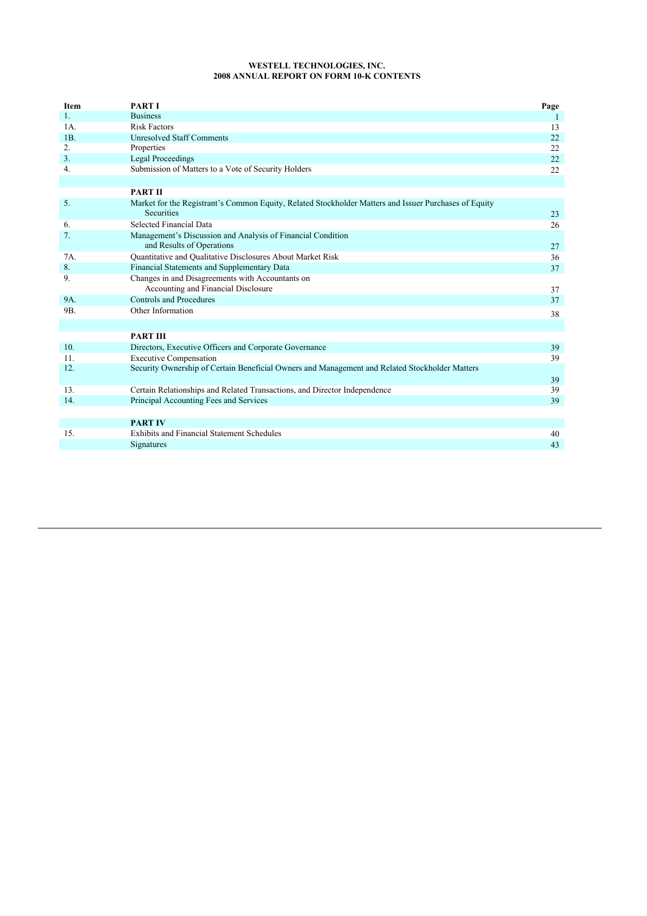# **WESTELL TECHNOLOGIES, INC. 2008 ANNUAL REPORT ON FORM 10-K CONTENTS**

| Item            | <b>PART I</b>                                                                                                              | Page |
|-----------------|----------------------------------------------------------------------------------------------------------------------------|------|
| 1.              | <b>Business</b>                                                                                                            |      |
| 1A.             | <b>Risk Factors</b>                                                                                                        | 13   |
| 1B.             | <b>Unresolved Staff Comments</b>                                                                                           | 22   |
| 2.              | Properties                                                                                                                 | 22   |
| 3.              | <b>Legal Proceedings</b>                                                                                                   | 22   |
| 4.              | Submission of Matters to a Vote of Security Holders                                                                        | 22   |
|                 |                                                                                                                            |      |
|                 | <b>PART II</b>                                                                                                             |      |
| 5.              | Market for the Registrant's Common Equity, Related Stockholder Matters and Issuer Purchases of Equity<br><b>Securities</b> | 23   |
| 6.              | Selected Financial Data                                                                                                    | 26   |
| 7.              | Management's Discussion and Analysis of Financial Condition                                                                |      |
|                 | and Results of Operations                                                                                                  | 27   |
| 7A.             | Quantitative and Qualitative Disclosures About Market Risk                                                                 | 36   |
| 8.              | Financial Statements and Supplementary Data                                                                                | 37   |
| 9.              | Changes in and Disagreements with Accountants on<br>Accounting and Financial Disclosure                                    | 37   |
| <b>9A.</b>      | <b>Controls and Procedures</b>                                                                                             | 37   |
| 9B.             | Other Information                                                                                                          | 38   |
|                 |                                                                                                                            |      |
|                 | <b>PART III</b>                                                                                                            |      |
| 10 <sub>1</sub> | Directors, Executive Officers and Corporate Governance                                                                     | 39   |
| 11.             | <b>Executive Compensation</b>                                                                                              | 39   |
| 12.             | Security Ownership of Certain Beneficial Owners and Management and Related Stockholder Matters                             |      |
|                 |                                                                                                                            | 39   |
| 13.             | Certain Relationships and Related Transactions, and Director Independence                                                  | 39   |
| 14.             | Principal Accounting Fees and Services                                                                                     | 39   |
|                 |                                                                                                                            |      |
|                 | <b>PART IV</b>                                                                                                             |      |
| 15.             | <b>Exhibits and Financial Statement Schedules</b>                                                                          | 40   |
|                 | Signatures                                                                                                                 | 43   |
|                 |                                                                                                                            |      |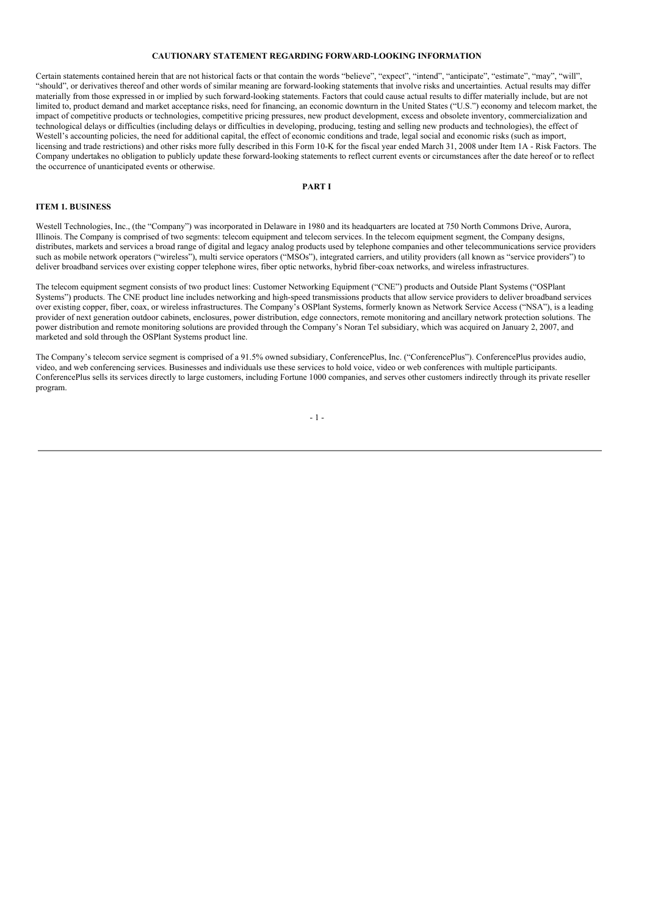## **CAUTIONARY STATEMENT REGARDING FORWARD-LOOKING INFORMATION**

Certain statements contained herein that are not historical facts or that contain the words "believe", "expect", "intend", "anticipate", "estimate", "may", "will", "should", or derivatives thereof and other words of similar meaning are forward-looking statements that involve risks and uncertainties. Actual results may differ materially from those expressed in or implied by such forward-looking statements. Factors that could cause actual results to differ materially include, but are not limited to, product demand and market acceptance risks, need for financing, an economic downturn in the United States ("U.S.") economy and telecom market, the impact of competitive products or technologies, competitive pricing pressures, new product development, excess and obsolete inventory, commercialization and technological delays or difficulties (including delays or difficulties in developing, producing, testing and selling new products and technologies), the effect of Westell's accounting policies, the need for additional capital, the effect of economic conditions and trade, legal social and economic risks (such as import, licensing and trade restrictions) and other risks more fully described in this Form 10-K for the fiscal year ended March 31, 2008 under Item 1A - Risk Factors. The Company undertakes no obligation to publicly update these forward-looking statements to reflect current events or circumstances after the date hereof or to reflect the occurrence of unanticipated events or otherwise.

# **PART I**

## **ITEM 1. BUSINESS**

Westell Technologies, Inc., (the "Company") was incorporated in Delaware in 1980 and its headquarters are located at 750 North Commons Drive, Aurora, Illinois. The Company is comprised of two segments: telecom equipment and telecom services. In the telecom equipment segment, the Company designs, distributes, markets and services a broad range of digital and legacy analog products used by telephone companies and other telecommunications service providers such as mobile network operators ("wireless"), multi service operators ("MSOs"), integrated carriers, and utility providers (all known as "service providers") to deliver broadband services over existing copper telephone wires, fiber optic networks, hybrid fiber-coax networks, and wireless infrastructures.

The telecom equipment segment consists of two product lines: Customer Networking Equipment ("CNE") products and Outside Plant Systems ("OSPlant Systems") products. The CNE product line includes networking and high-speed transmissions products that allow service providers to deliver broadband services over existing copper, fiber, coax, or wireless infrastructures. The Company's OSPlant Systems, formerly known as Network Service Access ("NSA"), is a leading provider of next generation outdoor cabinets, enclosures, power distribution, edge connectors, remote monitoring and ancillary network protection solutions. The power distribution and remote monitoring solutions are provided through the Company's Noran Tel subsidiary, which was acquired on January 2, 2007, and marketed and sold through the OSPlant Systems product line.

The Company's telecom service segment is comprised of a 91.5% owned subsidiary, ConferencePlus, Inc. ("ConferencePlus"). ConferencePlus provides audio, video, and web conferencing services. Businesses and individuals use these services to hold voice, video or web conferences with multiple participants. ConferencePlus sells its services directly to large customers, including Fortune 1000 companies, and serves other customers indirectly through its private reseller program.

#### $-1$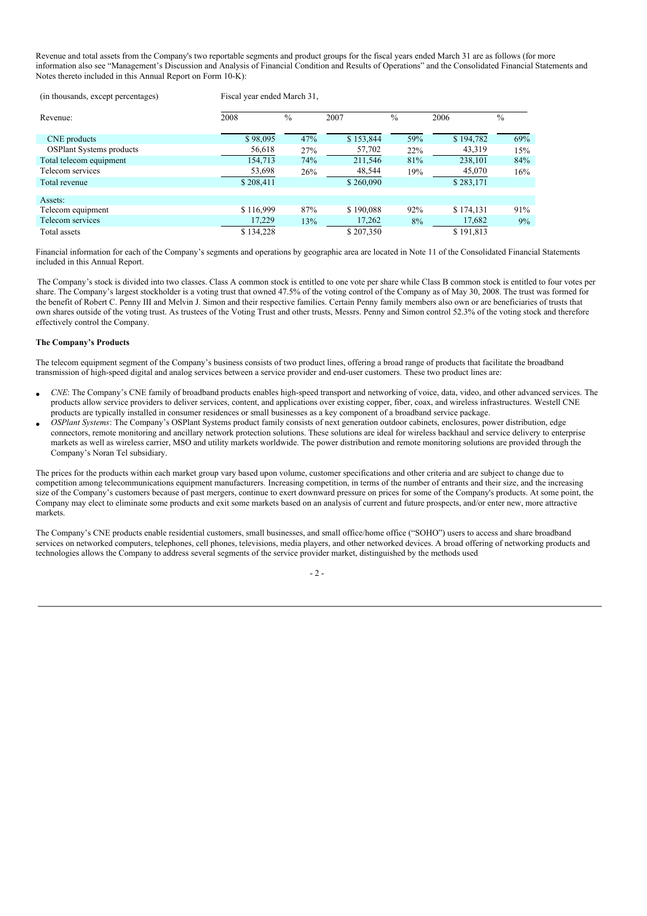Revenue and total assets from the Company's two reportable segments and product groups for the fiscal years ended March 31 are as follows (for more information also see "Management's Discussion and Analysis of Financial Condition and Results of Operations" and the Consolidated Financial Statements and Notes thereto included in this Annual Report on Form 10-K):

(in thousands, except percentages) Fiscal year ended March 31,

| Revenue:                        | 2008      | $\frac{0}{0}$ | 2007      | $\frac{0}{0}$ | 2006      | $\frac{0}{0}$ |
|---------------------------------|-----------|---------------|-----------|---------------|-----------|---------------|
| CNE products                    | \$98,095  | 47%           | \$153,844 | 59%           | \$194,782 | 69%           |
| <b>OSPlant Systems products</b> | 56,618    | 27%           | 57,702    | 22%           | 43,319    | 15%           |
| Total telecom equipment         | 154,713   | 74%           | 211,546   | 81%           | 238,101   | 84%           |
| Telecom services                | 53,698    | 26%           | 48,544    | 19%           | 45,070    | 16%           |
| Total revenue                   | \$208,411 |               | \$260,090 |               | \$283,171 |               |
|                                 |           |               |           |               |           |               |
| Assets:                         |           |               |           |               |           |               |
| Telecom equipment               | \$116,999 | 87%           | \$190,088 | 92%           | \$174,131 | 91%           |
| Telecom services                | 17,229    | 13%           | 17,262    | 8%            | 17,682    | 9%            |
| Total assets                    | \$134.228 |               | \$207,350 |               | \$191,813 |               |

Financial information for each of the Company's segments and operations by geographic area are located in Note 11 of the Consolidated Financial Statements included in this Annual Report.

The Company's stock is divided into two classes. Class A common stock is entitled to one vote per share while Class B common stock is entitled to four votes per share. The Company's largest stockholder is a voting trust that owned 47.5% of the voting control of the Company as of May 30, 2008. The trust was formed for the benefit of Robert C. Penny III and Melvin J. Simon and their respective families. Certain Penny family members also own or are beneficiaries of trusts that own shares outside of the voting trust. As trustees of the Voting Trust and other trusts, Messrs. Penny and Simon control 52.3% of the voting stock and therefore effectively control the Company.

### **The Company's Products**

The telecom equipment segment of the Company's business consists of two product lines, offering a broad range of products that facilitate the broadband transmission of high-speed digital and analog services between a service provider and end-user customers*.* These two product lines are:

- **•** *CNE*: The Company's CNE family of broadband products enables high-speed transport and networking of voice, data, video, and other advanced services. The products allow service providers to deliver services, content, and applications over existing copper, fiber, coax, and wireless infrastructures. Westell CNE products are typically installed in consumer residences or small businesses as a key component of a broadband service package.
- **•** *OSPlant Systems*: The Company's OSPlant Systems product family consists of next generation outdoor cabinets, enclosures, power distribution, edge connectors, remote monitoring and ancillary network protection solutions. These solutions are ideal for wireless backhaul and service delivery to enterprise markets as well as wireless carrier, MSO and utility markets worldwide. The power distribution and remote monitoring solutions are provided through the Company's Noran Tel subsidiary.

The prices for the products within each market group vary based upon volume, customer specifications and other criteria and are subject to change due to competition among telecommunications equipment manufacturers. Increasing competition, in terms of the number of entrants and their size, and the increasing size of the Company's customers because of past mergers, continue to exert downward pressure on prices for some of the Company's products. At some point, the Company may elect to eliminate some products and exit some markets based on an analysis of current and future prospects, and/or enter new, more attractive markets.

The Company's CNE products enable residential customers, small businesses, and small office/home office ("SOHO") users to access and share broadband services on networked computers, telephones, cell phones, televisions, media players, and other networked devices. A broad offering of networking products and technologies allows the Company to address several segments of the service provider market, distinguished by the methods used

 $-2$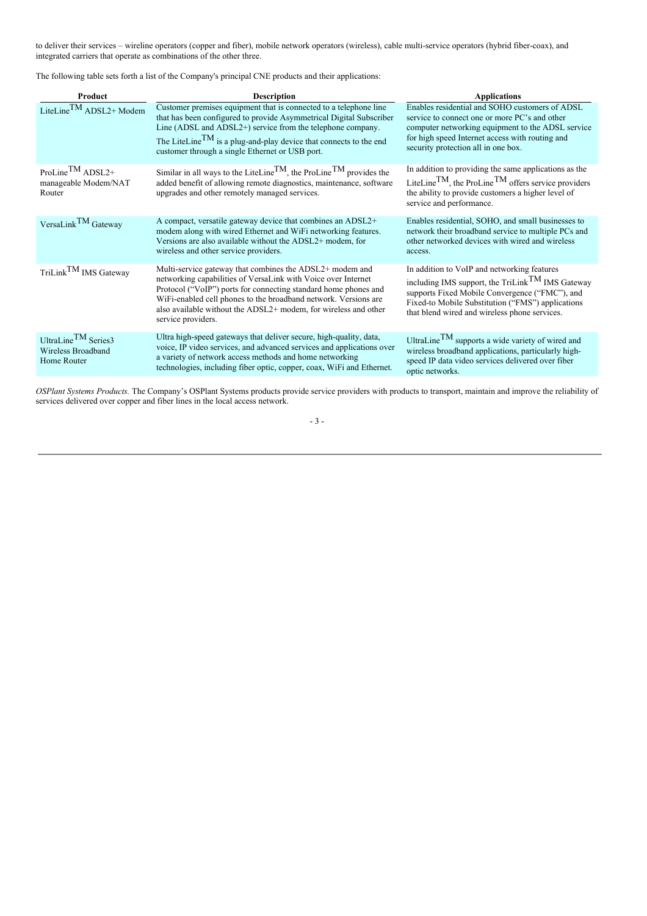to deliver their services – wireline operators (copper and fiber), mobile network operators (wireless), cable multi-service operators (hybrid fiber-coax), and integrated carriers that operate as combinations of the other three.

The following table sets forth a list of the Company's principal CNE products and their applications:

| Product                                                              | <b>Description</b>                                                                                                                                                                                                                                                                                                                                       | <b>Applications</b>                                                                                                                                                                                                                                                 |
|----------------------------------------------------------------------|----------------------------------------------------------------------------------------------------------------------------------------------------------------------------------------------------------------------------------------------------------------------------------------------------------------------------------------------------------|---------------------------------------------------------------------------------------------------------------------------------------------------------------------------------------------------------------------------------------------------------------------|
| LiteLine <sup>TM</sup> ADSL2+ Modem                                  | Customer premises equipment that is connected to a telephone line<br>that has been configured to provide Asymmetrical Digital Subscriber<br>Line (ADSL and ADSL2+) service from the telephone company.<br>The LiteLine <sup>TM</sup> is a plug-and-play device that connects to the end<br>customer through a single Ethernet or USB port.               | Enables residential and SOHO customers of ADSL<br>service to connect one or more PC's and other<br>computer networking equipment to the ADSL service<br>for high speed Internet access with routing and<br>security protection all in one box.                      |
| $ProLineTM ADSL2+$<br>manageable Modem/NAT<br>Router                 | Similar in all ways to the LiteLine <sup>TM</sup> , the ProLine <sup>TM</sup> provides the<br>added benefit of allowing remote diagnostics, maintenance, software<br>upgrades and other remotely managed services.                                                                                                                                       | In addition to providing the same applications as the<br>LiteLine <sup>TM</sup> , the ProLine <sup>TM</sup> offers service providers<br>the ability to provide customers a higher level of<br>service and performance.                                              |
| VersaLink <sup>TM</sup> Gateway                                      | A compact, versatile gateway device that combines an ADSL2+<br>modem along with wired Ethernet and WiFi networking features.<br>Versions are also available without the ADSL2+ modem, for<br>wireless and other service providers.                                                                                                                       | Enables residential, SOHO, and small businesses to<br>network their broadband service to multiple PCs and<br>other networked devices with wired and wireless<br>access.                                                                                             |
| TriLink <sup>TM</sup> IMS Gateway                                    | Multi-service gateway that combines the ADSL2+ modem and<br>networking capabilities of VersaLink with Voice over Internet<br>Protocol ("VoIP") ports for connecting standard home phones and<br>WiFi-enabled cell phones to the broadband network. Versions are<br>also available without the ADSL2+ modem, for wireless and other<br>service providers. | In addition to VoIP and networking features<br>including IMS support, the TriLink <sup>TM</sup> IMS Gateway<br>supports Fixed Mobile Convergence ("FMC"), and<br>Fixed-to Mobile Substitution ("FMS") applications<br>that blend wired and wireless phone services. |
| UltraLine <sup>TM</sup> Series3<br>Wireless Broadband<br>Home Router | Ultra high-speed gateways that deliver secure, high-quality, data,<br>voice, IP video services, and advanced services and applications over<br>a variety of network access methods and home networking<br>technologies, including fiber optic, copper, coax, WiFi and Ethernet.                                                                          | UltraLine <sup>TM</sup> supports a wide variety of wired and<br>wireless broadband applications, particularly high-<br>speed IP data video services delivered over fiber<br>optic networks.                                                                         |

*OSPlant Systems Products.* The Company's OSPlant Systems products provide service providers with products to transport, maintain and improve the reliability of services delivered over copper and fiber lines in the local access network.

- 3 -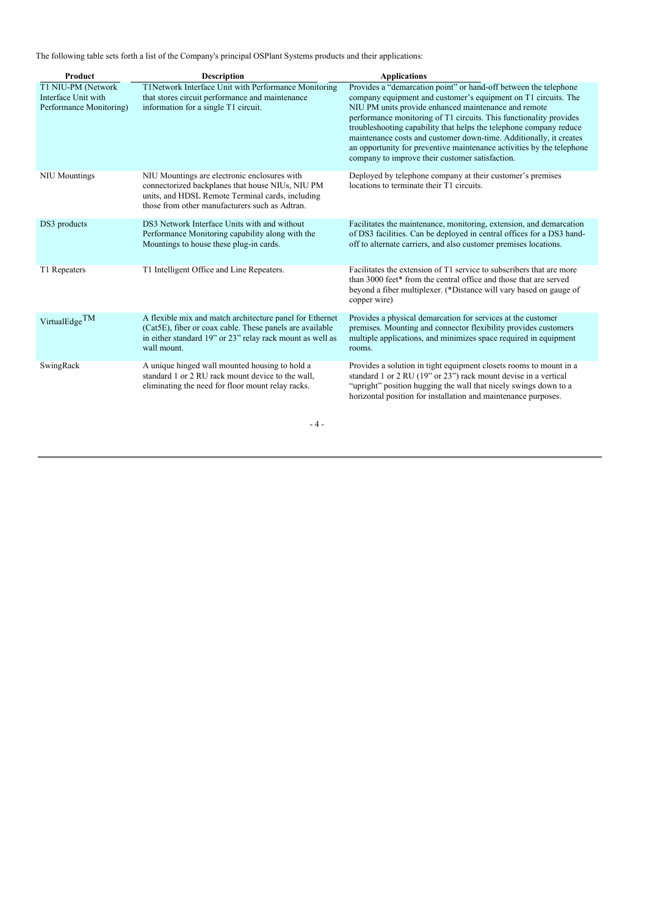The following table sets forth a list of the Company's principal OSPlant Systems products and their applications:

| Product                                                              | <b>Description</b>                                                                                                                                                                                     | <b>Applications</b>                                                                                                                                                                                                                                                                                                                                                                                                                                                                                                                      |
|----------------------------------------------------------------------|--------------------------------------------------------------------------------------------------------------------------------------------------------------------------------------------------------|------------------------------------------------------------------------------------------------------------------------------------------------------------------------------------------------------------------------------------------------------------------------------------------------------------------------------------------------------------------------------------------------------------------------------------------------------------------------------------------------------------------------------------------|
| T1 NIU-PM (Network<br>Interface Unit with<br>Performance Monitoring) | T1Network Interface Unit with Performance Monitoring<br>that stores circuit performance and maintenance<br>information for a single T1 circuit.                                                        | Provides a "demarcation point" or hand-off between the telephone<br>company equipment and customer's equipment on T1 circuits. The<br>NIU PM units provide enhanced maintenance and remote<br>performance monitoring of T1 circuits. This functionality provides<br>troubleshooting capability that helps the telephone company reduce<br>maintenance costs and customer down-time. Additionally, it creates<br>an opportunity for preventive maintenance activities by the telephone<br>company to improve their customer satisfaction. |
| NIU Mountings                                                        | NIU Mountings are electronic enclosures with<br>connectorized backplanes that house NIUs, NIU PM<br>units, and HDSL Remote Terminal cards, including<br>those from other manufacturers such as Adtran. | Deployed by telephone company at their customer's premises<br>locations to terminate their T1 circuits.                                                                                                                                                                                                                                                                                                                                                                                                                                  |
| DS3 products                                                         | DS3 Network Interface Units with and without<br>Performance Monitoring capability along with the<br>Mountings to house these plug-in cards.                                                            | Facilitates the maintenance, monitoring, extension, and demarcation<br>of DS3 facilities. Can be deployed in central offices for a DS3 hand-<br>off to alternate carriers, and also customer premises locations.                                                                                                                                                                                                                                                                                                                         |
| T1 Repeaters                                                         | T1 Intelligent Office and Line Repeaters.                                                                                                                                                              | Facilitates the extension of T1 service to subscribers that are more<br>than 3000 feet* from the central office and those that are served<br>beyond a fiber multiplexer. (*Distance will vary based on gauge of<br>copper wire)                                                                                                                                                                                                                                                                                                          |
| VirtualEdge <sup>TM</sup>                                            | A flexible mix and match architecture panel for Ethernet<br>(Cat5E), fiber or coax cable. These panels are available<br>in either standard 19" or 23" relay rack mount as well as<br>wall mount.       | Provides a physical demarcation for services at the customer<br>premises. Mounting and connector flexibility provides customers<br>multiple applications, and minimizes space required in equipment<br>rooms.                                                                                                                                                                                                                                                                                                                            |
| SwingRack                                                            | A unique hinged wall mounted housing to hold a<br>standard 1 or 2 RU rack mount device to the wall,<br>eliminating the need for floor mount relay racks.                                               | Provides a solution in tight equipment closets rooms to mount in a<br>standard 1 or 2 RU (19" or 23") rack mount devise in a vertical<br>"upright" position hugging the wall that nicely swings down to a<br>horizontal position for installation and maintenance purposes.                                                                                                                                                                                                                                                              |

- 4 -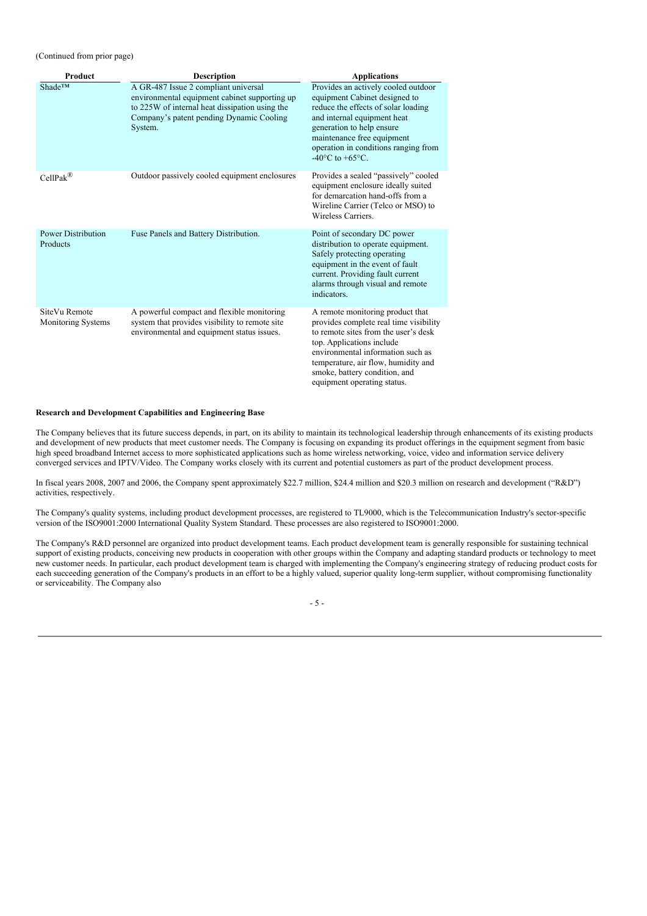## (Continued from prior page)

| Product                               | <b>Description</b>                                                                                                                                                                             | <b>Applications</b>                                                                                                                                                                                                                                                                         |
|---------------------------------------|------------------------------------------------------------------------------------------------------------------------------------------------------------------------------------------------|---------------------------------------------------------------------------------------------------------------------------------------------------------------------------------------------------------------------------------------------------------------------------------------------|
| Shade™                                | A GR-487 Issue 2 compliant universal<br>environmental equipment cabinet supporting up<br>to 225W of internal heat dissipation using the<br>Company's patent pending Dynamic Cooling<br>System. | Provides an actively cooled outdoor<br>equipment Cabinet designed to<br>reduce the effects of solar loading<br>and internal equipment heat<br>generation to help ensure<br>maintenance free equipment<br>operation in conditions ranging from<br>$-40^{\circ}$ C to $+65^{\circ}$ C.        |
| $\text{CellPak}^{\circledR}$          | Outdoor passively cooled equipment enclosures                                                                                                                                                  | Provides a sealed "passively" cooled<br>equipment enclosure ideally suited<br>for demarcation hand-offs from a<br>Wireline Carrier (Telco or MSO) to<br>Wireless Carriers                                                                                                                   |
| <b>Power Distribution</b><br>Products | Fuse Panels and Battery Distribution.                                                                                                                                                          | Point of secondary DC power<br>distribution to operate equipment.<br>Safely protecting operating<br>equipment in the event of fault<br>current. Providing fault current<br>alarms through visual and remote<br>indicators.                                                                  |
| SiteVu Remote<br>Monitoring Systems   | A powerful compact and flexible monitoring<br>system that provides visibility to remote site<br>environmental and equipment status issues.                                                     | A remote monitoring product that<br>provides complete real time visibility<br>to remote sites from the user's desk<br>top. Applications include<br>environmental information such as<br>temperature, air flow, humidity and<br>smoke, battery condition, and<br>equipment operating status. |

### **Research and Development Capabilities and Engineering Base**

The Company believes that its future success depends, in part, on its ability to maintain its technological leadership through enhancements of its existing products and development of new products that meet customer needs. The Company is focusing on expanding its product offerings in the equipment segment from basic high speed broadband Internet access to more sophisticated applications such as home wireless networking, voice, video and information service delivery converged services and IPTV/Video. The Company works closely with its current and potential customers as part of the product development process.

In fiscal years 2008, 2007 and 2006, the Company spent approximately \$22.7 million, \$24.4 million and \$20.3 million on research and development ("R&D") activities, respectively.

The Company's quality systems, including product development processes, are registered to TL9000, which is the Telecommunication Industry's sector-specific version of the ISO9001:2000 International Quality System Standard. These processes are also registered to ISO9001:2000.

The Company's R&D personnel are organized into product development teams. Each product development team is generally responsible for sustaining technical support of existing products, conceiving new products in cooperation with other groups within the Company and adapting standard products or technology to meet new customer needs. In particular, each product development team is charged with implementing the Company's engineering strategy of reducing product costs for each succeeding generation of the Company's products in an effort to be a highly valued, superior quality long-term supplier, without compromising functionality or serviceability. The Company also

# $-5 -$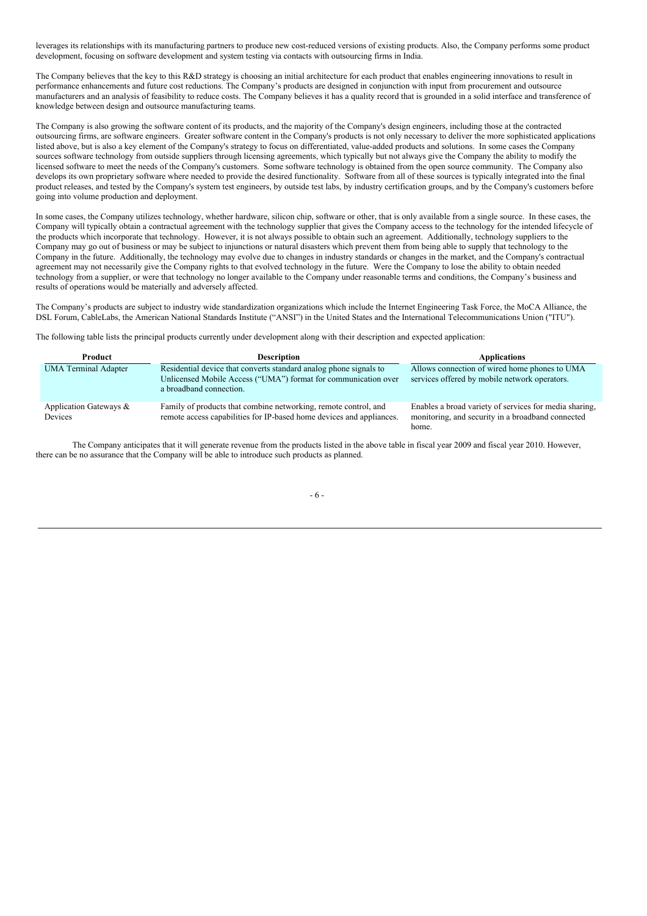leverages its relationships with its manufacturing partners to produce new cost-reduced versions of existing products. Also, the Company performs some product development, focusing on software development and system testing via contacts with outsourcing firms in India.

The Company believes that the key to this R&D strategy is choosing an initial architecture for each product that enables engineering innovations to result in performance enhancements and future cost reductions. The Company's products are designed in conjunction with input from procurement and outsource manufacturers and an analysis of feasibility to reduce costs. The Company believes it has a quality record that is grounded in a solid interface and transference of knowledge between design and outsource manufacturing teams.

The Company is also growing the software content of its products, and the majority of the Company's design engineers, including those at the contracted outsourcing firms, are software engineers. Greater software content in the Company's products is not only necessary to deliver the more sophisticated applications listed above, but is also a key element of the Company's strategy to focus on differentiated, value-added products and solutions. In some cases the Company sources software technology from outside suppliers through licensing agreements, which typically but not always give the Company the ability to modify the licensed software to meet the needs of the Company's customers. Some software technology is obtained from the open source community. The Company also develops its own proprietary software where needed to provide the desired functionality. Software from all of these sources is typically integrated into the final product releases, and tested by the Company's system test engineers, by outside test labs, by industry certification groups, and by the Company's customers before going into volume production and deployment.

In some cases, the Company utilizes technology, whether hardware, silicon chip, software or other, that is only available from a single source. In these cases, the Company will typically obtain a contractual agreement with the technology supplier that gives the Company access to the technology for the intended lifecycle of the products which incorporate that technology. However, it is not always possible to obtain such an agreement. Additionally, technology suppliers to the Company may go out of business or may be subject to injunctions or natural disasters which prevent them from being able to supply that technology to the Company in the future. Additionally, the technology may evolve due to changes in industry standards or changes in the market, and the Company's contractual agreement may not necessarily give the Company rights to that evolved technology in the future. Were the Company to lose the ability to obtain needed technology from a supplier, or were that technology no longer available to the Company under reasonable terms and conditions, the Company's business and results of operations would be materially and adversely affected.

The Company's products are subject to industry wide standardization organizations which include the Internet Engineering Task Force, the MoCA Alliance, the DSL Forum, CableLabs, the American National Standards Institute ("ANSI") in the United States and the International Telecommunications Union ("ITU").

The following table lists the principal products currently under development along with their description and expected application:

| Product                           | <b>Description</b>                                                                                                                                             | <b>Applications</b>                                                                                                  |
|-----------------------------------|----------------------------------------------------------------------------------------------------------------------------------------------------------------|----------------------------------------------------------------------------------------------------------------------|
| <b>UMA Terminal Adapter</b>       | Residential device that converts standard analog phone signals to<br>Unlicensed Mobile Access ("UMA") format for communication over<br>a broadband connection. | Allows connection of wired home phones to UMA<br>services offered by mobile network operators.                       |
| Application Gateways &<br>Devices | Family of products that combine networking, remote control, and<br>remote access capabilities for IP-based home devices and appliances.                        | Enables a broad variety of services for media sharing,<br>monitoring, and security in a broadband connected<br>home. |

The Company anticipates that it will generate revenue from the products listed in the above table in fiscal year 2009 and fiscal year 2010. However, there can be no assurance that the Company will be able to introduce such products as planned.

- 6 -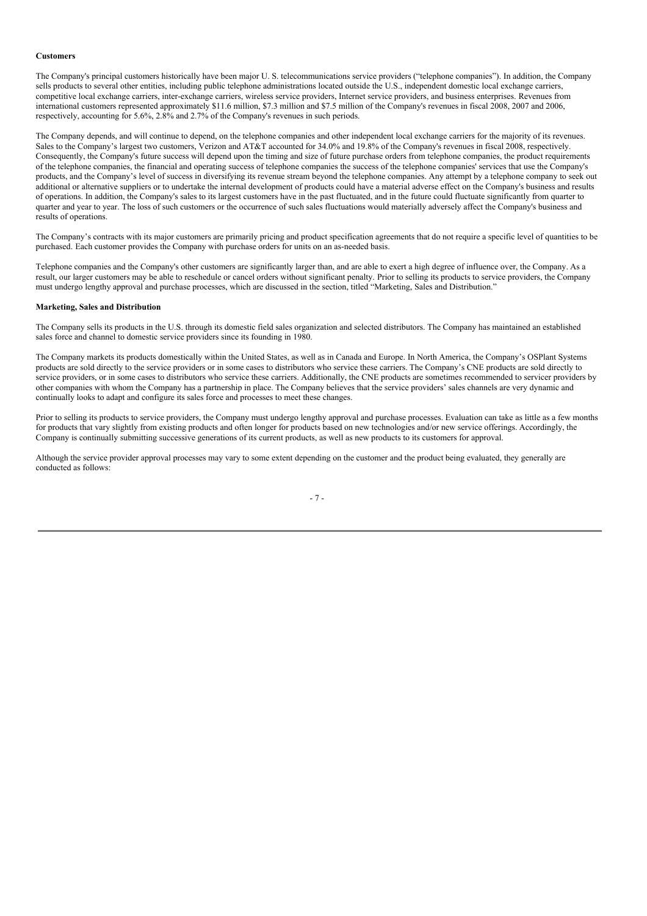# **Customers**

The Company's principal customers historically have been major U. S. telecommunications service providers ("telephone companies"). In addition, the Company sells products to several other entities, including public telephone administrations located outside the U.S., independent domestic local exchange carriers, competitive local exchange carriers, inter-exchange carriers, wireless service providers, Internet service providers, and business enterprises. Revenues from international customers represented approximately \$11.6 million, \$7.3 million and \$7.5 million of the Company's revenues in fiscal 2008, 2007 and 2006, respectively, accounting for 5.6%, 2.8% and 2.7% of the Company's revenues in such periods.

The Company depends, and will continue to depend, on the telephone companies and other independent local exchange carriers for the majority of its revenues. Sales to the Company's largest two customers, Verizon and AT&T accounted for 34.0% and 19.8% of the Company's revenues in fiscal 2008, respectively. Consequently, the Company's future success will depend upon the timing and size of future purchase orders from telephone companies, the product requirements of the telephone companies, the financial and operating success of telephone companies the success of the telephone companies' services that use the Company's products, and the Company's level of success in diversifying its revenue stream beyond the telephone companies. Any attempt by a telephone company to seek out additional or alternative suppliers or to undertake the internal development of products could have a material adverse effect on the Company's business and results of operations. In addition, the Company's sales to its largest customers have in the past fluctuated, and in the future could fluctuate significantly from quarter to quarter and year to year. The loss of such customers or the occurrence of such sales fluctuations would materially adversely affect the Company's business and results of operations.

The Company's contracts with its major customers are primarily pricing and product specification agreements that do not require a specific level of quantities to be purchased. Each customer provides the Company with purchase orders for units on an as-needed basis.

Telephone companies and the Company's other customers are significantly larger than, and are able to exert a high degree of influence over, the Company. As a result, our larger customers may be able to reschedule or cancel orders without significant penalty. Prior to selling its products to service providers, the Company must undergo lengthy approval and purchase processes, which are discussed in the section, titled "Marketing, Sales and Distribution."

#### **Marketing, Sales and Distribution**

The Company sells its products in the U.S. through its domestic field sales organization and selected distributors. The Company has maintained an established sales force and channel to domestic service providers since its founding in 1980.

The Company markets its products domestically within the United States, as well as in Canada and Europe. In North America, the Company's OSPlant Systems products are sold directly to the service providers or in some cases to distributors who service these carriers. The Company's CNE products are sold directly to service providers, or in some cases to distributors who service these carriers. Additionally, the CNE products are sometimes recommended to servicer providers by other companies with whom the Company has a partnership in place. The Company believes that the service providers' sales channels are very dynamic and continually looks to adapt and configure its sales force and processes to meet these changes.

Prior to selling its products to service providers, the Company must undergo lengthy approval and purchase processes. Evaluation can take as little as a few months for products that vary slightly from existing products and often longer for products based on new technologies and/or new service offerings. Accordingly, the Company is continually submitting successive generations of its current products, as well as new products to its customers for approval.

Although the service provider approval processes may vary to some extent depending on the customer and the product being evaluated, they generally are conducted as follows:

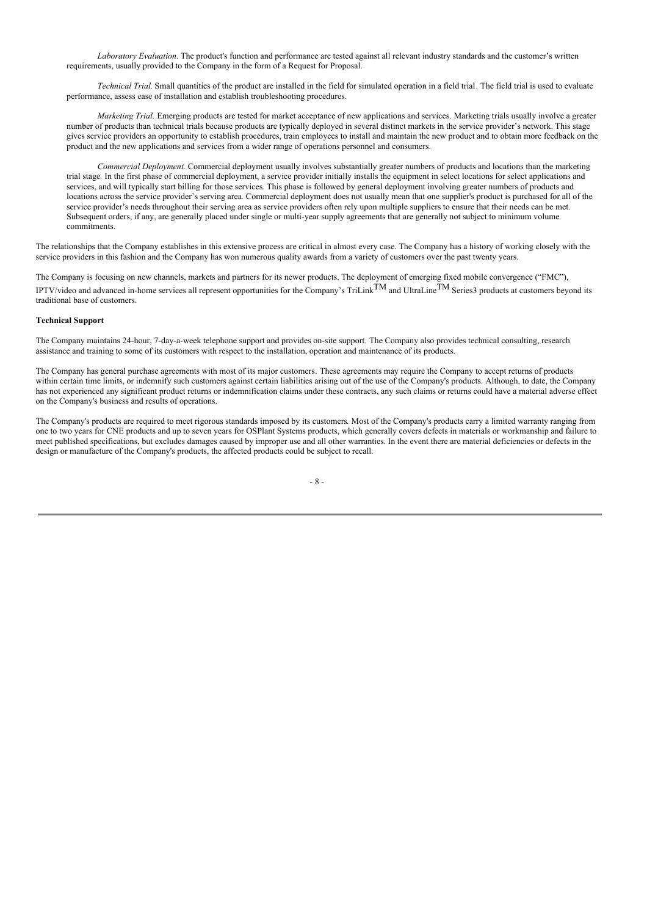*Laboratory Evaluation.* The product's function and performance are tested against all relevant industry standards and the customer's written requirements, usually provided to the Company in the form of a Request for Proposal.

*Technical Trial.* Small quantities of the product are installed in the field for simulated operation in a field trial*.* The field trial is used to evaluate performance, assess ease of installation and establish troubleshooting procedures.

*Marketing Trial.* Emerging products are tested for market acceptance of new applications and services. Marketing trials usually involve a greater number of products than technical trials because products are typically deployed in several distinct markets in the service provider's network. This stage gives service providers an opportunity to establish procedures, train employees to install and maintain the new product and to obtain more feedback on the product and the new applications and services from a wider range of operations personnel and consumers.

*Commercial Deployment.* Commercial deployment usually involves substantially greater numbers of products and locations than the marketing trial stage*.* In the first phase of commercial deployment, a service provider initially installs the equipment in select locations for select applications and services, and will typically start billing for those services*.* This phase is followed by general deployment involving greater numbers of products and locations across the service provider's serving area*.* Commercial deployment does not usually mean that one supplier's product is purchased for all of the service provider's needs throughout their serving area as service providers often rely upon multiple suppliers to ensure that their needs can be met*.* Subsequent orders, if any, are generally placed under single or multi-year supply agreements that are generally not subject to minimum volume commitments.

The relationships that the Company establishes in this extensive process are critical in almost every case. The Company has a history of working closely with the service providers in this fashion and the Company has won numerous quality awards from a variety of customers over the past twenty years.

The Company is focusing on new channels, markets and partners for its newer products. The deployment of emerging fixed mobile convergence ("FMC"), IPTV/video and advanced in-home services all represent opportunities for the Company's TriLink<sup>TM</sup> and UltraLine<sup>TM</sup> Series3 products at customers beyond its traditional base of customers.

# **Technical Support**

The Company maintains 24-hour, 7-day-a-week telephone support and provides on-site support*.* The Company also provides technical consulting, research assistance and training to some of its customers with respect to the installation, operation and maintenance of its products.

The Company has general purchase agreements with most of its major customers*.* These agreements may require the Company to accept returns of products within certain time limits, or indemnify such customers against certain liabilities arising out of the use of the Company's products. Although, to date, the Company has not experienced any significant product returns or indemnification claims under these contracts, any such claims or returns could have a material adverse effect on the Company's business and results of operations.

The Company's products are required to meet rigorous standards imposed by its customers*.* Most of the Company's products carry a limited warranty ranging from one to two years for CNE products and up to seven years for OSPlant Systems products, which generally covers defects in materials or workmanship and failure to meet published specifications, but excludes damages caused by improper use and all other warranties*.* In the event there are material deficiencies or defects in the design or manufacture of the Company's products, the affected products could be subject to recall*.*

## - 8 -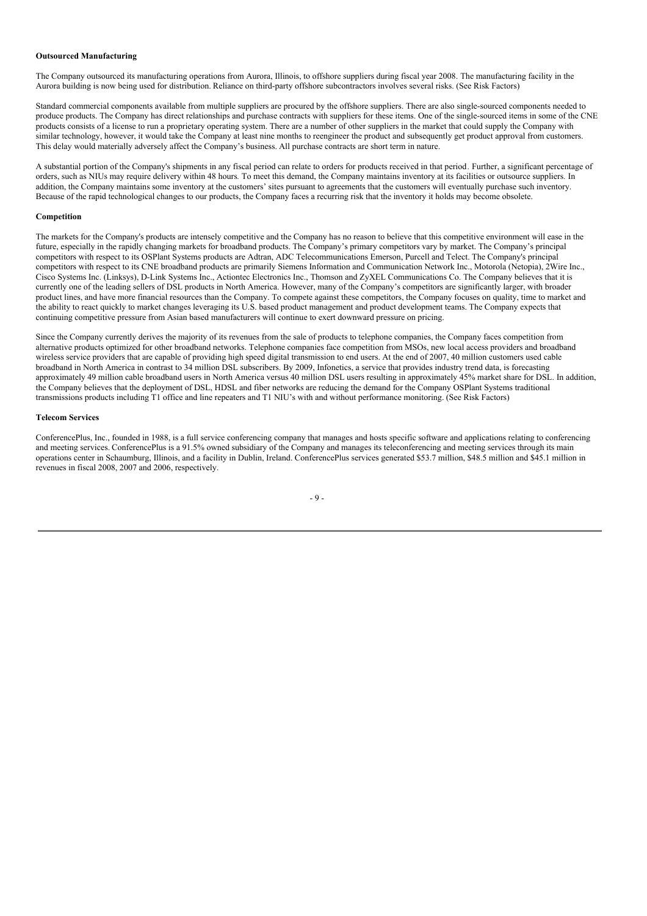#### **Outsourced Manufacturing**

The Company outsourced its manufacturing operations from Aurora, Illinois, to offshore suppliers during fiscal year 2008. The manufacturing facility in the Aurora building is now being used for distribution. Reliance on third-party offshore subcontractors involves several risks. (See Risk Factors)

Standard commercial components available from multiple suppliers are procured by the offshore suppliers. There are also single-sourced components needed to produce products. The Company has direct relationships and purchase contracts with suppliers for these items. One of the single-sourced items in some of the CNE products consists of a license to run a proprietary operating system. There are a number of other suppliers in the market that could supply the Company with similar technology, however, it would take the Company at least nine months to reengineer the product and subsequently get product approval from customers. This delay would materially adversely affect the Company's business. All purchase contracts are short term in nature.

A substantial portion of the Company's shipments in any fiscal period can relate to orders for products received in that period*.* Further, a significant percentage of orders, such as NIUs may require delivery within 48 hours*.* To meet this demand, the Company maintains inventory at its facilities or outsource suppliers*.* In addition, the Company maintains some inventory at the customers' sites pursuant to agreements that the customers will eventually purchase such inventory. Because of the rapid technological changes to our products, the Company faces a recurring risk that the inventory it holds may become obsolete.

#### **Competition**

The markets for the Company's products are intensely competitive and the Company has no reason to believe that this competitive environment will ease in the future, especially in the rapidly changing markets for broadband products. The Company's primary competitors vary by market. The Company's principal competitors with respect to its OSPlant Systems products are Adtran, ADC Telecommunications Emerson, Purcell and Telect. The Company's principal competitors with respect to its CNE broadband products are primarily Siemens Information and Communication Network Inc., Motorola (Netopia), 2Wire Inc., Cisco Systems Inc. (Linksys), D-Link Systems Inc., Actiontec Electronics Inc., Thomson and ZyXEL Communications Co. The Company believes that it is currently one of the leading sellers of DSL products in North America. However, many of the Company's competitors are significantly larger, with broader product lines, and have more financial resources than the Company. To compete against these competitors, the Company focuses on quality, time to market and the ability to react quickly to market changes leveraging its U.S. based product management and product development teams. The Company expects that continuing competitive pressure from Asian based manufacturers will continue to exert downward pressure on pricing.

Since the Company currently derives the majority of its revenues from the sale of products to telephone companies, the Company faces competition from alternative products optimized for other broadband networks. Telephone companies face competition from MSOs, new local access providers and broadband wireless service providers that are capable of providing high speed digital transmission to end users. At the end of 2007, 40 million customers used cable broadband in North America in contrast to 34 million DSL subscribers. By 2009, Infonetics, a service that provides industry trend data, is forecasting approximately 49 million cable broadband users in North America versus 40 million DSL users resulting in approximately 45% market share for DSL. In addition, the Company believes that the deployment of DSL, HDSL and fiber networks are reducing the demand for the Company OSPlant Systems traditional transmissions products including T1 office and line repeaters and T1 NIU's with and without performance monitoring. (See Risk Factors)

#### **Telecom Services**

ConferencePlus, Inc., founded in 1988, is a full service conferencing company that manages and hosts specific software and applications relating to conferencing and meeting services. ConferencePlus is a 91.5% owned subsidiary of the Company and manages its teleconferencing and meeting services through its main operations center in Schaumburg, Illinois, and a facility in Dublin, Ireland. ConferencePlus services generated \$53.7 million, \$48.5 million and \$45.1 million in revenues in fiscal 2008, 2007 and 2006, respectively.

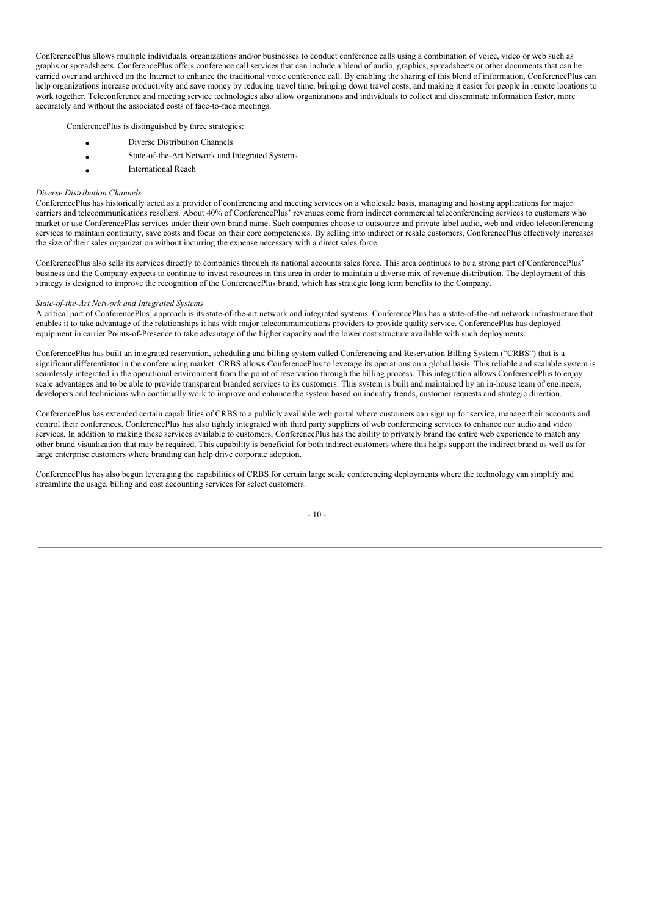ConferencePlus allows multiple individuals, organizations and/or businesses to conduct conference calls using a combination of voice, video or web such as graphs or spreadsheets. ConferencePlus offers conference call services that can include a blend of audio, graphics, spreadsheets or other documents that can be carried over and archived on the Internet to enhance the traditional voice conference call. By enabling the sharing of this blend of information, ConferencePlus can help organizations increase productivity and save money by reducing travel time, bringing down travel costs, and making it easier for people in remote locations to work together. Teleconference and meeting service technologies also allow organizations and individuals to collect and disseminate information faster, more accurately and without the associated costs of face-to-face meetings.

ConferencePlus is distinguished by three strategies:

- **•** Diverse Distribution Channels
- **•** State-of-the-Art Network and Integrated Systems
- **•** International Reach

#### *Diverse Distribution Channels*

ConferencePlus has historically acted as a provider of conferencing and meeting services on a wholesale basis, managing and hosting applications for major carriers and telecommunications resellers. About 40% of ConferencePlus' revenues come from indirect commercial teleconferencing services to customers who market or use ConferencePlus services under their own brand name. Such companies choose to outsource and private label audio, web and video teleconferencing services to maintain continuity, save costs and focus on their core competencies. By selling into indirect or resale customers, ConferencePlus effectively increases the size of their sales organization without incurring the expense necessary with a direct sales force.

ConferencePlus also sells its services directly to companies through its national accounts sales force. This area continues to be a strong part of ConferencePlus' business and the Company expects to continue to invest resources in this area in order to maintain a diverse mix of revenue distribution. The deployment of this strategy is designed to improve the recognition of the ConferencePlus brand, which has strategic long term benefits to the Company.

#### *State-of-the-Art Network and Integrated Systems*

A critical part of ConferencePlus' approach is its state-of-the-art network and integrated systems. ConferencePlus has a state-of-the-art network infrastructure that enables it to take advantage of the relationships it has with major telecommunications providers to provide quality service. ConferencePlus has deployed equipment in carrier Points-of-Presence to take advantage of the higher capacity and the lower cost structure available with such deployments.

ConferencePlus has built an integrated reservation, scheduling and billing system called Conferencing and Reservation Billing System ("CRBS") that is a significant differentiator in the conferencing market. CRBS allows ConferencePlus to leverage its operations on a global basis. This reliable and scalable system is seamlessly integrated in the operational environment from the point of reservation through the billing process. This integration allows ConferencePlus to enjoy scale advantages and to be able to provide transparent branded services to its customers. This system is built and maintained by an in-house team of engineers, developers and technicians who continually work to improve and enhance the system based on industry trends, customer requests and strategic direction.

ConferencePlus has extended certain capabilities of CRBS to a publicly available web portal where customers can sign up for service, manage their accounts and control their conferences. ConferencePlus has also tightly integrated with third party suppliers of web conferencing services to enhance our audio and video services. In addition to making these services available to customers, ConferencePlus has the ability to privately brand the entire web experience to match any other brand visualization that may be required. This capability is beneficial for both indirect customers where this helps support the indirect brand as well as for large enterprise customers where branding can help drive corporate adoption.

ConferencePlus has also begun leveraging the capabilities of CRBS for certain large scale conferencing deployments where the technology can simplify and streamline the usage, billing and cost accounting services for select customers.

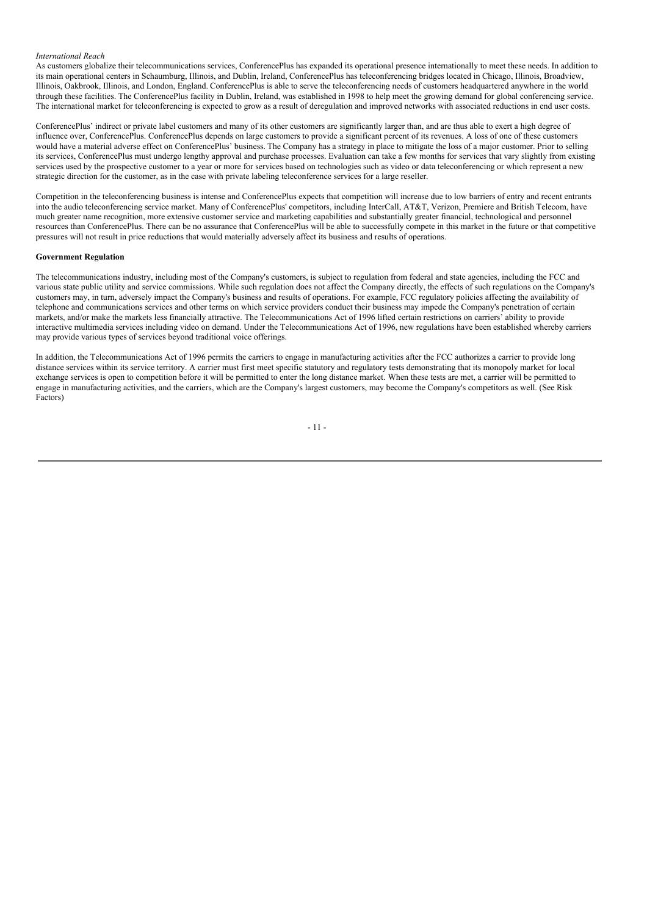#### *International Reach*

As customers globalize their telecommunications services, ConferencePlus has expanded its operational presence internationally to meet these needs. In addition to its main operational centers in Schaumburg, Illinois, and Dublin, Ireland, ConferencePlus has teleconferencing bridges located in Chicago, Illinois, Broadview, Illinois, Oakbrook, Illinois, and London, England. ConferencePlus is able to serve the teleconferencing needs of customers headquartered anywhere in the world through these facilities. The ConferencePlus facility in Dublin, Ireland, was established in 1998 to help meet the growing demand for global conferencing service. The international market for teleconferencing is expected to grow as a result of deregulation and improved networks with associated reductions in end user costs.

ConferencePlus' indirect or private label customers and many of its other customers are significantly larger than, and are thus able to exert a high degree of influence over, ConferencePlus. ConferencePlus depends on large customers to provide a significant percent of its revenues. A loss of one of these customers would have a material adverse effect on ConferencePlus' business. The Company has a strategy in place to mitigate the loss of a major customer. Prior to selling its services, ConferencePlus must undergo lengthy approval and purchase processes. Evaluation can take a few months for services that vary slightly from existing services used by the prospective customer to a year or more for services based on technologies such as video or data teleconferencing or which represent a new strategic direction for the customer, as in the case with private labeling teleconference services for a large reseller.

Competition in the teleconferencing business is intense and ConferencePlus expects that competition will increase due to low barriers of entry and recent entrants into the audio teleconferencing service market. Many of ConferencePlus' competitors, including InterCall, AT&T, Verizon, Premiere and British Telecom, have much greater name recognition, more extensive customer service and marketing capabilities and substantially greater financial, technological and personnel resources than ConferencePlus. There can be no assurance that ConferencePlus will be able to successfully compete in this market in the future or that competitive pressures will not result in price reductions that would materially adversely affect its business and results of operations.

#### **Government Regulation**

The telecommunications industry, including most of the Company's customers, is subject to regulation from federal and state agencies, including the FCC and various state public utility and service commissions. While such regulation does not affect the Company directly, the effects of such regulations on the Company's customers may, in turn, adversely impact the Company's business and results of operations. For example, FCC regulatory policies affecting the availability of telephone and communications services and other terms on which service providers conduct their business may impede the Company's penetration of certain markets, and/or make the markets less financially attractive. The Telecommunications Act of 1996 lifted certain restrictions on carriers' ability to provide interactive multimedia services including video on demand. Under the Telecommunications Act of 1996, new regulations have been established whereby carriers may provide various types of services beyond traditional voice offerings.

In addition, the Telecommunications Act of 1996 permits the carriers to engage in manufacturing activities after the FCC authorizes a carrier to provide long distance services within its service territory. A carrier must first meet specific statutory and regulatory tests demonstrating that its monopoly market for local exchange services is open to competition before it will be permitted to enter the long distance market. When these tests are met, a carrier will be permitted to engage in manufacturing activities, and the carriers, which are the Company's largest customers, may become the Company's competitors as well. (See Risk Factors)

- 11 -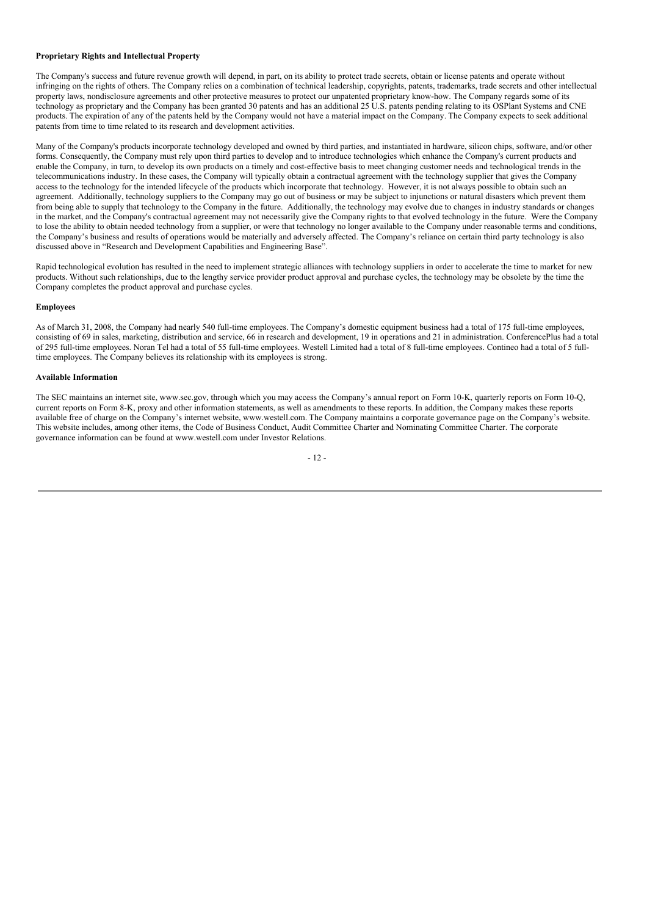# **Proprietary Rights and Intellectual Property**

The Company's success and future revenue growth will depend, in part, on its ability to protect trade secrets, obtain or license patents and operate without infringing on the rights of others. The Company relies on a combination of technical leadership, copyrights, patents, trademarks, trade secrets and other intellectual property laws, nondisclosure agreements and other protective measures to protect our unpatented proprietary know-how. The Company regards some of its technology as proprietary and the Company has been granted 30 patents and has an additional 25 U.S. patents pending relating to its OSPlant Systems and CNE products. The expiration of any of the patents held by the Company would not have a material impact on the Company. The Company expects to seek additional patents from time to time related to its research and development activities.

Many of the Company's products incorporate technology developed and owned by third parties, and instantiated in hardware, silicon chips, software, and/or other forms. Consequently, the Company must rely upon third parties to develop and to introduce technologies which enhance the Company's current products and enable the Company, in turn, to develop its own products on a timely and cost-effective basis to meet changing customer needs and technological trends in the telecommunications industry. In these cases, the Company will typically obtain a contractual agreement with the technology supplier that gives the Company access to the technology for the intended lifecycle of the products which incorporate that technology. However, it is not always possible to obtain such an agreement. Additionally, technology suppliers to the Company may go out of business or may be subject to injunctions or natural disasters which prevent them from being able to supply that technology to the Company in the future. Additionally, the technology may evolve due to changes in industry standards or changes in the market, and the Company's contractual agreement may not necessarily give the Company rights to that evolved technology in the future. Were the Company to lose the ability to obtain needed technology from a supplier, or were that technology no longer available to the Company under reasonable terms and conditions, the Company's business and results of operations would be materially and adversely affected. The Company's reliance on certain third party technology is also discussed above in "Research and Development Capabilities and Engineering Base".

Rapid technological evolution has resulted in the need to implement strategic alliances with technology suppliers in order to accelerate the time to market for new products. Without such relationships, due to the lengthy service provider product approval and purchase cycles, the technology may be obsolete by the time the Company completes the product approval and purchase cycles.

#### **Employees**

As of March 31, 2008, the Company had nearly 540 full-time employees. The Company's domestic equipment business had a total of 175 full-time employees, consisting of 69 in sales, marketing, distribution and service, 66 in research and development, 19 in operations and 21 in administration. ConferencePlus had a total of 295 full-time employees. Noran Tel had a total of 55 full-time employees. Westell Limited had a total of 8 full-time employees. Contineo had a total of 5 fulltime employees. The Company believes its relationship with its employees is strong.

### **Available Information**

The SEC maintains an internet site, www.sec.gov, through which you may access the Company's annual report on Form 10-K, quarterly reports on Form 10-Q, current reports on Form 8-K, proxy and other information statements, as well as amendments to these reports. In addition, the Company makes these reports available free of charge on the Company's internet website, www.westell.com. The Company maintains a corporate governance page on the Company's website. This website includes, among other items, the Code of Business Conduct, Audit Committee Charter and Nominating Committee Charter. The corporate governance information can be found at www.westell.com under Investor Relations.

### - 12 -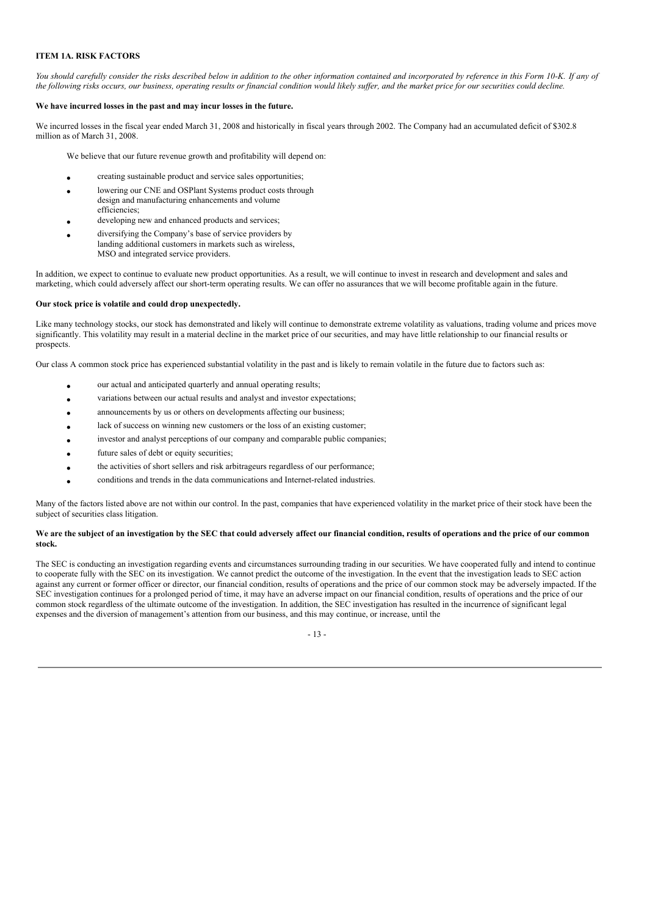# **ITEM 1A. RISK FACTORS**

You should carefully consider the risks described below in addition to the other information contained and incorporated by reference in this Form 10-K. If any of the following risks occurs, our business, operating results or financial condition would likely suffer, and the market price for our securities could decline.

## **We have incurred losses in the past and may incur losses in the future.**

We incurred losses in the fiscal year ended March 31, 2008 and historically in fiscal years through 2002. The Company had an accumulated deficit of \$302.8 million as of March 31, 2008.

We believe that our future revenue growth and profitability will depend on:

- **•** creating sustainable product and service sales opportunities;
- **•** lowering our CNE and OSPlant Systems product costs through design and manufacturing enhancements and volume efficiencies;
- **•** developing new and enhanced products and services;
- **•** diversifying the Company's base of service providers by landing additional customers in markets such as wireless, MSO and integrated service providers.

In addition, we expect to continue to evaluate new product opportunities. As a result, we will continue to invest in research and development and sales and marketing, which could adversely affect our short-term operating results. We can offer no assurances that we will become profitable again in the future.

#### **Our stock price is volatile and could drop unexpectedly.**

Like many technology stocks, our stock has demonstrated and likely will continue to demonstrate extreme volatility as valuations, trading volume and prices move significantly. This volatility may result in a material decline in the market price of our securities, and may have little relationship to our financial results or prospects.

Our class A common stock price has experienced substantial volatility in the past and is likely to remain volatile in the future due to factors such as:

- **•** our actual and anticipated quarterly and annual operating results;
- variations between our actual results and analyst and investor expectations;
- **•** announcements by us or others on developments affecting our business;
- **•** lack of success on winning new customers or the loss of an existing customer;
- **•** investor and analyst perceptions of our company and comparable public companies;
- **•** future sales of debt or equity securities;
- **•** the activities of short sellers and risk arbitrageurs regardless of our performance;
- **•** conditions and trends in the data communications and Internet-related industries.

Many of the factors listed above are not within our control. In the past, companies that have experienced volatility in the market price of their stock have been the subject of securities class litigation.

## We are the subject of an investigation by the SEC that could adversely affect our financial condition, results of operations and the price of our common **stock.**

The SEC is conducting an investigation regarding events and circumstances surrounding trading in our securities. We have cooperated fully and intend to continue to cooperate fully with the SEC on its investigation. We cannot predict the outcome of the investigation. In the event that the investigation leads to SEC action against any current or former officer or director, our financial condition, results of operations and the price of our common stock may be adversely impacted. If the SEC investigation continues for a prolonged period of time, it may have an adverse impact on our financial condition, results of operations and the price of our common stock regardless of the ultimate outcome of the investigation. In addition, the SEC investigation has resulted in the incurrence of significant legal expenses and the diversion of management's attention from our business, and this may continue, or increase, until the

- 13 -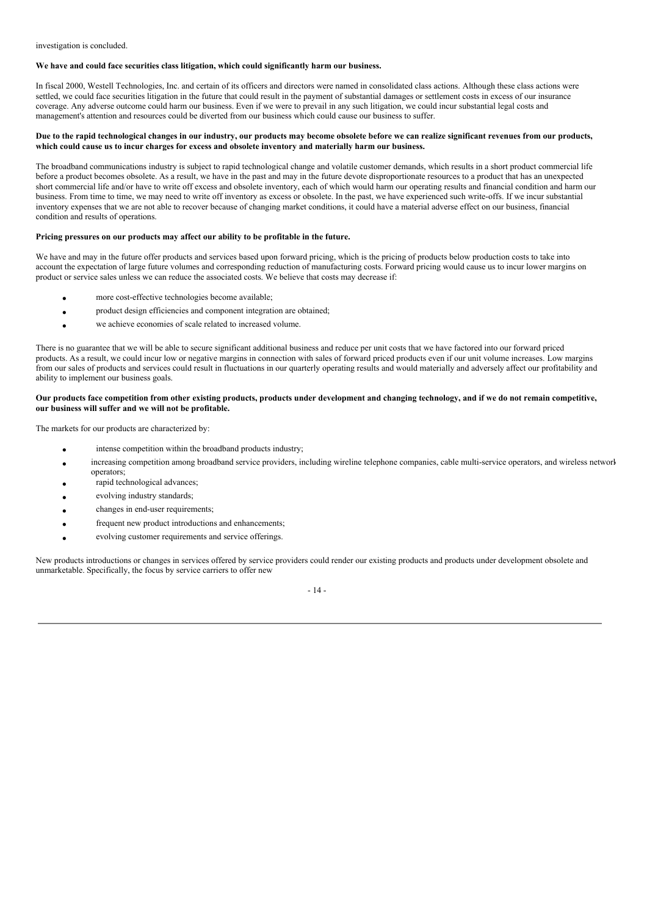investigation is concluded.

# **We have and could face securities class litigation, which could significantly harm our business.**

In fiscal 2000, Westell Technologies, Inc. and certain of its officers and directors were named in consolidated class actions. Although these class actions were settled, we could face securities litigation in the future that could result in the payment of substantial damages or settlement costs in excess of our insurance coverage. Any adverse outcome could harm our business. Even if we were to prevail in any such litigation, we could incur substantial legal costs and management's attention and resources could be diverted from our business which could cause our business to suffer.

#### Due to the rapid technological changes in our industry, our products may become obsolete before we can realize significant revenues from our products, **which could cause us to incur charges for excess and obsolete inventory and materially harm our business.**

The broadband communications industry is subject to rapid technological change and volatile customer demands, which results in a short product commercial life before a product becomes obsolete. As a result, we have in the past and may in the future devote disproportionate resources to a product that has an unexpected short commercial life and/or have to write off excess and obsolete inventory, each of which would harm our operating results and financial condition and harm our business. From time to time, we may need to write off inventory as excess or obsolete. In the past, we have experienced such write-offs. If we incur substantial inventory expenses that we are not able to recover because of changing market conditions, it could have a material adverse effect on our business, financial condition and results of operations.

## **Pricing pressures on our products may affect our ability to be profitable in the future.**

We have and may in the future offer products and services based upon forward pricing, which is the pricing of products below production costs to take into account the expectation of large future volumes and corresponding reduction of manufacturing costs. Forward pricing would cause us to incur lower margins on product or service sales unless we can reduce the associated costs. We believe that costs may decrease if:

- more cost-effective technologies become available;
- product design efficiencies and component integration are obtained;
- **•** we achieve economies of scale related to increased volume.

There is no guarantee that we will be able to secure significant additional business and reduce per unit costs that we have factored into our forward priced products. As a result, we could incur low or negative margins in connection with sales of forward priced products even if our unit volume increases. Low margins from our sales of products and services could result in fluctuations in our quarterly operating results and would materially and adversely affect our profitability and ability to implement our business goals.

## Our products face competition from other existing products, products under development and changing technology, and if we do not remain competitive, **our business will suffer and we will not be profitable.**

The markets for our products are characterized by:

- **•** intense competition within the broadband products industry;
- **•** increasing competition among broadband service providers, including wireline telephone companies, cable multi-service operators, and wireless network operators;
- **•** rapid technological advances;
- **•** evolving industry standards;
- **•** changes in end-user requirements;
- **•** frequent new product introductions and enhancements;
- **•** evolving customer requirements and service offerings.

New products introductions or changes in services offered by service providers could render our existing products and products under development obsolete and unmarketable. Specifically, the focus by service carriers to offer new

- 14 -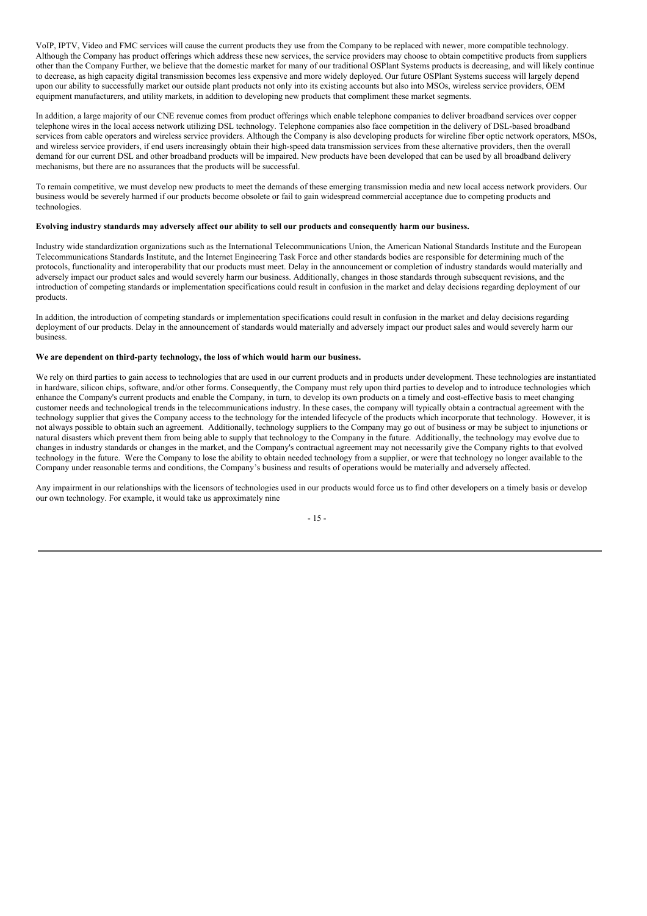VoIP, IPTV, Video and FMC services will cause the current products they use from the Company to be replaced with newer, more compatible technology. Although the Company has product offerings which address these new services, the service providers may choose to obtain competitive products from suppliers other than the Company Further, we believe that the domestic market for many of our traditional OSPlant Systems products is decreasing, and will likely continue to decrease, as high capacity digital transmission becomes less expensive and more widely deployed. Our future OSPlant Systems success will largely depend upon our ability to successfully market our outside plant products not only into its existing accounts but also into MSOs, wireless service providers, OEM equipment manufacturers, and utility markets, in addition to developing new products that compliment these market segments.

In addition, a large majority of our CNE revenue comes from product offerings which enable telephone companies to deliver broadband services over copper telephone wires in the local access network utilizing DSL technology. Telephone companies also face competition in the delivery of DSL-based broadband services from cable operators and wireless service providers. Although the Company is also developing products for wireline fiber optic network operators, MSOs, and wireless service providers, if end users increasingly obtain their high-speed data transmission services from these alternative providers, then the overall demand for our current DSL and other broadband products will be impaired. New products have been developed that can be used by all broadband delivery mechanisms, but there are no assurances that the products will be successful.

To remain competitive, we must develop new products to meet the demands of these emerging transmission media and new local access network providers. Our business would be severely harmed if our products become obsolete or fail to gain widespread commercial acceptance due to competing products and technologies.

### Evolving industry standards may adversely affect our ability to sell our products and consequently harm our business.

Industry wide standardization organizations such as the International Telecommunications Union, the American National Standards Institute and the European Telecommunications Standards Institute, and the Internet Engineering Task Force and other standards bodies are responsible for determining much of the protocols, functionality and interoperability that our products must meet. Delay in the announcement or completion of industry standards would materially and adversely impact our product sales and would severely harm our business. Additionally, changes in those standards through subsequent revisions, and the introduction of competing standards or implementation specifications could result in confusion in the market and delay decisions regarding deployment of our products.

In addition, the introduction of competing standards or implementation specifications could result in confusion in the market and delay decisions regarding deployment of our products. Delay in the announcement of standards would materially and adversely impact our product sales and would severely harm our business.

#### **We are dependent on third-party technology, the loss of which would harm our business.**

We rely on third parties to gain access to technologies that are used in our current products and in products under development. These technologies are instantiated in hardware, silicon chips, software, and/or other forms. Consequently, the Company must rely upon third parties to develop and to introduce technologies which enhance the Company's current products and enable the Company, in turn, to develop its own products on a timely and cost-effective basis to meet changing customer needs and technological trends in the telecommunications industry. In these cases, the company will typically obtain a contractual agreement with the technology supplier that gives the Company access to the technology for the intended lifecycle of the products which incorporate that technology. However, it is not always possible to obtain such an agreement. Additionally, technology suppliers to the Company may go out of business or may be subject to injunctions or natural disasters which prevent them from being able to supply that technology to the Company in the future. Additionally, the technology may evolve due to changes in industry standards or changes in the market, and the Company's contractual agreement may not necessarily give the Company rights to that evolved technology in the future. Were the Company to lose the ability to obtain needed technology from a supplier, or were that technology no longer available to the Company under reasonable terms and conditions, the Company's business and results of operations would be materially and adversely affected.

Any impairment in our relationships with the licensors of technologies used in our products would force us to find other developers on a timely basis or develop our own technology. For example, it would take us approximately nine

- 15 -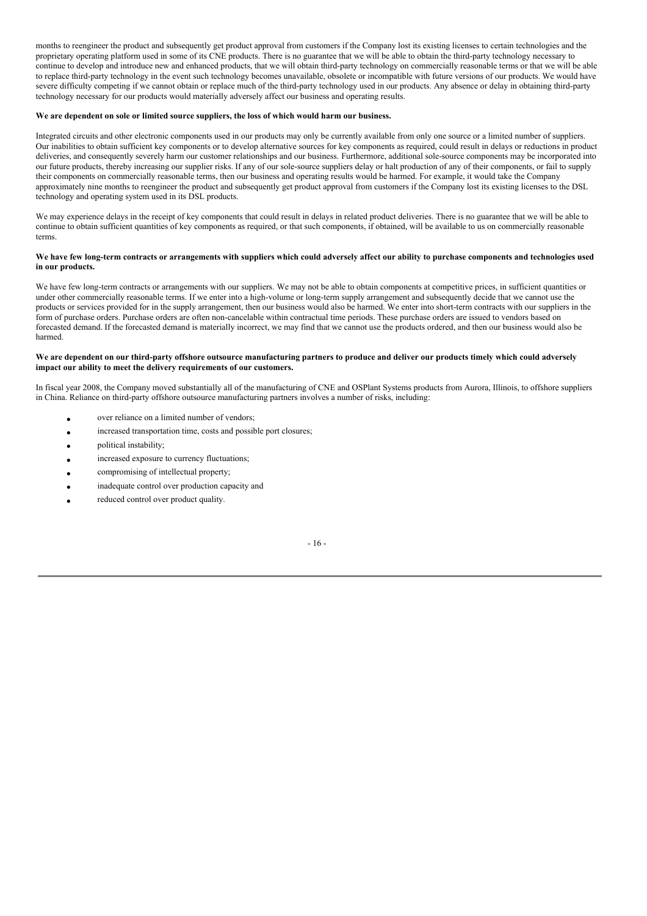months to reengineer the product and subsequently get product approval from customers if the Company lost its existing licenses to certain technologies and the proprietary operating platform used in some of its CNE products. There is no guarantee that we will be able to obtain the third-party technology necessary to continue to develop and introduce new and enhanced products, that we will obtain third-party technology on commercially reasonable terms or that we will be able to replace third-party technology in the event such technology becomes unavailable, obsolete or incompatible with future versions of our products. We would have severe difficulty competing if we cannot obtain or replace much of the third-party technology used in our products. Any absence or delay in obtaining third-party technology necessary for our products would materially adversely affect our business and operating results.

#### **We are dependent on sole or limited source suppliers, the loss of which would harm our business.**

Integrated circuits and other electronic components used in our products may only be currently available from only one source or a limited number of suppliers. Our inabilities to obtain sufficient key components or to develop alternative sources for key components as required, could result in delays or reductions in product deliveries, and consequently severely harm our customer relationships and our business. Furthermore, additional sole-source components may be incorporated into our future products, thereby increasing our supplier risks. If any of our sole-source suppliers delay or halt production of any of their components, or fail to supply their components on commercially reasonable terms, then our business and operating results would be harmed. For example, it would take the Company approximately nine months to reengineer the product and subsequently get product approval from customers if the Company lost its existing licenses to the DSL technology and operating system used in its DSL products.

We may experience delays in the receipt of key components that could result in delays in related product deliveries. There is no guarantee that we will be able to continue to obtain sufficient quantities of key components as required, or that such components, if obtained, will be available to us on commercially reasonable terms.

# We have few long-term contracts or arrangements with suppliers which could adversely affect our ability to purchase components and technologies used **in our products.**

We have few long-term contracts or arrangements with our suppliers. We may not be able to obtain components at competitive prices, in sufficient quantities or under other commercially reasonable terms. If we enter into a high-volume or long-term supply arrangement and subsequently decide that we cannot use the products or services provided for in the supply arrangement, then our business would also be harmed. We enter into short-term contracts with our suppliers in the form of purchase orders. Purchase orders are often non-cancelable within contractual time periods. These purchase orders are issued to vendors based on forecasted demand. If the forecasted demand is materially incorrect, we may find that we cannot use the products ordered, and then our business would also be harmed.

### We are dependent on our third-party offshore outsource manufacturing partners to produce and deliver our products timely which could adversely **impact our ability to meet the delivery requirements of our customers.**

In fiscal year 2008, the Company moved substantially all of the manufacturing of CNE and OSPlant Systems products from Aurora, Illinois, to offshore suppliers in China. Reliance on third-party offshore outsource manufacturing partners involves a number of risks, including:

- **•** over reliance on a limited number of vendors;
- **•** increased transportation time, costs and possible port closures;
- **•** political instability;
- **•** increased exposure to currency fluctuations;
- **•** compromising of intellectual property;
- **•** inadequate control over production capacity and
- **•** reduced control over product quality.

 $-16-$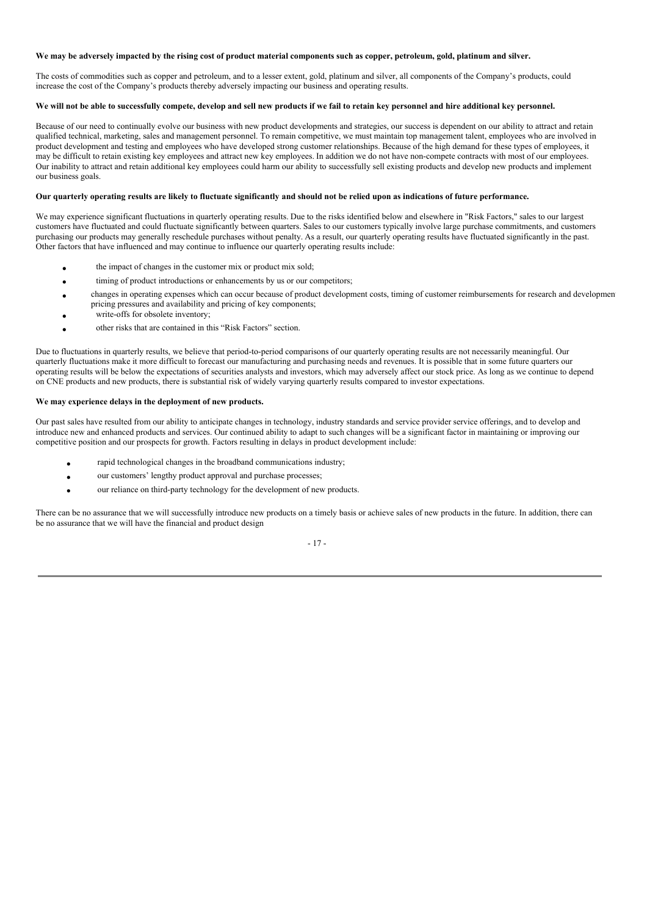#### We may be adversely impacted by the rising cost of product material components such as copper, petroleum, gold, platinum and silver.

The costs of commodities such as copper and petroleum, and to a lesser extent, gold, platinum and silver, all components of the Company's products, could increase the cost of the Company's products thereby adversely impacting our business and operating results.

# We will not be able to successfully compete, develop and sell new products if we fail to retain key personnel and hire additional key personnel.

Because of our need to continually evolve our business with new product developments and strategies, our success is dependent on our ability to attract and retain qualified technical, marketing, sales and management personnel. To remain competitive, we must maintain top management talent, employees who are involved in product development and testing and employees who have developed strong customer relationships. Because of the high demand for these types of employees, it may be difficult to retain existing key employees and attract new key employees. In addition we do not have non-compete contracts with most of our employees. Our inability to attract and retain additional key employees could harm our ability to successfully sell existing products and develop new products and implement our business goals.

#### Our quarterly operating results are likely to fluctuate significantly and should not be relied upon as indications of future performance.

We may experience significant fluctuations in quarterly operating results. Due to the risks identified below and elsewhere in "Risk Factors," sales to our largest customers have fluctuated and could fluctuate significantly between quarters. Sales to our customers typically involve large purchase commitments, and customers purchasing our products may generally reschedule purchases without penalty. As a result, our quarterly operating results have fluctuated significantly in the past. Other factors that have influenced and may continue to influence our quarterly operating results include:

- **•** the impact of changes in the customer mix or product mix sold;
- **•** timing of product introductions or enhancements by us or our competitors;
- **•** changes in operating expenses which can occur because of product development costs, timing of customer reimbursements for research and development, pricing pressures and availability and pricing of key components;
- **•** write-offs for obsolete inventory;
- **•** other risks that are contained in this "Risk Factors" section.

Due to fluctuations in quarterly results, we believe that period-to-period comparisons of our quarterly operating results are not necessarily meaningful. Our quarterly fluctuations make it more difficult to forecast our manufacturing and purchasing needs and revenues. It is possible that in some future quarters our operating results will be below the expectations of securities analysts and investors, which may adversely affect our stock price. As long as we continue to depend on CNE products and new products, there is substantial risk of widely varying quarterly results compared to investor expectations.

#### **We may experience delays in the deployment of new products.**

Our past sales have resulted from our ability to anticipate changes in technology, industry standards and service provider service offerings, and to develop and introduce new and enhanced products and services. Our continued ability to adapt to such changes will be a significant factor in maintaining or improving our competitive position and our prospects for growth. Factors resulting in delays in product development include:

- **•** rapid technological changes in the broadband communications industry;
- our customers' lengthy product approval and purchase processes;
- **•** our reliance on third-party technology for the development of new products.

There can be no assurance that we will successfully introduce new products on a timely basis or achieve sales of new products in the future. In addition, there can be no assurance that we will have the financial and product design

## - 17 -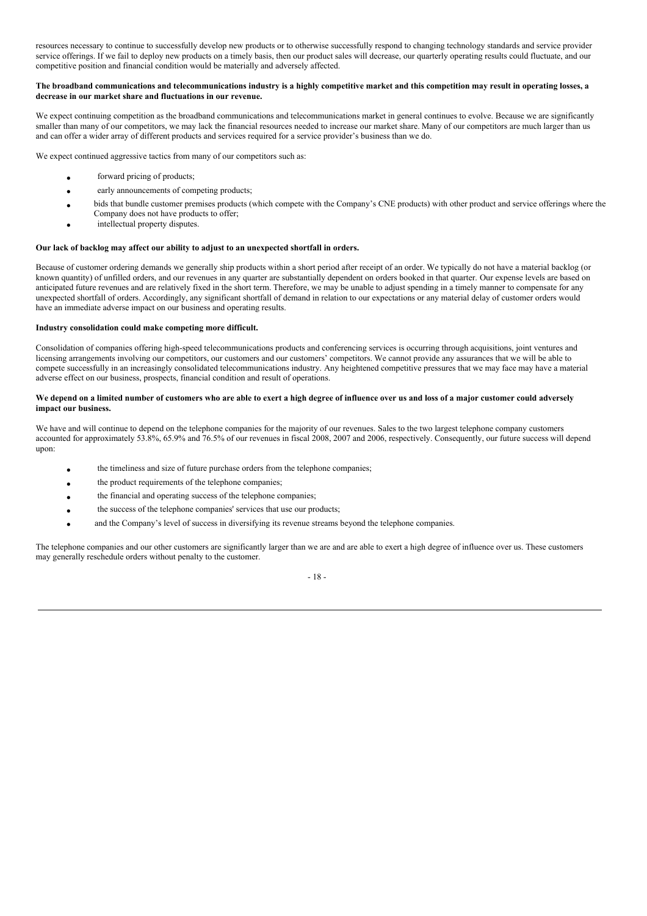resources necessary to continue to successfully develop new products or to otherwise successfully respond to changing technology standards and service provider service offerings. If we fail to deploy new products on a timely basis, then our product sales will decrease, our quarterly operating results could fluctuate, and our competitive position and financial condition would be materially and adversely affected.

## The broadband communications and telecommunications industry is a highly competitive market and this competition may result in operating losses, a **decrease in our market share and fluctuations in our revenue.**

We expect continuing competition as the broadband communications and telecommunications market in general continues to evolve. Because we are significantly smaller than many of our competitors, we may lack the financial resources needed to increase our market share. Many of our competitors are much larger than us and can offer a wider array of different products and services required for a service provider's business than we do.

We expect continued aggressive tactics from many of our competitors such as:

- **•** forward pricing of products;
- **•** early announcements of competing products;
- bids that bundle customer premises products (which compete with the Company's CNE products) with other product and service offerings where the Company does not have products to offer;
- **•** intellectual property disputes.

## **Our lack of backlog may affect our ability to adjust to an unexpected shortfall in orders.**

Because of customer ordering demands we generally ship products within a short period after receipt of an order. We typically do not have a material backlog (or known quantity) of unfilled orders, and our revenues in any quarter are substantially dependent on orders booked in that quarter. Our expense levels are based on anticipated future revenues and are relatively fixed in the short term. Therefore, we may be unable to adjust spending in a timely manner to compensate for any unexpected shortfall of orders. Accordingly, any significant shortfall of demand in relation to our expectations or any material delay of customer orders would have an immediate adverse impact on our business and operating results.

## **Industry consolidation could make competing more difficult.**

Consolidation of companies offering high-speed telecommunications products and conferencing services is occurring through acquisitions, joint ventures and licensing arrangements involving our competitors, our customers and our customers' competitors. We cannot provide any assurances that we will be able to compete successfully in an increasingly consolidated telecommunications industry. Any heightened competitive pressures that we may face may have a material adverse effect on our business, prospects, financial condition and result of operations.

#### We depend on a limited number of customers who are able to exert a high degree of influence over us and loss of a major customer could adversely **impact our business.**

We have and will continue to depend on the telephone companies for the majority of our revenues. Sales to the two largest telephone company customers accounted for approximately 53.8%, 65.9% and 76.5% of our revenues in fiscal 2008, 2007 and 2006, respectively. Consequently, our future success will depend upon:

- **•** the timeliness and size of future purchase orders from the telephone companies;
- **•** the product requirements of the telephone companies;
- **•** the financial and operating success of the telephone companies;
- **•** the success of the telephone companies' services that use our products;
- **•** and the Company's level of success in diversifying its revenue streams beyond the telephone companies.

The telephone companies and our other customers are significantly larger than we are and are able to exert a high degree of influence over us. These customers may generally reschedule orders without penalty to the customer.

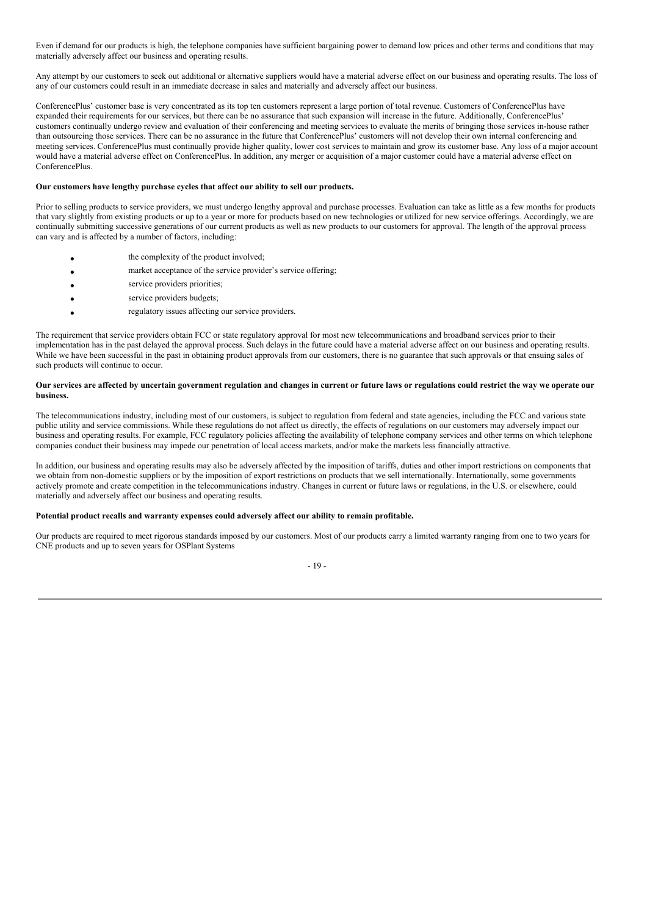Even if demand for our products is high, the telephone companies have sufficient bargaining power to demand low prices and other terms and conditions that may materially adversely affect our business and operating results.

Any attempt by our customers to seek out additional or alternative suppliers would have a material adverse effect on our business and operating results. The loss of any of our customers could result in an immediate decrease in sales and materially and adversely affect our business.

ConferencePlus' customer base is very concentrated as its top ten customers represent a large portion of total revenue. Customers of ConferencePlus have expanded their requirements for our services, but there can be no assurance that such expansion will increase in the future. Additionally, ConferencePlus' customers continually undergo review and evaluation of their conferencing and meeting services to evaluate the merits of bringing those services in-house rather than outsourcing those services. There can be no assurance in the future that ConferencePlus' customers will not develop their own internal conferencing and meeting services. ConferencePlus must continually provide higher quality, lower cost services to maintain and grow its customer base. Any loss of a major account would have a material adverse effect on ConferencePlus. In addition, any merger or acquisition of a major customer could have a material adverse effect on ConferencePlus.

# **Our customers have lengthy purchase cycles that affect our ability to sell our products.**

Prior to selling products to service providers, we must undergo lengthy approval and purchase processes. Evaluation can take as little as a few months for products that vary slightly from existing products or up to a year or more for products based on new technologies or utilized for new service offerings. Accordingly, we are continually submitting successive generations of our current products as well as new products to our customers for approval. The length of the approval process can vary and is affected by a number of factors, including:

- **•** the complexity of the product involved;
- **•** market acceptance of the service provider's service offering;
- **•** service providers priorities;
- **•** service providers budgets;
- **•** regulatory issues affecting our service providers.

The requirement that service providers obtain FCC or state regulatory approval for most new telecommunications and broadband services prior to their implementation has in the past delayed the approval process. Such delays in the future could have a material adverse affect on our business and operating results. While we have been successful in the past in obtaining product approvals from our customers, there is no guarantee that such approvals or that ensuing sales of such products will continue to occur.

# Our services are affected by uncertain government regulation and changes in current or future laws or regulations could restrict the way we operate our **business.**

The telecommunications industry, including most of our customers, is subject to regulation from federal and state agencies, including the FCC and various state public utility and service commissions. While these regulations do not affect us directly, the effects of regulations on our customers may adversely impact our business and operating results. For example, FCC regulatory policies affecting the availability of telephone company services and other terms on which telephone companies conduct their business may impede our penetration of local access markets, and/or make the markets less financially attractive.

In addition, our business and operating results may also be adversely affected by the imposition of tariffs, duties and other import restrictions on components that we obtain from non-domestic suppliers or by the imposition of export restrictions on products that we sell internationally. Internationally, some governments actively promote and create competition in the telecommunications industry. Changes in current or future laws or regulations, in the U.S. or elsewhere, could materially and adversely affect our business and operating results.

## **Potential product recalls and warranty expenses could adversely affect our ability to remain profitable.**

Our products are required to meet rigorous standards imposed by our customers. Most of our products carry a limited warranty ranging from one to two years for CNE products and up to seven years for OSPlant Systems

- 19 -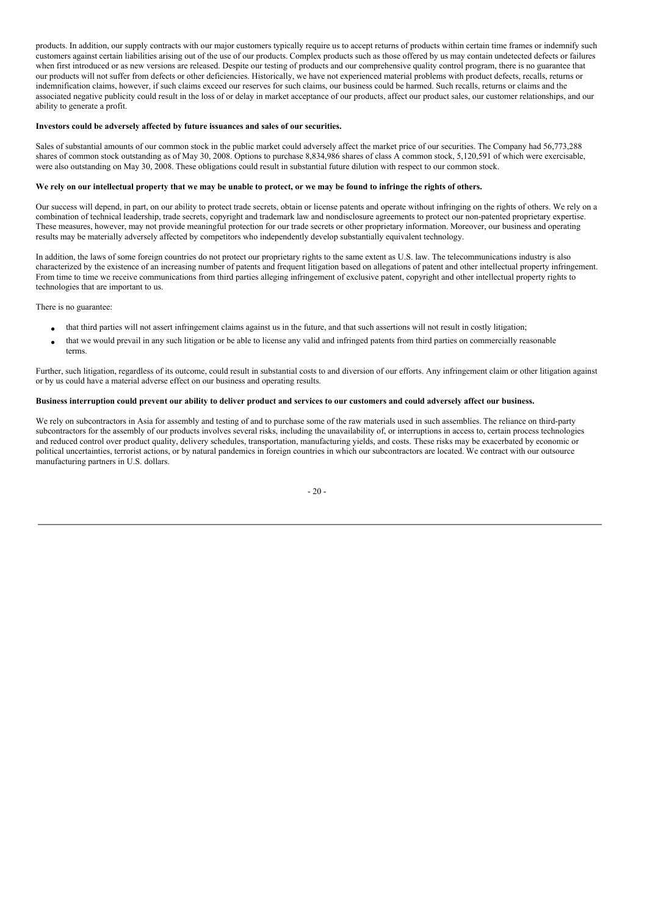products. In addition, our supply contracts with our major customers typically require us to accept returns of products within certain time frames or indemnify such customers against certain liabilities arising out of the use of our products. Complex products such as those offered by us may contain undetected defects or failures when first introduced or as new versions are released. Despite our testing of products and our comprehensive quality control program, there is no guarantee that our products will not suffer from defects or other deficiencies. Historically, we have not experienced material problems with product defects, recalls, returns or indemnification claims, however, if such claims exceed our reserves for such claims, our business could be harmed. Such recalls, returns or claims and the associated negative publicity could result in the loss of or delay in market acceptance of our products, affect our product sales, our customer relationships, and our ability to generate a profit.

#### **Investors could be adversely affected by future issuances and sales of our securities.**

Sales of substantial amounts of our common stock in the public market could adversely affect the market price of our securities. The Company had 56,773,288 shares of common stock outstanding as of May 30, 2008. Options to purchase 8,834,986 shares of class A common stock, 5,120,591 of which were exercisable, were also outstanding on May 30, 2008. These obligations could result in substantial future dilution with respect to our common stock.

## We rely on our intellectual property that we may be unable to protect, or we may be found to infringe the rights of others.

Our success will depend, in part, on our ability to protect trade secrets, obtain or license patents and operate without infringing on the rights of others. We rely on a combination of technical leadership, trade secrets, copyright and trademark law and nondisclosure agreements to protect our non-patented proprietary expertise. These measures, however, may not provide meaningful protection for our trade secrets or other proprietary information. Moreover, our business and operating results may be materially adversely affected by competitors who independently develop substantially equivalent technology.

In addition, the laws of some foreign countries do not protect our proprietary rights to the same extent as U.S. law. The telecommunications industry is also characterized by the existence of an increasing number of patents and frequent litigation based on allegations of patent and other intellectual property infringement. From time to time we receive communications from third parties alleging infringement of exclusive patent, copyright and other intellectual property rights to technologies that are important to us.

There is no guarantee:

- **•** that third parties will not assert infringement claims against us in the future, and that such assertions will not result in costly litigation;
- **•** that we would prevail in any such litigation or be able to license any valid and infringed patents from third parties on commercially reasonable terms.

Further, such litigation, regardless of its outcome, could result in substantial costs to and diversion of our efforts. Any infringement claim or other litigation against or by us could have a material adverse effect on our business and operating results.

# Business interruption could prevent our ability to deliver product and services to our customers and could adversely affect our business.

We rely on subcontractors in Asia for assembly and testing of and to purchase some of the raw materials used in such assemblies. The reliance on third-party subcontractors for the assembly of our products involves several risks, including the unavailability of, or interruptions in access to, certain process technologies and reduced control over product quality, delivery schedules, transportation, manufacturing yields, and costs. These risks may be exacerbated by economic or political uncertainties, terrorist actions, or by natural pandemics in foreign countries in which our subcontractors are located. We contract with our outsource manufacturing partners in U.S. dollars.

- 20 -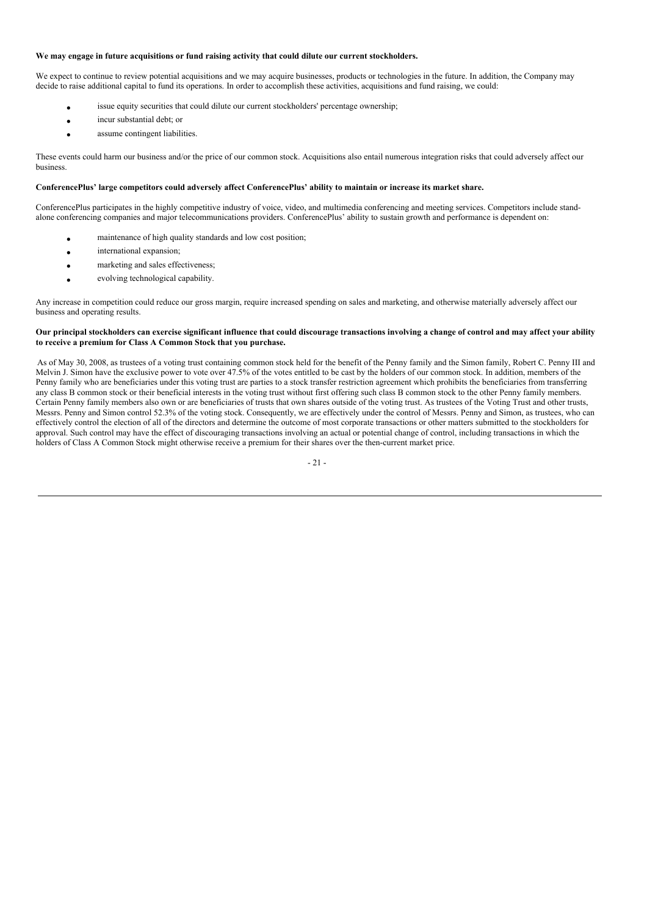# **We may engage in future acquisitions or fund raising activity that could dilute our current stockholders.**

We expect to continue to review potential acquisitions and we may acquire businesses, products or technologies in the future. In addition, the Company may decide to raise additional capital to fund its operations. In order to accomplish these activities, acquisitions and fund raising, we could:

- **•** issue equity securities that could dilute our current stockholders' percentage ownership;
- **•** incur substantial debt; or
- **•** assume contingent liabilities.

These events could harm our business and/or the price of our common stock. Acquisitions also entail numerous integration risks that could adversely affect our business.

# ConferencePlus' large competitors could adversely affect ConferencePlus' ability to maintain or increase its market share.

ConferencePlus participates in the highly competitive industry of voice, video, and multimedia conferencing and meeting services. Competitors include standalone conferencing companies and major telecommunications providers. ConferencePlus' ability to sustain growth and performance is dependent on:

- **•** maintenance of high quality standards and low cost position;
- **•** international expansion;
- **•** marketing and sales effectiveness;
- **•** evolving technological capability.

Any increase in competition could reduce our gross margin, require increased spending on sales and marketing, and otherwise materially adversely affect our business and operating results.

#### Our principal stockholders can exercise significant influence that could discourage transactions involving a change of control and may affect your ability **to receive a premium for Class A Common Stock that you purchase.**

As of May 30, 2008, as trustees of a voting trust containing common stock held for the benefit of the Penny family and the Simon family, Robert C. Penny III and Melvin J. Simon have the exclusive power to vote over 47.5% of the votes entitled to be cast by the holders of our common stock. In addition, members of the Penny family who are beneficiaries under this voting trust are parties to a stock transfer restriction agreement which prohibits the beneficiaries from transferring any class B common stock or their beneficial interests in the voting trust without first offering such class B common stock to the other Penny family members. Certain Penny family members also own or are beneficiaries of trusts that own shares outside of the voting trust. As trustees of the Voting Trust and other trusts, Messrs. Penny and Simon control 52.3% of the voting stock. Consequently, we are effectively under the control of Messrs. Penny and Simon, as trustees, who can effectively control the election of all of the directors and determine the outcome of most corporate transactions or other matters submitted to the stockholders for approval. Such control may have the effect of discouraging transactions involving an actual or potential change of control, including transactions in which the holders of Class A Common Stock might otherwise receive a premium for their shares over the then-current market price.

- 21 -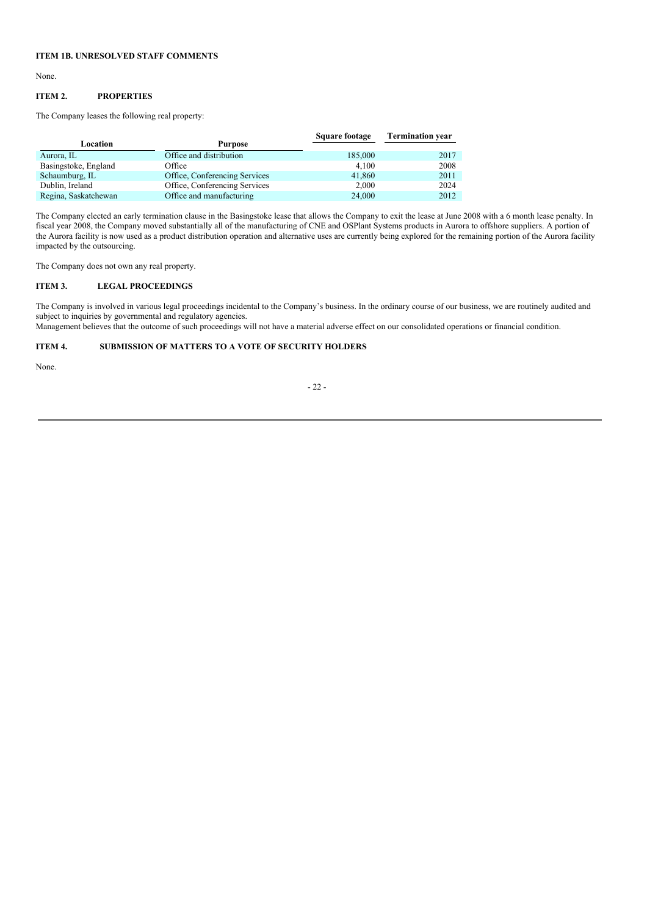# **ITEM 1B. UNRESOLVED STAFF COMMENTS**

None.

# **ITEM 2. PROPERTIES**

The Company leases the following real property:

|                      |                               | Square footage | <b>Termination year</b> |
|----------------------|-------------------------------|----------------|-------------------------|
| Location             | <b>Purpose</b>                |                |                         |
| Aurora, IL           | Office and distribution       | 185,000        | 2017                    |
| Basingstoke, England | Office                        | 4.100          | 2008                    |
| Schaumburg, IL       | Office, Conferencing Services | 41,860         | 2011                    |
| Dublin, Ireland      | Office, Conferencing Services | 2.000          | 2024                    |
| Regina, Saskatchewan | Office and manufacturing      | 24,000         | 2012                    |

The Company elected an early termination clause in the Basingstoke lease that allows the Company to exit the lease at June 2008 with a 6 month lease penalty. In fiscal year 2008, the Company moved substantially all of the manufacturing of CNE and OSPlant Systems products in Aurora to offshore suppliers. A portion of the Aurora facility is now used as a product distribution operation and alternative uses are currently being explored for the remaining portion of the Aurora facility impacted by the outsourcing.

The Company does not own any real property.

#### **ITEM 3. LEGAL PROCEEDINGS**

The Company is involved in various legal proceedings incidental to the Company's business. In the ordinary course of our business, we are routinely audited and subject to inquiries by governmental and regulatory agencies.

Management believes that the outcome of such proceedings will not have a material adverse effect on our consolidated operations or financial condition.

# **ITEM 4. SUBMISSION OF MATTERS TO A VOTE OF SECURITY HOLDERS**

None.

# - 22 -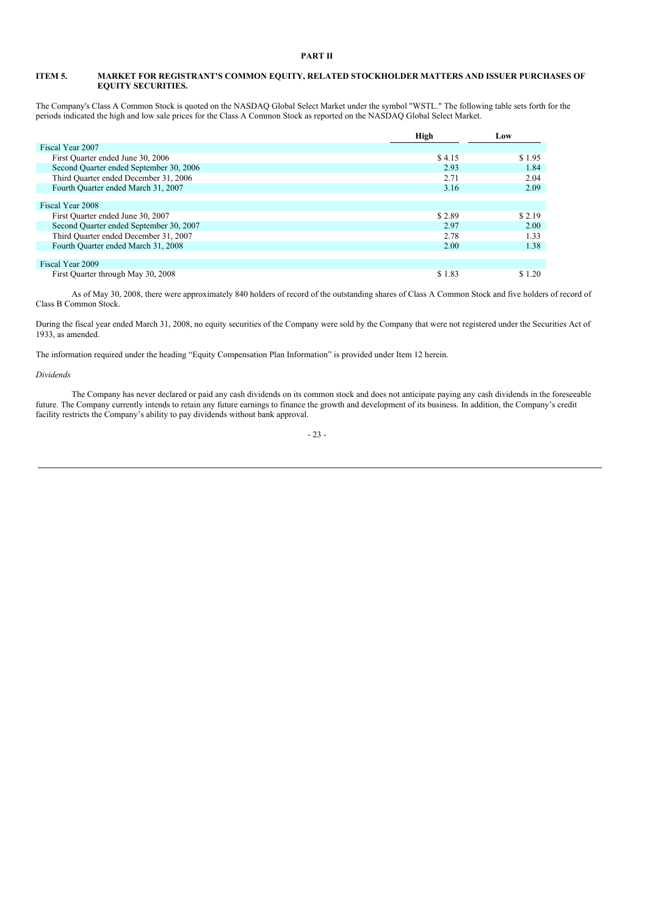## **ITEM 5. MARKET FOR REGISTRANT'S COMMON EQUITY, RELATED STOCKHOLDER MATTERS AND ISSUER PURCHASES OF EQUITY SECURITIES.**

The Company's Class A Common Stock is quoted on the NASDAQ Global Select Market under the symbol "WSTL." The following table sets forth for the periods indicated the high and low sale prices for the Class A Common Stock as reported on the NASDAQ Global Select Market.

|                                         | High   | Low    |
|-----------------------------------------|--------|--------|
| Fiscal Year 2007                        |        |        |
| First Ouarter ended June 30, 2006       | \$4.15 | \$1.95 |
| Second Quarter ended September 30, 2006 | 2.93   | 1.84   |
| Third Quarter ended December 31, 2006   | 2.71   | 2.04   |
| Fourth Ouarter ended March 31, 2007     | 3.16   | 2.09   |
|                                         |        |        |
| Fiscal Year 2008                        |        |        |
| First Quarter ended June 30, 2007       | \$2.89 | \$2.19 |
| Second Quarter ended September 30, 2007 | 2.97   | 2.00   |
| Third Ouarter ended December 31, 2007   | 2.78   | 1.33   |
| Fourth Quarter ended March 31, 2008     | 2.00   | 1.38   |
|                                         |        |        |
| Fiscal Year 2009                        |        |        |
| First Ouarter through May 30, 2008      | \$1.83 | \$1.20 |

As of May 30, 2008, there were approximately 840 holders of record of the outstanding shares of Class A Common Stock and five holders of record of Class B Common Stock.

During the fiscal year ended March 31, 2008, no equity securities of the Company were sold by the Company that were not registered under the Securities Act of 1933, as amended.

The information required under the heading "Equity Compensation Plan Information" is provided under Item 12 herein.

# *Dividends*

The Company has never declared or paid any cash dividends on its common stock and does not anticipate paying any cash dividends in the foreseeable future. The Company currently intends to retain any future earnings to finance the growth and development of its business. In addition, the Company's credit facility restricts the Company's ability to pay dividends without bank approval.

- 23 -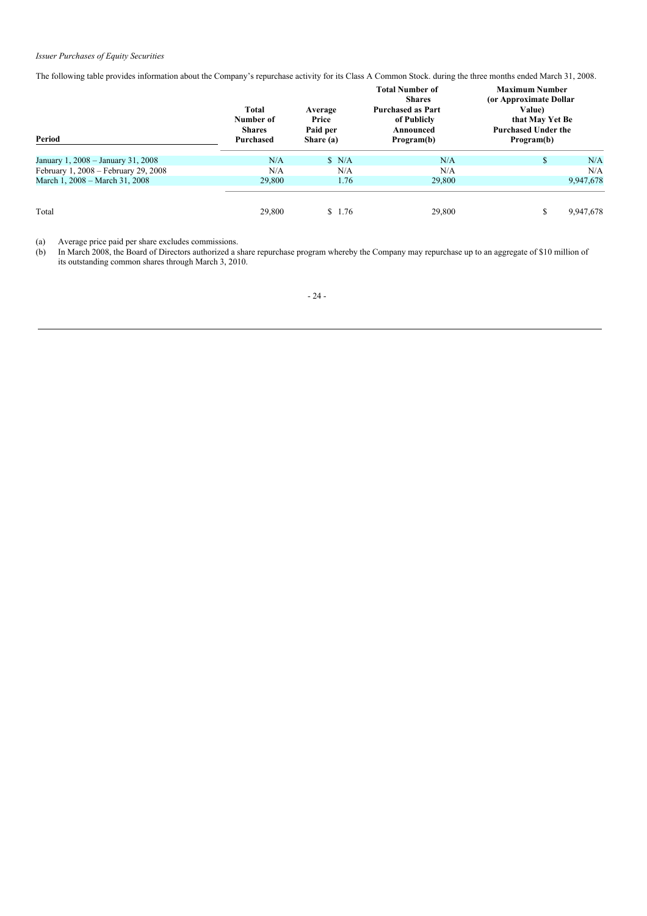# *Issuer Purchases of Equity Securities*

The following table provides information about the Company's repurchase activity for its Class A Common Stock. during the three months ended March 31, 2008.

| Period                               | <b>Total</b><br>Number of<br><b>Shares</b><br><b>Purchased</b> | Average<br>Price<br>Paid per<br>Share (a) | <b>Total Number of</b><br><b>Shares</b><br><b>Purchased as Part</b><br>of Publicly<br>Announced<br>Program(b) | <b>Maximum Number</b><br>(or Approximate Dollar)<br>Value)<br>that May Yet Be<br><b>Purchased Under the</b><br>Program(b) |           |  |
|--------------------------------------|----------------------------------------------------------------|-------------------------------------------|---------------------------------------------------------------------------------------------------------------|---------------------------------------------------------------------------------------------------------------------------|-----------|--|
| January 1, 2008 – January 31, 2008   | N/A                                                            | N/A                                       | N/A                                                                                                           | \$                                                                                                                        | N/A       |  |
| February 1, 2008 – February 29, 2008 | N/A                                                            | N/A                                       | N/A                                                                                                           |                                                                                                                           | N/A       |  |
| March 1, 2008 – March 31, 2008       | 29,800                                                         | 1.76                                      | 29,800                                                                                                        |                                                                                                                           | 9,947,678 |  |
| Total                                | 29,800                                                         | \$1.76                                    | 29,800                                                                                                        |                                                                                                                           | 9,947,678 |  |

(a) Average price paid per share excludes commissions.

(b) In March 2008, the Board of Directors authorized a share repurchase program whereby the Company may repurchase up to an aggregate of \$10 million of its outstanding common shares through March 3, 2010.

- 24 -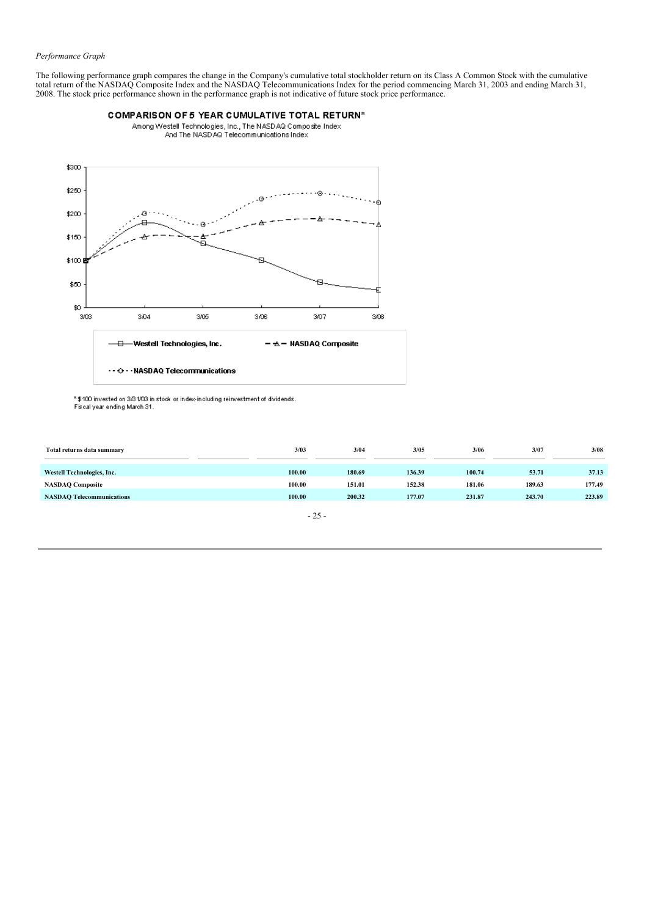# *Performance Graph*

The following performance graph compares the change in the Company's cumulative total stockholder return on its Class A Common Stock with the cumulative total return of the NASDAQ Composite Index and the NASDAQ Telecommunications Index for the period commencing March 31, 2003 and ending March 31, 2008. The stock price performance shown in the performance graph is not indicative of future stock price performance.

# COMPARISON OF 5 YEAR CUMULATIVE TOTAL RETURN\*

Among Westell Technologies, Inc., The NASDAQ Composite Index<br>Among Westell Technologies, Inc., The NASDAQ Composite Index<br>And The NASDAQ Telecommunications Index



\* \$100 invested on 3,31/03 in stock or index-including reinvestment of dividends.<br>Fiscal year ending March 31.

| Total returns data summary       | 3/03   | 3/04   | 3/05   | 3/06   | 3/07   | 3/08   |
|----------------------------------|--------|--------|--------|--------|--------|--------|
| Westell Technologies, Inc.       | 100.00 | 180.69 | 136.39 | 100.74 | 53.71  | 37.13  |
| <b>NASDAQ Composite</b>          | 100.00 | 151.01 | 152.38 | 181.06 | 189.63 | 177.49 |
| <b>NASDAQ Telecommunications</b> | 100.00 | 200.32 | 177.07 | 231.87 | 243.70 | 223.89 |
|                                  |        |        |        |        |        |        |

# - 25 -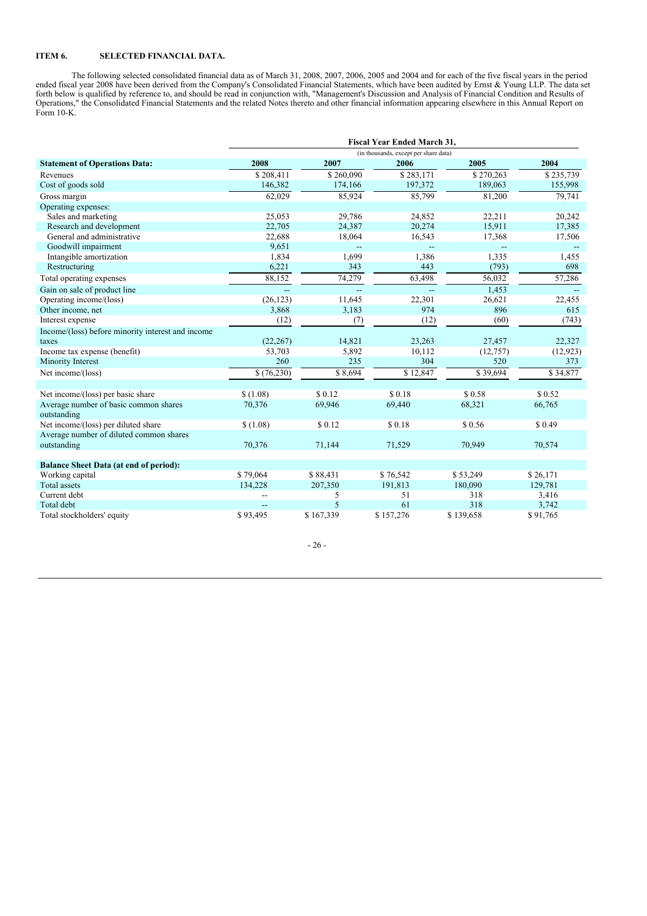# **ITEM 6. SELECTED FINANCIAL DATA.**

The following selected consolidated financial data as of March 31, 2008, 2007, 2006, 2005 and 2004 and for each of the five fiscal years in the period ended fiscal year 2008 have been derived from the Company's Consolidated Financial Statements, which have been audited by Ernst & Young LLP. The data set forth below is qualified by reference to, and should be read in conjunction with, "Management's Discussion and Analysis of Financial Condition and Results of Operations," the Consolidated Financial Statements and the related Notes thereto and other financial information appearing elsewhere in this Annual Report on Form 10-K.

|                                                      | <b>Fiscal Year Ended March 31,</b>    |           |           |           |           |
|------------------------------------------------------|---------------------------------------|-----------|-----------|-----------|-----------|
|                                                      | (in thousands, except per share data) |           |           |           |           |
| <b>Statement of Operations Data:</b>                 | 2008                                  | 2007      | 2006      | 2005      | 2004      |
| Revenues                                             | \$208,411                             | \$260,090 | \$283,171 | \$270,263 | \$235,739 |
| Cost of goods sold                                   | 146,382                               | 174,166   | 197,372   | 189,063   | 155,998   |
| Gross margin                                         | 62,029                                | 85,924    | 85,799    | 81,200    | 79,741    |
| Operating expenses:                                  |                                       |           |           |           |           |
| Sales and marketing                                  | 25,053                                | 29,786    | 24,852    | 22,211    | 20,242    |
| Research and development                             | 22,705                                | 24,387    | 20,274    | 15,911    | 17,385    |
| General and administrative                           | 22,688                                | 18,064    | 16,543    | 17,368    | 17,506    |
| Goodwill impairment                                  | 9,651                                 |           |           |           |           |
| Intangible amortization                              | 1,834                                 | 1,699     | 1,386     | 1.335     | 1,455     |
| Restructuring                                        | 6,221                                 | 343       | 443       | (793)     | 698       |
| Total operating expenses                             | 88,152                                | 74,279    | 63,498    | 56,032    | 57,286    |
| Gain on sale of product line                         | Ξ.                                    |           |           | 1,453     |           |
| Operating income/(loss)                              | (26, 123)                             | 11,645    | 22,301    | 26,621    | 22,455    |
| Other income, net                                    | 3,868                                 | 3,183     | 974       | 896       | 615       |
| Interest expense                                     | (12)                                  | (7)       | (12)      | (60)      | (743)     |
| Income/(loss) before minority interest and income    |                                       |           |           |           |           |
| taxes                                                | (22, 267)                             | 14,821    | 23,263    | 27,457    | 22,327    |
| Income tax expense (benefit)                         | 53,703                                | 5,892     | 10,112    | (12,757)  | (12, 923) |
| Minority Interest                                    | 260                                   | 235       | 304       | 520       | 373       |
| Net income/(loss)                                    | \$(76,230)                            | \$8,694   | \$12,847  | \$39,694  | \$34,877  |
|                                                      |                                       |           |           |           |           |
| Net income/(loss) per basic share                    | \$(1.08)                              | \$0.12    | \$0.18    | \$0.58    | \$0.52    |
| Average number of basic common shares<br>outstanding | 70,376                                | 69,946    | 69,440    | 68,321    | 66,765    |
| Net income/(loss) per diluted share                  | \$(1.08)                              | \$0.12    | \$0.18    | \$0.56    | \$0.49    |
| Average number of diluted common shares              |                                       |           |           |           |           |
| outstanding                                          | 70,376                                | 71,144    | 71,529    | 70,949    | 70,574    |
| <b>Balance Sheet Data (at end of period):</b>        |                                       |           |           |           |           |
| Working capital                                      | \$79,064                              | \$88,431  | \$76,542  | \$53,249  | \$26,171  |
| <b>Total</b> assets                                  | 134,228                               | 207,350   | 191,813   | 180,090   | 129,781   |
| Current debt                                         |                                       | 5         | 51        | 318       | 3,416     |
| Total debt                                           |                                       | 5         | 61        | 318       | 3,742     |
| Total stockholders' equity                           | \$93,495                              | \$167,339 | \$157,276 | \$139,658 | \$91,765  |

- 26 -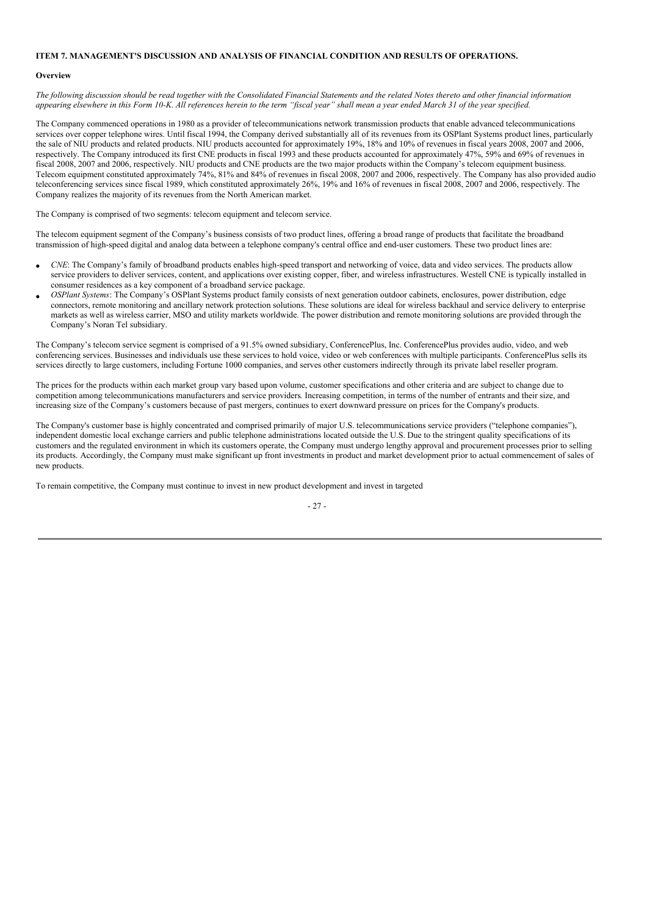# **ITEM 7. MANAGEMENT'S DISCUSSION AND ANALYSIS OF FINANCIAL CONDITION AND RESULTS OF OPERATIONS.**

### **Overview**

The following discussion should be read together with the Consolidated Financial Statements and the related Notes thereto and other financial information appearing elsewhere in this Form 10-K. All references herein to the term "fiscal year" shall mean a year ended March 31 of the year specified.

The Company commenced operations in 1980 as a provider of telecommunications network transmission products that enable advanced telecommunications services over copper telephone wires. Until fiscal 1994, the Company derived substantially all of its revenues from its OSPlant Systems product lines, particularly the sale of NIU products and related products. NIU products accounted for approximately 19%, 18% and 10% of revenues in fiscal years 2008, 2007 and 2006, respectively. The Company introduced its first CNE products in fiscal 1993 and these products accounted for approximately 47%, 59% and 69% of revenues in fiscal 2008, 2007 and 2006, respectively. NIU products and CNE products are the two major products within the Company's telecom equipment business. Telecom equipment constituted approximately 74%, 81% and 84% of revenues in fiscal 2008, 2007 and 2006, respectively. The Company has also provided audio teleconferencing services since fiscal 1989, which constituted approximately 26%, 19% and 16% of revenues in fiscal 2008, 2007 and 2006, respectively. The Company realizes the majority of its revenues from the North American market.

The Company is comprised of two segments: telecom equipment and telecom service.

The telecom equipment segment of the Company's business consists of two product lines, offering a broad range of products that facilitate the broadband transmission of high-speed digital and analog data between a telephone company's central office and end-user customers*.* These two product lines are:

- **•** *CNE*: The Company's family of broadband products enables high-speed transport and networking of voice, data and video services. The products allow service providers to deliver services, content, and applications over existing copper, fiber, and wireless infrastructures. Westell CNE is typically installed in consumer residences as a key component of a broadband service package.
- **•** *OSPlant Systems*: The Company's OSPlant Systems product family consists of next generation outdoor cabinets, enclosures, power distribution, edge connectors, remote monitoring and ancillary network protection solutions. These solutions are ideal for wireless backhaul and service delivery to enterprise markets as well as wireless carrier, MSO and utility markets worldwide. The power distribution and remote monitoring solutions are provided through the Company's Noran Tel subsidiary.

The Company's telecom service segment is comprised of a 91.5% owned subsidiary, ConferencePlus, Inc. ConferencePlus provides audio, video, and web conferencing services. Businesses and individuals use these services to hold voice, video or web conferences with multiple participants. ConferencePlus sells its services directly to large customers, including Fortune 1000 companies, and serves other customers indirectly through its private label reseller program.

The prices for the products within each market group vary based upon volume, customer specifications and other criteria and are subject to change due to competition among telecommunications manufacturers and service providers*.* Increasing competition, in terms of the number of entrants and their size, and increasing size of the Company's customers because of past mergers, continues to exert downward pressure on prices for the Company's products.

The Company's customer base is highly concentrated and comprised primarily of major U.S. telecommunications service providers ("telephone companies"), independent domestic local exchange carriers and public telephone administrations located outside the U.S. Due to the stringent quality specifications of its customers and the regulated environment in which its customers operate, the Company must undergo lengthy approval and procurement processes prior to selling its products. Accordingly, the Company must make significant up front investments in product and market development prior to actual commencement of sales of new products.

To remain competitive, the Company must continue to invest in new product development and invest in targeted

$$
-27 -
$$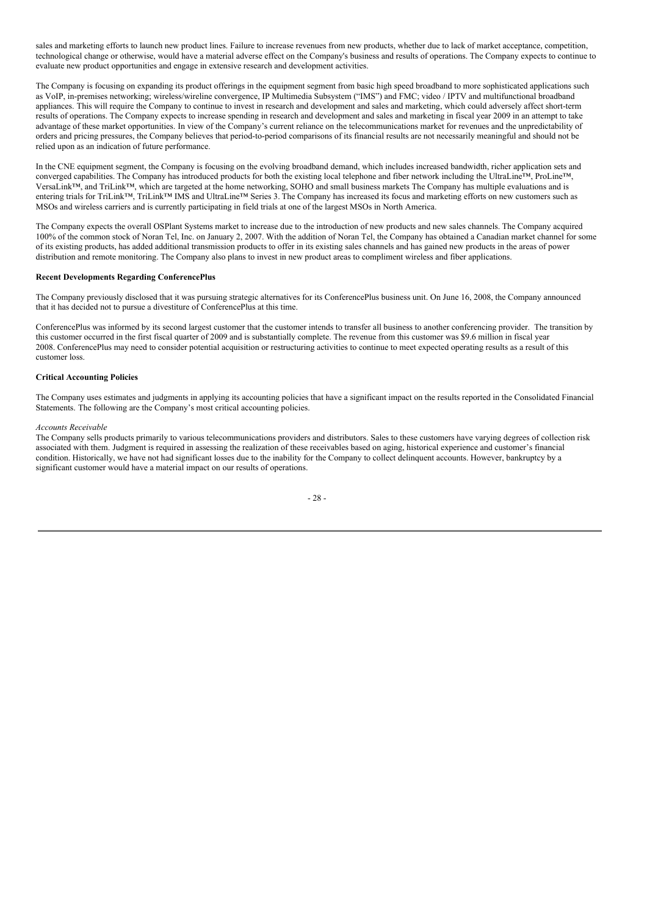sales and marketing efforts to launch new product lines. Failure to increase revenues from new products, whether due to lack of market acceptance, competition, technological change or otherwise, would have a material adverse effect on the Company's business and results of operations. The Company expects to continue to evaluate new product opportunities and engage in extensive research and development activities.

The Company is focusing on expanding its product offerings in the equipment segment from basic high speed broadband to more sophisticated applications such as VoIP, in-premises networking; wireless/wireline convergence, IP Multimedia Subsystem ("IMS") and FMC; video / IPTV and multifunctional broadband appliances. This will require the Company to continue to invest in research and development and sales and marketing, which could adversely affect short-term results of operations. The Company expects to increase spending in research and development and sales and marketing in fiscal year 2009 in an attempt to take advantage of these market opportunities. In view of the Company's current reliance on the telecommunications market for revenues and the unpredictability of orders and pricing pressures, the Company believes that period-to-period comparisons of its financial results are not necessarily meaningful and should not be relied upon as an indication of future performance.

In the CNE equipment segment, the Company is focusing on the evolving broadband demand, which includes increased bandwidth, richer application sets and converged capabilities. The Company has introduced products for both the existing local telephone and fiber network including the UltraLine™, ProLine™, VersaLink™, and TriLink™, which are targeted at the home networking, SOHO and small business markets The Company has multiple evaluations and is entering trials for TriLink™, TriLink™ IMS and UltraLine™ Series 3. The Company has increased its focus and marketing efforts on new customers such as MSOs and wireless carriers and is currently participating in field trials at one of the largest MSOs in North America.

The Company expects the overall OSPlant Systems market to increase due to the introduction of new products and new sales channels. The Company acquired 100% of the common stock of Noran Tel, Inc. on January 2, 2007. With the addition of Noran Tel, the Company has obtained a Canadian market channel for some of its existing products, has added additional transmission products to offer in its existing sales channels and has gained new products in the areas of power distribution and remote monitoring. The Company also plans to invest in new product areas to compliment wireless and fiber applications.

## **Recent Developments Regarding ConferencePlus**

The Company previously disclosed that it was pursuing strategic alternatives for its ConferencePlus business unit. On June 16, 2008, the Company announced that it has decided not to pursue a divestiture of ConferencePlus at this time.

ConferencePlus was informed by its second largest customer that the customer intends to transfer all business to another conferencing provider. The transition by this customer occurred in the first fiscal quarter of 2009 and is substantially complete. The revenue from this customer was \$9.6 million in fiscal year 2008. ConferencePlus may need to consider potential acquisition or restructuring activities to continue to meet expected operating results as a result of this customer loss.

# **Critical Accounting Policies**

The Company uses estimates and judgments in applying its accounting policies that have a significant impact on the results reported in the Consolidated Financial Statements. The following are the Company's most critical accounting policies.

#### *Accounts Receivable*

The Company sells products primarily to various telecommunications providers and distributors. Sales to these customers have varying degrees of collection risk associated with them. Judgment is required in assessing the realization of these receivables based on aging, historical experience and customer's financial condition. Historically, we have not had significant losses due to the inability for the Company to collect delinquent accounts. However, bankruptcy by a significant customer would have a material impact on our results of operations.

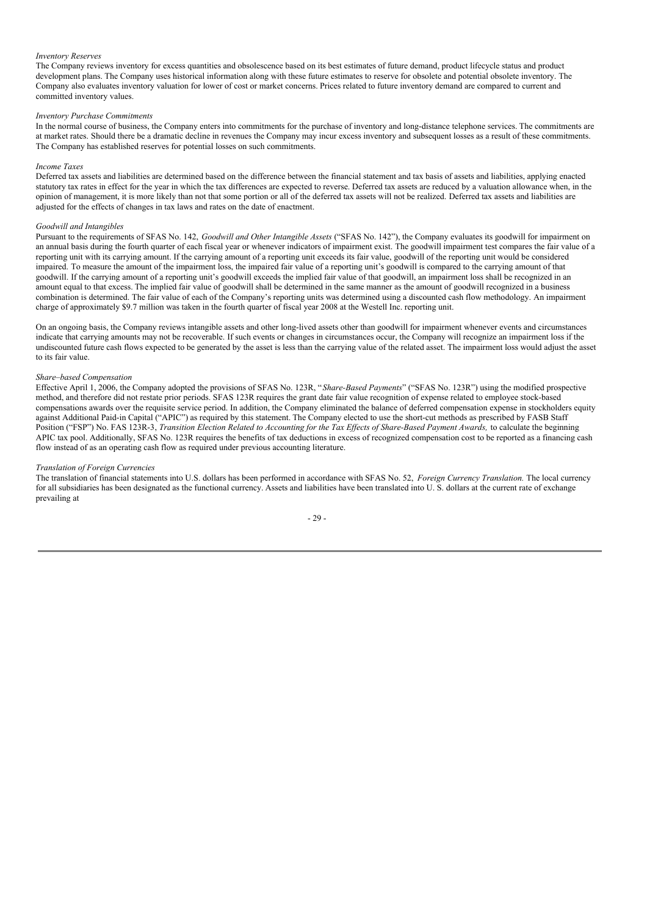#### *Inventory Reserves*

The Company reviews inventory for excess quantities and obsolescence based on its best estimates of future demand, product lifecycle status and product development plans. The Company uses historical information along with these future estimates to reserve for obsolete and potential obsolete inventory. The Company also evaluates inventory valuation for lower of cost or market concerns. Prices related to future inventory demand are compared to current and committed inventory values.

#### *Inventory Purchase Commitments*

In the normal course of business, the Company enters into commitments for the purchase of inventory and long-distance telephone services. The commitments are at market rates. Should there be a dramatic decline in revenues the Company may incur excess inventory and subsequent losses as a result of these commitments. The Company has established reserves for potential losses on such commitments.

#### *Income Taxes*

Deferred tax assets and liabilities are determined based on the difference between the financial statement and tax basis of assets and liabilities, applying enacted statutory tax rates in effect for the year in which the tax differences are expected to reverse. Deferred tax assets are reduced by a valuation allowance when, in the opinion of management, it is more likely than not that some portion or all of the deferred tax assets will not be realized. Deferred tax assets and liabilities are adjusted for the effects of changes in tax laws and rates on the date of enactment.

#### *Goodwill and Intangibles*

Pursuant to the requirements of SFAS No. 142, *Goodwill and Other Intangible Assets* ("SFAS No. 142"), the Company evaluates its goodwill for impairment on an annual basis during the fourth quarter of each fiscal year or whenever indicators of impairment exist. The goodwill impairment test compares the fair value of a reporting unit with its carrying amount. If the carrying amount of a reporting unit exceeds its fair value, goodwill of the reporting unit would be considered impaired. To measure the amount of the impairment loss, the impaired fair value of a reporting unit's goodwill is compared to the carrying amount of that goodwill. If the carrying amount of a reporting unit's goodwill exceeds the implied fair value of that goodwill, an impairment loss shall be recognized in an amount equal to that excess. The implied fair value of goodwill shall be determined in the same manner as the amount of goodwill recognized in a business combination is determined. The fair value of each of the Company's reporting units was determined using a discounted cash flow methodology. An impairment charge of approximately \$9.7 million was taken in the fourth quarter of fiscal year 2008 at the Westell Inc. reporting unit.

On an ongoing basis, the Company reviews intangible assets and other long-lived assets other than goodwill for impairment whenever events and circumstances indicate that carrying amounts may not be recoverable. If such events or changes in circumstances occur, the Company will recognize an impairment loss if the undiscounted future cash flows expected to be generated by the asset is less than the carrying value of the related asset. The impairment loss would adjust the asset to its fair value.

# *Share–based Compensation*

Effective April 1, 2006, the Company adopted the provisions of SFAS No. 123R, "*Share-Based Payments*" ("SFAS No. 123R") using the modified prospective method, and therefore did not restate prior periods. SFAS 123R requires the grant date fair value recognition of expense related to employee stock-based compensations awards over the requisite service period. In addition, the Company eliminated the balance of deferred compensation expense in stockholders equity against Additional Paid-in Capital ("APIC") as required by this statement. The Company elected to use the short-cut methods as prescribed by FASB Staff Position ("FSP") No. FAS 123R-3, Transition Election Related to Accounting for the Tax Effects of Share-Based Payment Awards, to calculate the beginning APIC tax pool. Additionally, SFAS No. 123R requires the benefits of tax deductions in excess of recognized compensation cost to be reported as a financing cash flow instead of as an operating cash flow as required under previous accounting literature.

## *Translation of Foreign Currencies*

The translation of financial statements into U.S. dollars has been performed in accordance with SFAS No. 52, *Foreign Currency Translation.* The local currency for all subsidiaries has been designated as the functional currency. Assets and liabilities have been translated into U. S. dollars at the current rate of exchange prevailing at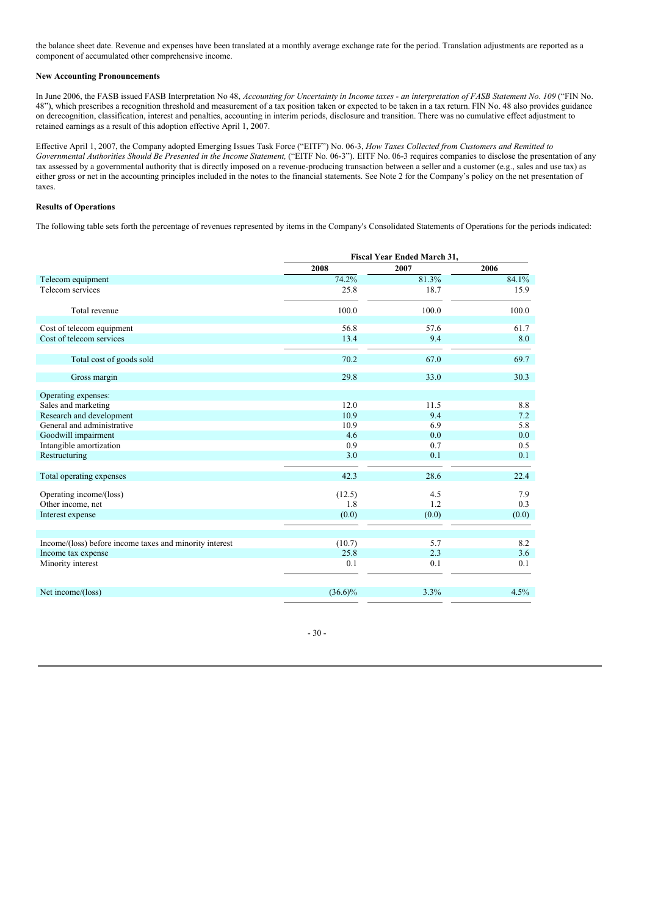the balance sheet date. Revenue and expenses have been translated at a monthly average exchange rate for the period. Translation adjustments are reported as a component of accumulated other comprehensive income.

# **New Accounting Pronouncements**

In June 2006, the FASB issued FASB Interpretation No 48, Accounting for Uncertainty in Income taxes - an interpretation of FASB Statement No. 109 ("FIN No. 48"), which prescribes a recognition threshold and measurement of a tax position taken or expected to be taken in a tax return. FIN No. 48 also provides guidance on derecognition, classification, interest and penalties, accounting in interim periods, disclosure and transition. There was no cumulative effect adjustment to retained earnings as a result of this adoption effective April 1, 2007.

Effective April 1, 2007, the Company adopted Emerging Issues Task Force ("EITF") No. 06-3, *How Taxes Collected from Customers and Remitted to Governmental Authorities Should Be Presented in the Income Statement,* ("EITF No. 06-3"). EITF No. 06-3 requires companies to disclose the presentation of any tax assessed by a governmental authority that is directly imposed on a revenue-producing transaction between a seller and a customer (e.g., sales and use tax) as either gross or net in the accounting principles included in the notes to the financial statements. See Note 2 for the Company's policy on the net presentation of taxes.

# **Results of Operations**

The following table sets forth the percentage of revenues represented by items in the Company's Consolidated Statements of Operations for the periods indicated:

|                                                         | <b>Fiscal Year Ended March 31,</b> |       |       |  |
|---------------------------------------------------------|------------------------------------|-------|-------|--|
|                                                         | 2008                               | 2007  | 2006  |  |
| Telecom equipment                                       | 74.2%                              | 81.3% | 84.1% |  |
| Telecom services                                        | 25.8                               | 18.7  | 15.9  |  |
| Total revenue                                           | 100.0                              | 100.0 | 100.0 |  |
| Cost of telecom equipment                               | 56.8                               | 57.6  | 61.7  |  |
| Cost of telecom services                                | 13.4                               | 9.4   | 8.0   |  |
| Total cost of goods sold                                | 70.2                               | 67.0  | 69.7  |  |
| Gross margin                                            | 29.8                               | 33.0  | 30.3  |  |
| Operating expenses:                                     |                                    |       |       |  |
| Sales and marketing                                     | 12.0                               | 11.5  | 8.8   |  |
| Research and development                                | 10.9                               | 9.4   | 7.2   |  |
| General and administrative                              | 10.9                               | 6.9   | 5.8   |  |
| Goodwill impairment                                     | 4.6                                | 0.0   | 0.0   |  |
| Intangible amortization                                 | 0.9                                | 0.7   | 0.5   |  |
| Restructuring                                           | 3.0                                | 0.1   | 0.1   |  |
| Total operating expenses                                | 42.3                               | 28.6  | 22.4  |  |
| Operating income/(loss)                                 | (12.5)                             | 4.5   | 7.9   |  |
| Other income, net                                       | 1.8                                | 1.2   | 0.3   |  |
| Interest expense                                        | (0.0)                              | (0.0) | (0.0) |  |
|                                                         |                                    |       |       |  |
| Income/(loss) before income taxes and minority interest | (10.7)                             | 5.7   | 8.2   |  |
| Income tax expense                                      | 25.8                               | 2.3   | 3.6   |  |
| Minority interest                                       | 0.1                                | 0.1   | 0.1   |  |
|                                                         |                                    |       |       |  |
| Net income/(loss)                                       | $(36.6)\%$                         | 3.3%  | 4.5%  |  |

- 30 -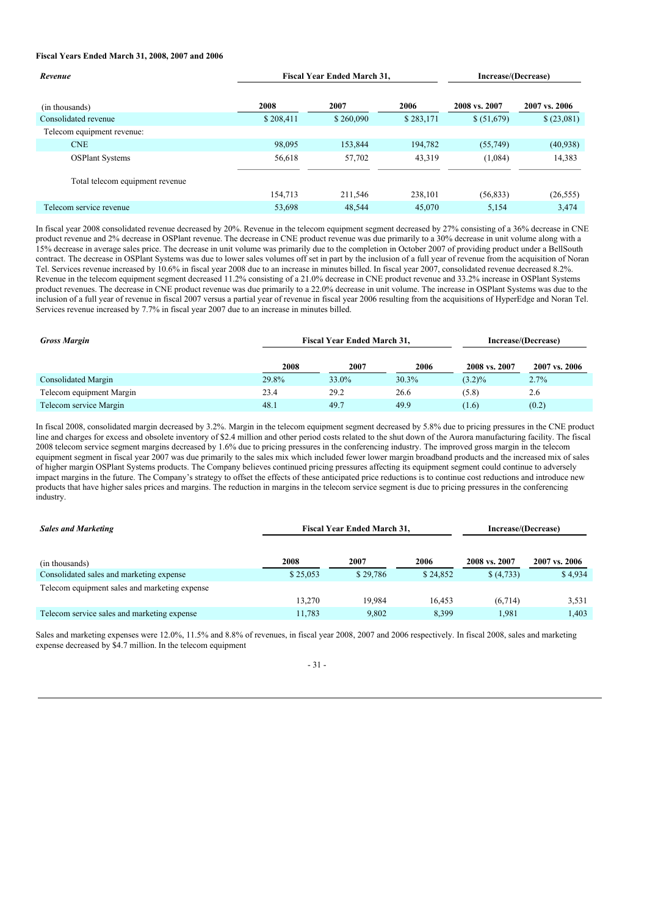# **Fiscal Years Ended March 31, 2008, 2007 and 2006**

| Revenue                         | <b>Fiscal Year Ended March 31,</b> |           |           | Increase/(Decrease) |               |  |
|---------------------------------|------------------------------------|-----------|-----------|---------------------|---------------|--|
| (in thousands)                  | 2008                               | 2007      | 2006      | 2008 vs. 2007       | 2007 vs. 2006 |  |
| Consolidated revenue            | \$208,411                          | \$260,090 | \$283,171 | \$ (51,679)         | \$(23,081)    |  |
| Telecom equipment revenue:      |                                    |           |           |                     |               |  |
| <b>CNE</b>                      | 98,095                             | 153,844   | 194.782   | (55,749)            | (40,938)      |  |
| <b>OSPlant Systems</b>          | 56,618                             | 57,702    | 43,319    | (1,084)             | 14,383        |  |
| Total telecom equipment revenue | 154.713                            | 211,546   | 238.101   | (56, 833)           | (26, 555)     |  |
| Telecom service revenue         | 53,698                             | 48,544    | 45,070    | 5,154               | 3,474         |  |

In fiscal year 2008 consolidated revenue decreased by 20%. Revenue in the telecom equipment segment decreased by 27% consisting of a 36% decrease in CNE product revenue and 2% decrease in OSPlant revenue. The decrease in CNE product revenue was due primarily to a 30% decrease in unit volume along with a 15% decrease in average sales price. The decrease in unit volume was primarily due to the completion in October 2007 of providing product under a BellSouth contract. The decrease in OSPlant Systems was due to lower sales volumes off set in part by the inclusion of a full year of revenue from the acquisition of Noran Tel. Services revenue increased by 10.6% in fiscal year 2008 due to an increase in minutes billed. In fiscal year 2007, consolidated revenue decreased 8.2%. Revenue in the telecom equipment segment decreased 11.2% consisting of a 21.0% decrease in CNE product revenue and 33.2% increase in OSPlant Systems product revenues. The decrease in CNE product revenue was due primarily to a 22.0% decrease in unit volume. The increase in OSPlant Systems was due to the inclusion of a full year of revenue in fiscal 2007 versus a partial year of revenue in fiscal year 2006 resulting from the acquisitions of HyperEdge and Noran Tel. Services revenue increased by 7.7% in fiscal year 2007 due to an increase in minutes billed.

| <b>Gross Margin</b>      |       | <b>Fiscal Year Ended March 31,</b> | Increase/(Decrease) |               |               |
|--------------------------|-------|------------------------------------|---------------------|---------------|---------------|
|                          | 2008  | 2007                               | 2006                | 2008 vs. 2007 | 2007 vs. 2006 |
| Consolidated Margin      | 29.8% | 33.0%                              | 30.3%               | $(3.2)\%$     | 2.7%          |
| Telecom equipment Margin | 23.4  | 29.2                               | 26.6                | (5.8)         | 2.6           |
| Telecom service Margin   | 48.1  | 49.7                               | 49.9                | (1.6)         | (0.2)         |

In fiscal 2008, consolidated margin decreased by 3.2%. Margin in the telecom equipment segment decreased by 5.8% due to pricing pressures in the CNE product line and charges for excess and obsolete inventory of \$2.4 million and other period costs related to the shut down of the Aurora manufacturing facility. The fiscal 2008 telecom service segment margins decreased by 1.6% due to pricing pressures in the conferencing industry. The improved gross margin in the telecom equipment segment in fiscal year 2007 was due primarily to the sales mix which included fewer lower margin broadband products and the increased mix of sales of higher margin OSPlant Systems products. The Company believes continued pricing pressures affecting its equipment segment could continue to adversely impact margins in the future. The Company's strategy to offset the effects of these anticipated price reductions is to continue cost reductions and introduce new products that have higher sales prices and margins. The reduction in margins in the telecom service segment is due to pricing pressures in the conferencing industry.

| <b>Sales and Marketing</b>                    | <b>Fiscal Year Ended March 31.</b> |          |          | Increase/(Decrease) |               |
|-----------------------------------------------|------------------------------------|----------|----------|---------------------|---------------|
| (in thousands)                                | 2008                               | 2007     | 2006     | 2008 vs. 2007       | 2007 vs. 2006 |
| Consolidated sales and marketing expense      | \$25.053                           | \$29,786 | \$24,852 | \$ (4,733)          | \$4,934       |
| Telecom equipment sales and marketing expense |                                    |          |          |                     |               |
|                                               | 13.270                             | 19.984   | 16.453   | (6, 714)            | 3,531         |
| Telecom service sales and marketing expense   | 11.783                             | 9.802    | 8,399    | 1.981               | 1,403         |

Sales and marketing expenses were 12.0%, 11.5% and 8.8% of revenues, in fiscal year 2008, 2007 and 2006 respectively. In fiscal 2008, sales and marketing expense decreased by \$4.7 million. In the telecom equipment

#### - 31 -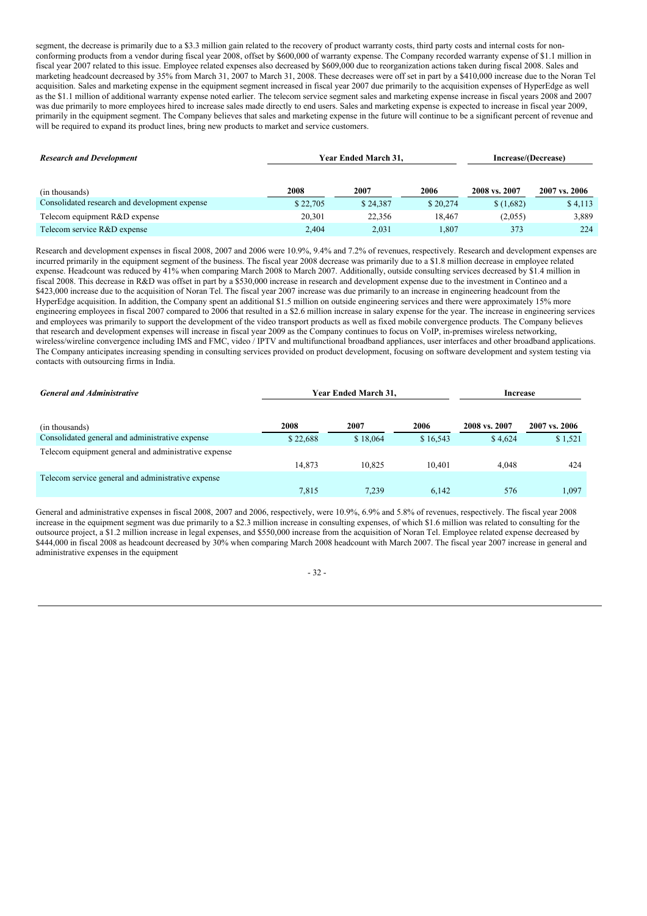segment, the decrease is primarily due to a \$3.3 million gain related to the recovery of product warranty costs, third party costs and internal costs for nonconforming products from a vendor during fiscal year 2008, offset by \$600,000 of warranty expense. The Company recorded warranty expense of \$1.1 million in fiscal year 2007 related to this issue. Employee related expenses also decreased by \$609,000 due to reorganization actions taken during fiscal 2008. Sales and marketing headcount decreased by 35% from March 31, 2007 to March 31, 2008. These decreases were off set in part by a \$410,000 increase due to the Noran Tel acquisition. Sales and marketing expense in the equipment segment increased in fiscal year 2007 due primarily to the acquisition expenses of HyperEdge as well as the \$1.1 million of additional warranty expense noted earlier. The telecom service segment sales and marketing expense increase in fiscal years 2008 and 2007 was due primarily to more employees hired to increase sales made directly to end users. Sales and marketing expense is expected to increase in fiscal year 2009, primarily in the equipment segment. The Company believes that sales and marketing expense in the future will continue to be a significant percent of revenue and will be required to expand its product lines, bring new products to market and service customers.

| <b>Research and Development</b>               | Year Ended March 31, |          |          | Increase/(Decrease) |               |
|-----------------------------------------------|----------------------|----------|----------|---------------------|---------------|
| (in thousands)                                | 2008                 | 2007     | 2006     | 2008 vs. 2007       | 2007 vs. 2006 |
| Consolidated research and development expense | \$22,705             | \$24,387 | \$20,274 | \$(1,682)           | \$4,113       |
| Telecom equipment R&D expense                 | 20.301               | 22.356   | 18.467   | (2.055)             | 3,889         |
| Telecom service R&D expense                   | 2.404                | 2.031    | 1.807    | 373                 | 224           |

Research and development expenses in fiscal 2008, 2007 and 2006 were 10.9%, 9.4% and 7.2% of revenues, respectively. Research and development expenses are incurred primarily in the equipment segment of the business. The fiscal year 2008 decrease was primarily due to a \$1.8 million decrease in employee related expense. Headcount was reduced by 41% when comparing March 2008 to March 2007. Additionally, outside consulting services decreased by \$1.4 million in fiscal 2008. This decrease in R&D was offset in part by a \$530,000 increase in research and development expense due to the investment in Contineo and a \$423,000 increase due to the acquisition of Noran Tel. The fiscal year 2007 increase was due primarily to an increase in engineering headcount from the HyperEdge acquisition. In addition, the Company spent an additional \$1.5 million on outside engineering services and there were approximately 15% more engineering employees in fiscal 2007 compared to 2006 that resulted in a \$2.6 million increase in salary expense for the year. The increase in engineering services and employees was primarily to support the development of the video transport products as well as fixed mobile convergence products. The Company believes that research and development expenses will increase in fiscal year 2009 as the Company continues to focus on VoIP, in-premises wireless networking, wireless/wireline convergence including IMS and FMC, video / IPTV and multifunctional broadband appliances, user interfaces and other broadband applications. The Company anticipates increasing spending in consulting services provided on product development, focusing on software development and system testing via contacts with outsourcing firms in India.

| <b>General and Administrative</b>                    | Year Ended March 31. |          | Increase |               |               |
|------------------------------------------------------|----------------------|----------|----------|---------------|---------------|
| (in thousands)                                       | 2008                 | 2007     | 2006     | 2008 vs. 2007 | 2007 vs. 2006 |
| Consolidated general and administrative expense      | \$22,688             | \$18,064 | \$16.543 | \$4.624       | \$1,521       |
| Telecom equipment general and administrative expense |                      |          |          |               |               |
|                                                      | 14.873               | 10.825   | 10.401   | 4.048         | 424           |
| Telecom service general and administrative expense   |                      |          |          |               |               |
|                                                      | 7,815                | 7.239    | 6,142    | 576           | 1.097         |

General and administrative expenses in fiscal 2008, 2007 and 2006, respectively, were 10.9%, 6.9% and 5.8% of revenues, respectively. The fiscal year 2008 increase in the equipment segment was due primarily to a \$2.3 million increase in consulting expenses, of which \$1.6 million was related to consulting for the outsource project, a \$1.2 million increase in legal expenses, and \$550,000 increase from the acquisition of Noran Tel. Employee related expense decreased by \$444,000 in fiscal 2008 as headcount decreased by 30% when comparing March 2008 headcount with March 2007. The fiscal year 2007 increase in general and administrative expenses in the equipment

- 32 -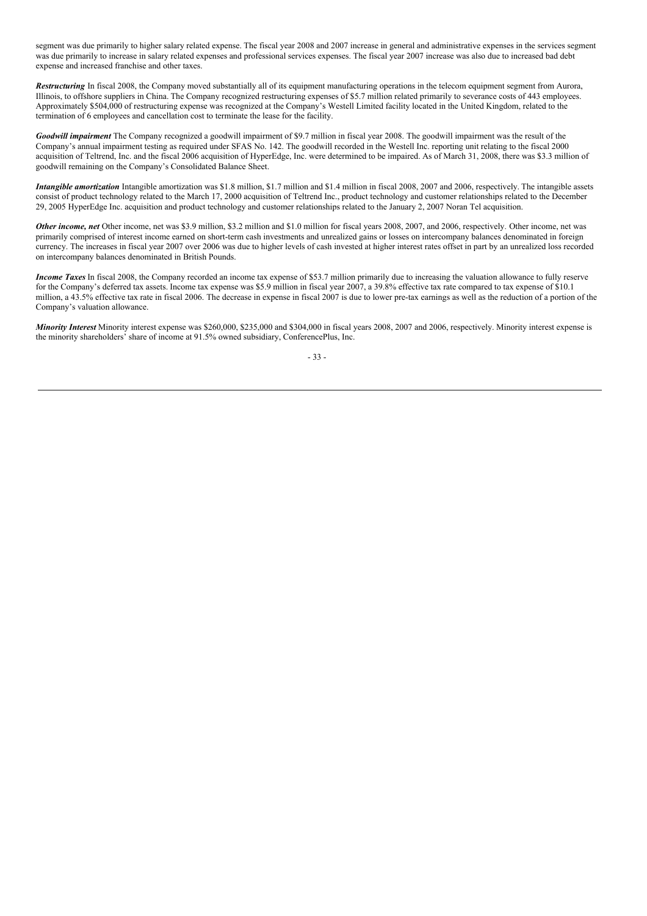segment was due primarily to higher salary related expense. The fiscal year 2008 and 2007 increase in general and administrative expenses in the services segment was due primarily to increase in salary related expenses and professional services expenses. The fiscal year 2007 increase was also due to increased bad debt expense and increased franchise and other taxes.

*Restructuring* In fiscal 2008, the Company moved substantially all of its equipment manufacturing operations in the telecom equipment segment from Aurora, Illinois, to offshore suppliers in China. The Company recognized restructuring expenses of \$5.7 million related primarily to severance costs of 443 employees. Approximately \$504,000 of restructuring expense was recognized at the Company's Westell Limited facility located in the United Kingdom, related to the termination of 6 employees and cancellation cost to terminate the lease for the facility.

*Goodwill impairment* The Company recognized a goodwill impairment of \$9.7 million in fiscal year 2008. The goodwill impairment was the result of the Company's annual impairment testing as required under SFAS No. 142. The goodwill recorded in the Westell Inc. reporting unit relating to the fiscal 2000 acquisition of Teltrend, Inc. and the fiscal 2006 acquisition of HyperEdge, Inc. were determined to be impaired. As of March 31, 2008, there was \$3.3 million of goodwill remaining on the Company's Consolidated Balance Sheet.

*Intangible amortization* Intangible amortization was \$1.8 million, \$1.7 million and \$1.4 million in fiscal 2008, 2007 and 2006, respectively. The intangible assets consist of product technology related to the March 17, 2000 acquisition of Teltrend Inc., product technology and customer relationships related to the December 29, 2005 HyperEdge Inc. acquisition and product technology and customer relationships related to the January 2, 2007 Noran Tel acquisition.

*Other income, net* Other income, net was \$3.9 million, \$3.2 million and \$1.0 million for fiscal years 2008, 2007, and 2006, respectively*.* Other income, net was primarily comprised of interest income earned on short-term cash investments and unrealized gains or losses on intercompany balances denominated in foreign currency. The increases in fiscal year 2007 over 2006 was due to higher levels of cash invested at higher interest rates offset in part by an unrealized loss recorded on intercompany balances denominated in British Pounds.

*Income Taxes* In fiscal 2008, the Company recorded an income tax expense of \$53.7 million primarily due to increasing the valuation allowance to fully reserve for the Company's deferred tax assets. Income tax expense was \$5.9 million in fiscal year 2007, a 39.8% effective tax rate compared to tax expense of \$10.1 million, a 43.5% effective tax rate in fiscal 2006. The decrease in expense in fiscal 2007 is due to lower pre-tax earnings as well as the reduction of a portion of the Company's valuation allowance.

*Minority Interest* Minority interest expense was \$260,000, \$235,000 and \$304,000 in fiscal years 2008, 2007 and 2006, respectively. Minority interest expense is the minority shareholders' share of income at 91.5% owned subsidiary, ConferencePlus, Inc.

- 33 -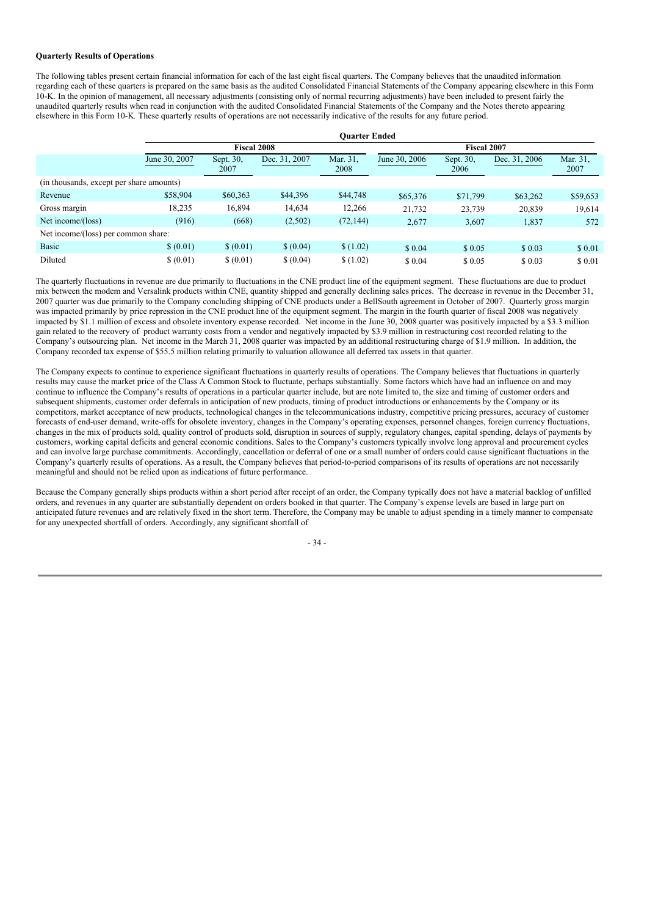# **Quarterly Results of Operations**

The following tables present certain financial information for each of the last eight fiscal quarters. The Company believes that the unaudited information regarding each of these quarters is prepared on the same basis as the audited Consolidated Financial Statements of the Company appearing elsewhere in this Form 10-K*.* In the opinion of management, all necessary adjustments (consisting only of normal recurring adjustments) have been included to present fairly the unaudited quarterly results when read in conjunction with the audited Consolidated Financial Statements of the Company and the Notes thereto appearing elsewhere in this Form 10-K*.* These quarterly results of operations are not necessarily indicative of the results for any future period.

|                                          | <b>Ouarter Ended</b> |                    |               |                  |               |                   |               |                  |
|------------------------------------------|----------------------|--------------------|---------------|------------------|---------------|-------------------|---------------|------------------|
|                                          |                      | <b>Fiscal 2008</b> |               |                  | Fiscal 2007   |                   |               |                  |
|                                          | June 30, 2007        | Sept. 30,<br>2007  | Dec. 31, 2007 | Mar. 31,<br>2008 | June 30, 2006 | Sept. 30,<br>2006 | Dec. 31, 2006 | Mar. 31,<br>2007 |
| (in thousands, except per share amounts) |                      |                    |               |                  |               |                   |               |                  |
| Revenue                                  | \$58,904             | \$60,363           | \$44,396      | \$44,748         | \$65,376      | \$71,799          | \$63,262      | \$59,653         |
| Gross margin                             | 18,235               | 16,894             | 14,634        | 12,266           | 21,732        | 23,739            | 20,839        | 19,614           |
| Net income/ $(\text{loss})$              | (916)                | (668)              | (2,502)       | (72, 144)        | 2,677         | 3,607             | 1,837         | 572              |
| Net income/(loss) per common share:      |                      |                    |               |                  |               |                   |               |                  |
| <b>Basic</b>                             | \$(0.01)             | \$(0.01)           | \$ (0.04)     | \$(1.02)         | \$0.04        | \$0.05            | \$0.03        | \$ 0.01          |
| Diluted                                  | \$(0.01)             | \$(0.01)           | \$ (0.04)     | \$(1.02)         | \$0.04        | \$0.05            | \$0.03        | \$ 0.01          |

The quarterly fluctuations in revenue are due primarily to fluctuations in the CNE product line of the equipment segment. These fluctuations are due to product mix between the modem and Versalink products within CNE, quantity shipped and generally declining sales prices. The decrease in revenue in the December 31, 2007 quarter was due primarily to the Company concluding shipping of CNE products under a BellSouth agreement in October of 2007. Quarterly gross margin was impacted primarily by price repression in the CNE product line of the equipment segment. The margin in the fourth quarter of fiscal 2008 was negatively impacted by \$1.1 million of excess and obsolete inventory expense recorded. Net income in the June 30, 2008 quarter was positively impacted by a \$3.3 million gain related to the recovery of product warranty costs from a vendor and negatively impacted by \$3.9 million in restructuring cost recorded relating to the Company's outsourcing plan. Net income in the March 31, 2008 quarter was impacted by an additional restructuring charge of \$1.9 million. In addition, the Company recorded tax expense of \$55.5 million relating primarily to valuation allowance all deferred tax assets in that quarter.

The Company expects to continue to experience significant fluctuations in quarterly results of operations. The Company believes that fluctuations in quarterly results may cause the market price of the Class A Common Stock to fluctuate, perhaps substantially. Some factors which have had an influence on and may continue to influence the Company's results of operations in a particular quarter include, but are note limited to, the size and timing of customer orders and subsequent shipments, customer order deferrals in anticipation of new products, timing of product introductions or enhancements by the Company or its competitors, market acceptance of new products, technological changes in the telecommunications industry, competitive pricing pressures, accuracy of customer forecasts of end-user demand, write-offs for obsolete inventory, changes in the Company's operating expenses, personnel changes, foreign currency fluctuations, changes in the mix of products sold, quality control of products sold, disruption in sources of supply, regulatory changes, capital spending, delays of payments by customers, working capital deficits and general economic conditions. Sales to the Company's customers typically involve long approval and procurement cycles and can involve large purchase commitments. Accordingly, cancellation or deferral of one or a small number of orders could cause significant fluctuations in the Company's quarterly results of operations. As a result, the Company believes that period-to-period comparisons of its results of operations are not necessarily meaningful and should not be relied upon as indications of future performance.

Because the Company generally ships products within a short period after receipt of an order, the Company typically does not have a material backlog of unfilled orders, and revenues in any quarter are substantially dependent on orders booked in that quarter. The Company's expense levels are based in large part on anticipated future revenues and are relatively fixed in the short term. Therefore, the Company may be unable to adjust spending in a timely manner to compensate for any unexpected shortfall of orders. Accordingly, any significant shortfall of

- 34 -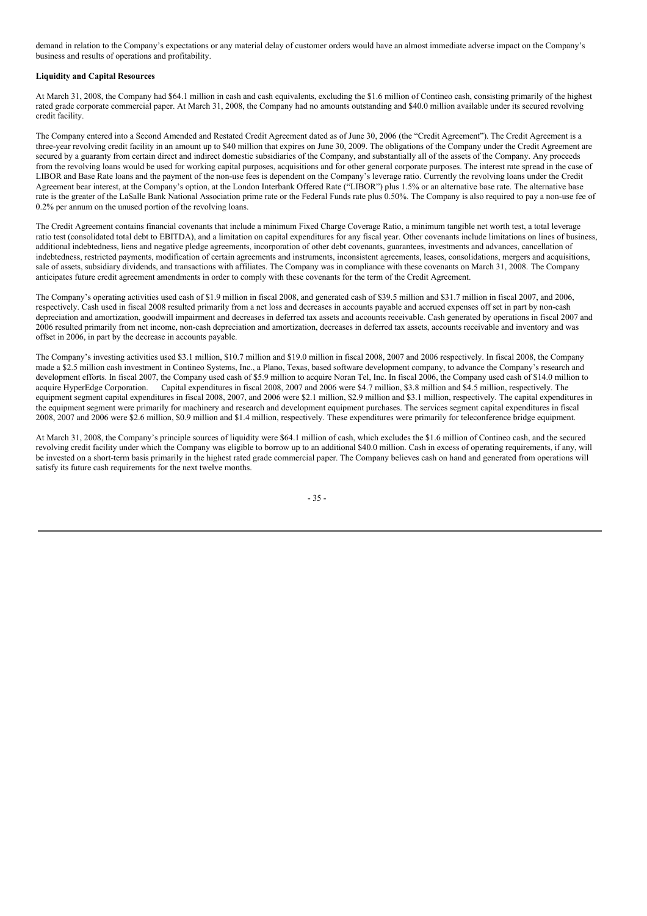demand in relation to the Company's expectations or any material delay of customer orders would have an almost immediate adverse impact on the Company's business and results of operations and profitability.

# **Liquidity and Capital Resources**

At March 31, 2008, the Company had \$64.1 million in cash and cash equivalents, excluding the \$1.6 million of Contineo cash, consisting primarily of the highest rated grade corporate commercial paper. At March 31, 2008, the Company had no amounts outstanding and \$40.0 million available under its secured revolving credit facility.

The Company entered into a Second Amended and Restated Credit Agreement dated as of June 30, 2006 (the "Credit Agreement"). The Credit Agreement is a three-year revolving credit facility in an amount up to \$40 million that expires on June 30, 2009. The obligations of the Company under the Credit Agreement are secured by a guaranty from certain direct and indirect domestic subsidiaries of the Company, and substantially all of the assets of the Company. Any proceeds from the revolving loans would be used for working capital purposes, acquisitions and for other general corporate purposes. The interest rate spread in the case of LIBOR and Base Rate loans and the payment of the non-use fees is dependent on the Company's leverage ratio. Currently the revolving loans under the Credit Agreement bear interest, at the Company's option, at the London Interbank Offered Rate ("LIBOR") plus 1.5% or an alternative base rate. The alternative base rate is the greater of the LaSalle Bank National Association prime rate or the Federal Funds rate plus 0.50%. The Company is also required to pay a non-use fee of 0.2% per annum on the unused portion of the revolving loans.

The Credit Agreement contains financial covenants that include a minimum Fixed Charge Coverage Ratio, a minimum tangible net worth test, a total leverage ratio test (consolidated total debt to EBITDA), and a limitation on capital expenditures for any fiscal year. Other covenants include limitations on lines of business, additional indebtedness, liens and negative pledge agreements, incorporation of other debt covenants, guarantees, investments and advances, cancellation of indebtedness, restricted payments, modification of certain agreements and instruments, inconsistent agreements, leases, consolidations, mergers and acquisitions, sale of assets, subsidiary dividends, and transactions with affiliates. The Company was in compliance with these covenants on March 31, 2008. The Company anticipates future credit agreement amendments in order to comply with these covenants for the term of the Credit Agreement.

The Company's operating activities used cash of \$1.9 million in fiscal 2008, and generated cash of \$39.5 million and \$31.7 million in fiscal 2007, and 2006, respectively. Cash used in fiscal 2008 resulted primarily from a net loss and decreases in accounts payable and accrued expenses off set in part by non-cash depreciation and amortization, goodwill impairment and decreases in deferred tax assets and accounts receivable. Cash generated by operations in fiscal 2007 and 2006 resulted primarily from net income, non-cash depreciation and amortization, decreases in deferred tax assets, accounts receivable and inventory and was offset in 2006, in part by the decrease in accounts payable.

The Company's investing activities used \$3.1 million, \$10.7 million and \$19.0 million in fiscal 2008, 2007 and 2006 respectively. In fiscal 2008, the Company made a \$2.5 million cash investment in Contineo Systems, Inc., a Plano, Texas, based software development company, to advance the Company's research and development efforts. In fiscal 2007, the Company used cash of \$5.9 million to acquire Noran Tel, Inc. In fiscal 2006, the Company used cash of \$14.0 million to acquire HyperEdge Corporation. Capital expenditures in fiscal 2008, 2007 and 2006 were \$4.7 million, \$3.8 million and \$4.5 million, respectively. The equipment segment capital expenditures in fiscal 2008, 2007, and 2006 were \$2.1 million, \$2.9 million and \$3.1 million, respectively. The capital expenditures in the equipment segment were primarily for machinery and research and development equipment purchases. The services segment capital expenditures in fiscal 2008, 2007 and 2006 were \$2.6 million, \$0.9 million and \$1.4 million, respectively. These expenditures were primarily for teleconference bridge equipment.

At March 31, 2008, the Company's principle sources of liquidity were \$64.1 million of cash, which excludes the \$1.6 million of Contineo cash, and the secured revolving credit facility under which the Company was eligible to borrow up to an additional \$40.0 million. Cash in excess of operating requirements, if any, will be invested on a short-term basis primarily in the highest rated grade commercial paper. The Company believes cash on hand and generated from operations will satisfy its future cash requirements for the next twelve months.

- 35 -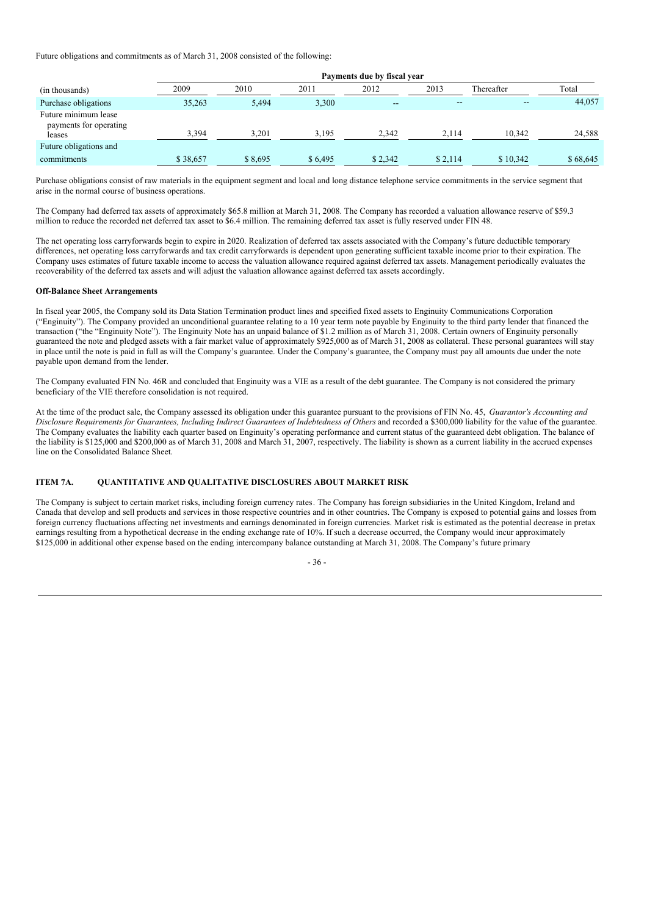Future obligations and commitments as of March 31, 2008 consisted of the following:

|                                                          | Payments due by fiscal year |         |         |                          |         |            |          |
|----------------------------------------------------------|-----------------------------|---------|---------|--------------------------|---------|------------|----------|
| (in thousands)                                           | 2009                        | 2010    | 2011    | 2012                     | 2013    | Thereafter | Total    |
| Purchase obligations                                     | 35,263                      | 5,494   | 3,300   | $\overline{\phantom{m}}$ | --      |            | 44,057   |
| Future minimum lease<br>payments for operating<br>leases | 3.394                       | 3.201   | 3.195   | 2.342                    | 2.114   | 10.342     | 24.588   |
| Future obligations and                                   |                             |         |         |                          |         |            |          |
| commitments                                              | \$38,657                    | \$8,695 | \$6,495 | \$2,342                  | \$2.114 | \$10,342   | \$68,645 |

Purchase obligations consist of raw materials in the equipment segment and local and long distance telephone service commitments in the service segment that arise in the normal course of business operations.

The Company had deferred tax assets of approximately \$65.8 million at March 31, 2008. The Company has recorded a valuation allowance reserve of \$59.3 million to reduce the recorded net deferred tax asset to \$6.4 million. The remaining deferred tax asset is fully reserved under FIN 48.

The net operating loss carryforwards begin to expire in 2020. Realization of deferred tax assets associated with the Company's future deductible temporary differences, net operating loss carryforwards and tax credit carryforwards is dependent upon generating sufficient taxable income prior to their expiration. The Company uses estimates of future taxable income to access the valuation allowance required against deferred tax assets. Management periodically evaluates the recoverability of the deferred tax assets and will adjust the valuation allowance against deferred tax assets accordingly.

#### **Off-Balance Sheet Arrangements**

In fiscal year 2005, the Company sold its Data Station Termination product lines and specified fixed assets to Enginuity Communications Corporation ("Enginuity"). The Company provided an unconditional guarantee relating to a 10 year term note payable by Enginuity to the third party lender that financed the transaction ("the "Enginuity Note"). The Enginuity Note has an unpaid balance of \$1.2 million as of March 31, 2008. Certain owners of Enginuity personally guaranteed the note and pledged assets with a fair market value of approximately \$925,000 as of March 31, 2008 as collateral. These personal guarantees will stay in place until the note is paid in full as will the Company's guarantee. Under the Company's guarantee, the Company must pay all amounts due under the note payable upon demand from the lender.

The Company evaluated FIN No. 46R and concluded that Enginuity was a VIE as a result of the debt guarantee. The Company is not considered the primary beneficiary of the VIE therefore consolidation is not required.

At the time of the product sale, the Company assessed its obligation under this guarantee pursuant to the provisions of FIN No. 45, *Guarantor's Accounting and* Disclosure Requirements for Guarantees, Including Indirect Guarantees of Indebtedness of Others and recorded a \$300,000 liability for the value of the guarantee. The Company evaluates the liability each quarter based on Enginuity's operating performance and current status of the guaranteed debt obligation. The balance of the liability is \$125,000 and \$200,000 as of March 31, 2008 and March 31, 2007, respectively. The liability is shown as a current liability in the accrued expenses line on the Consolidated Balance Sheet.

# **ITEM 7A. QUANTITATIVE AND QUALITATIVE DISCLOSURES ABOUT MARKET RISK**

The Company is subject to certain market risks, including foreign currency rates*.* The Company has foreign subsidiaries in the United Kingdom, Ireland and Canada that develop and sell products and services in those respective countries and in other countries. The Company is exposed to potential gains and losses from foreign currency fluctuations affecting net investments and earnings denominated in foreign currencies. Market risk is estimated as the potential decrease in pretax earnings resulting from a hypothetical decrease in the ending exchange rate of 10%. If such a decrease occurred, the Company would incur approximately \$125,000 in additional other expense based on the ending intercompany balance outstanding at March 31, 2008. The Company's future primary

- 36 -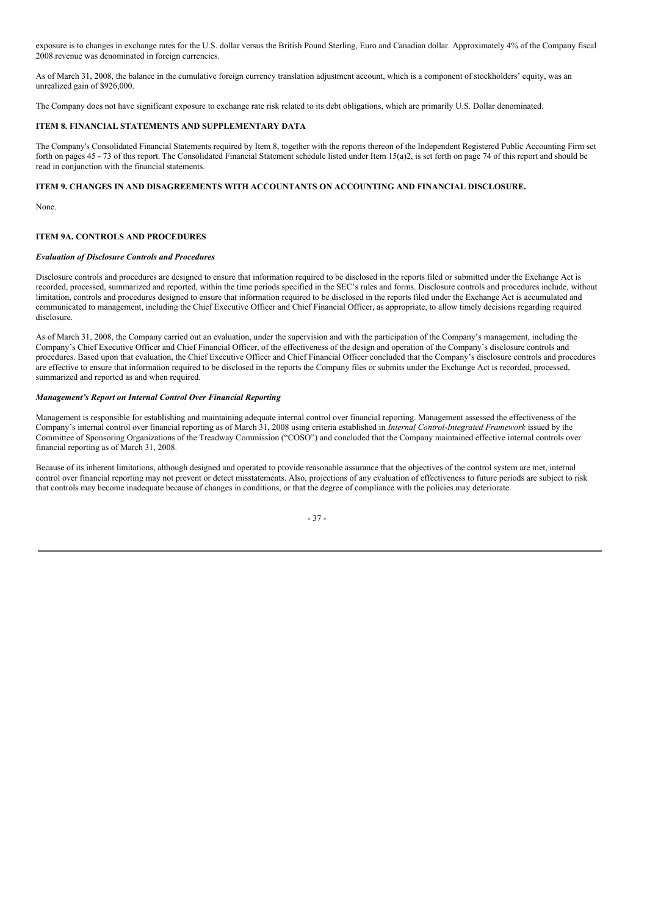exposure is to changes in exchange rates for the U.S. dollar versus the British Pound Sterling, Euro and Canadian dollar. Approximately 4% of the Company fiscal 2008 revenue was denominated in foreign currencies.

As of March 31, 2008, the balance in the cumulative foreign currency translation adjustment account, which is a component of stockholders' equity, was an unrealized gain of \$926,000.

The Company does not have significant exposure to exchange rate risk related to its debt obligations, which are primarily U.S. Dollar denominated.

# **ITEM 8. FINANCIAL STATEMENTS AND SUPPLEMENTARY DATA**

The Company's Consolidated Financial Statements required by Item 8, together with the reports thereon of the Independent Registered Public Accounting Firm set forth on pages 45 - 73 of this report. The Consolidated Financial Statement schedule listed under Item 15(a)2, is set forth on page 74 of this report and should be read in conjunction with the financial statements.

# **ITEM 9. CHANGES IN AND DISAGREEMENTS WITH ACCOUNTANTS ON ACCOUNTING AND FINANCIAL DISCLOSURE.**

None.

### **ITEM 9A. CONTROLS AND PROCEDURES**

### *Evaluation of Disclosure Controls and Procedures*

Disclosure controls and procedures are designed to ensure that information required to be disclosed in the reports filed or submitted under the Exchange Act is recorded, processed, summarized and reported, within the time periods specified in the SEC's rules and forms. Disclosure controls and procedures include, without limitation, controls and procedures designed to ensure that information required to be disclosed in the reports filed under the Exchange Act is accumulated and communicated to management, including the Chief Executive Officer and Chief Financial Officer, as appropriate, to allow timely decisions regarding required disclosure.

As of March 31, 2008, the Company carried out an evaluation, under the supervision and with the participation of the Company's management, including the Company's Chief Executive Officer and Chief Financial Officer, of the effectiveness of the design and operation of the Company's disclosure controls and procedures. Based upon that evaluation, the Chief Executive Officer and Chief Financial Officer concluded that the Company's disclosure controls and procedures are effective to ensure that information required to be disclosed in the reports the Company files or submits under the Exchange Act is recorded, processed, summarized and reported as and when required.

# *Management's Report on Internal Control Over Financial Reporting*

Management is responsible for establishing and maintaining adequate internal control over financial reporting. Management assessed the effectiveness of the Company's internal control over financial reporting as of March 31, 2008 using criteria established in *Internal Control-Integrated Framework* issued by the Committee of Sponsoring Organizations of the Treadway Commission ("COSO") and concluded that the Company maintained effective internal controls over financial reporting as of March 31, 2008.

Because of its inherent limitations, although designed and operated to provide reasonable assurance that the objectives of the control system are met, internal control over financial reporting may not prevent or detect misstatements. Also, projections of any evaluation of effectiveness to future periods are subject to risk that controls may become inadequate because of changes in conditions, or that the degree of compliance with the policies may deteriorate.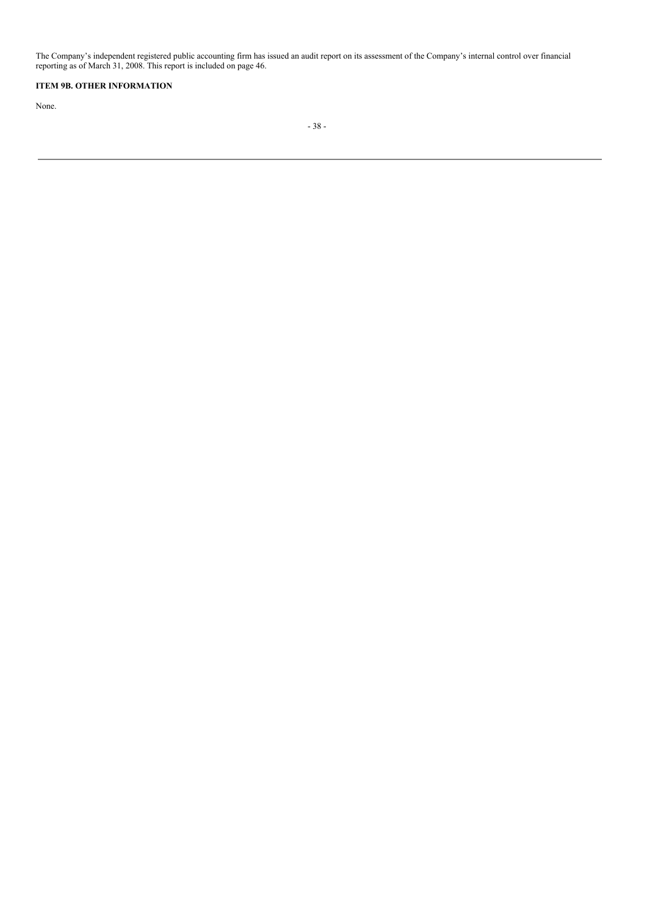The Company's independent registered public accounting firm has issued an audit report on its assessment of the Company's internal control over financial reporting as of March 31, 2008. This report is included on page 46.

# **ITEM 9B. OTHER INFORMATION**

None.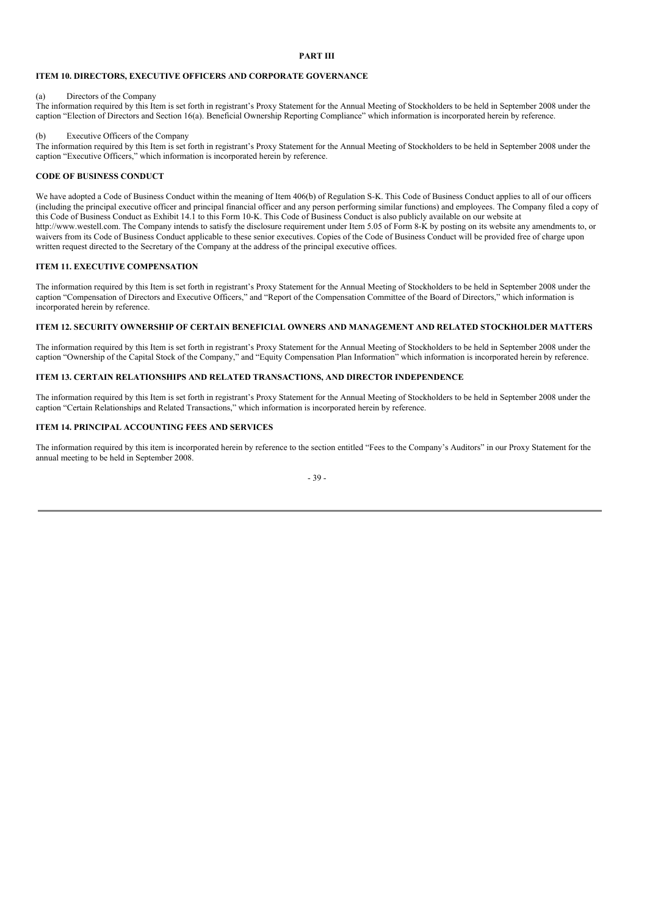### **PART III**

# **ITEM 10. DIRECTORS, EXECUTIVE OFFICERS AND CORPORATE GOVERNANCE**

#### (a) Directors of the Company

The information required by this Item is set forth in registrant's Proxy Statement for the Annual Meeting of Stockholders to be held in September 2008 under the caption "Election of Directors and Section 16(a). Beneficial Ownership Reporting Compliance" which information is incorporated herein by reference.

# Executive Officers of the Company

The information required by this Item is set forth in registrant's Proxy Statement for the Annual Meeting of Stockholders to be held in September 2008 under the caption "Executive Officers," which information is incorporated herein by reference.

## **CODE OF BUSINESS CONDUCT**

We have adopted a Code of Business Conduct within the meaning of Item 406(b) of Regulation S-K. This Code of Business Conduct applies to all of our officers (including the principal executive officer and principal financial officer and any person performing similar functions) and employees. The Company filed a copy of this Code of Business Conduct as Exhibit 14.1 to this Form 10-K. This Code of Business Conduct is also publicly available on our website at http://www.westell.com. The Company intends to satisfy the disclosure requirement under Item 5.05 of Form 8-K by posting on its website any amendments to, or waivers from its Code of Business Conduct applicable to these senior executives. Copies of the Code of Business Conduct will be provided free of charge upon written request directed to the Secretary of the Company at the address of the principal executive offices.

# **ITEM 11. EXECUTIVE COMPENSATION**

The information required by this Item is set forth in registrant's Proxy Statement for the Annual Meeting of Stockholders to be held in September 2008 under the caption "Compensation of Directors and Executive Officers," and "Report of the Compensation Committee of the Board of Directors," which information is incorporated herein by reference.

# **ITEM 12. SECURITY OWNERSHIP OF CERTAIN BENEFICIAL OWNERS AND MANAGEMENT AND RELATED STOCKHOLDER MATTERS**

The information required by this Item is set forth in registrant's Proxy Statement for the Annual Meeting of Stockholders to be held in September 2008 under the caption "Ownership of the Capital Stock of the Company," and "Equity Compensation Plan Information" which information is incorporated herein by reference.

# **ITEM 13. CERTAIN RELATIONSHIPS AND RELATED TRANSACTIONS, AND DIRECTOR INDEPENDENCE**

The information required by this Item is set forth in registrant's Proxy Statement for the Annual Meeting of Stockholders to be held in September 2008 under the caption "Certain Relationships and Related Transactions," which information is incorporated herein by reference.

# **ITEM 14. PRINCIPAL ACCOUNTING FEES AND SERVICES**

The information required by this item is incorporated herein by reference to the section entitled "Fees to the Company's Auditors" in our Proxy Statement for the annual meeting to be held in September 2008.

 $-39 -$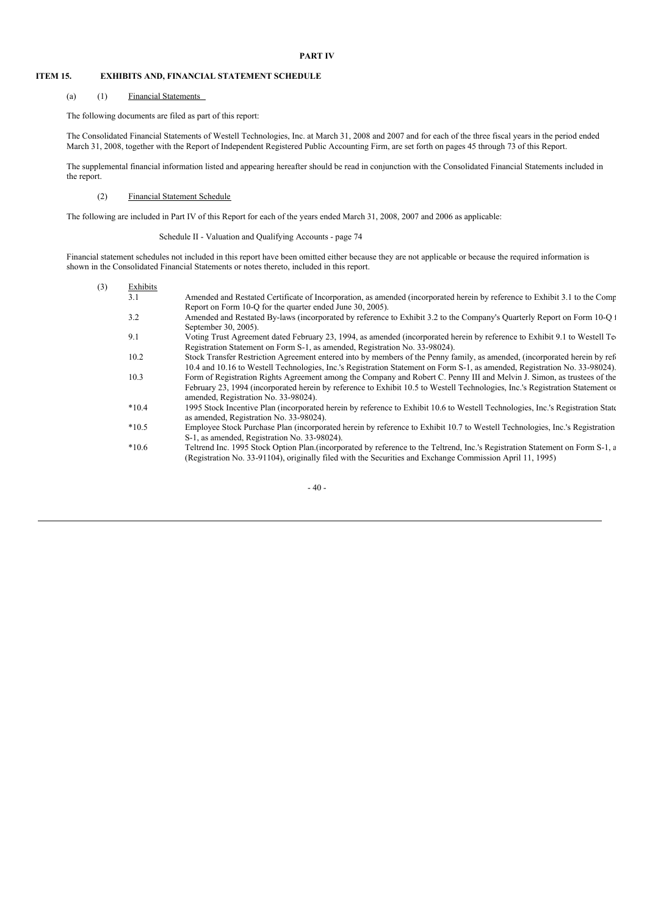# **PART IV**

# **ITEM 15. EXHIBITS AND, FINANCIAL STATEMENT SCHEDULE**

## (a) (1) Financial Statements

The following documents are filed as part of this report:

The Consolidated Financial Statements of Westell Technologies, Inc. at March 31, 2008 and 2007 and for each of the three fiscal years in the period ended March 31, 2008, together with the Report of Independent Registered Public Accounting Firm, are set forth on pages 45 through 73 of this Report.

The supplemental financial information listed and appearing hereafter should be read in conjunction with the Consolidated Financial Statements included in the report.

#### (2) Financial Statement Schedule

The following are included in Part IV of this Report for each of the years ended March 31, 2008, 2007 and 2006 as applicable:

## Schedule II - Valuation and Qualifying Accounts - page 74

Financial statement schedules not included in this report have been omitted either because they are not applicable or because the required information is shown in the Consolidated Financial Statements or notes thereto, included in this report.

| (3) | Exhibits |                                                                                                                                |
|-----|----------|--------------------------------------------------------------------------------------------------------------------------------|
|     | 3.1      | Amended and Restated Certificate of Incorporation, as amended (incorporated herein by reference to Exhibit 3.1 to the Comp     |
|     |          | Report on Form 10-Q for the quarter ended June 30, 2005).                                                                      |
|     | 3.2      | Amended and Restated By-laws (incorporated by reference to Exhibit 3.2 to the Company's Quarterly Report on Form 10-Q 1        |
|     |          | September 30, 2005).                                                                                                           |
|     | 9.1      | Voting Trust Agreement dated February 23, 1994, as amended (incorporated herein by reference to Exhibit 9.1 to Westell Te      |
|     |          | Registration Statement on Form S-1, as amended, Registration No. 33-98024).                                                    |
|     | 10.2     | Stock Transfer Restriction Agreement entered into by members of the Penny family, as amended, (incorporated herein by ref      |
|     |          | 10.4 and 10.16 to Westell Technologies, Inc.'s Registration Statement on Form S-1, as amended, Registration No. 33-98024).     |
|     | 10.3     | Form of Registration Rights Agreement among the Company and Robert C. Penny III and Melvin J. Simon, as trustees of the        |
|     |          | February 23, 1994 (incorporated herein by reference to Exhibit 10.5 to Westell Technologies, Inc.'s Registration Statement or  |
|     |          | amended, Registration No. 33-98024).                                                                                           |
|     | $*10.4$  | 1995 Stock Incentive Plan (incorporated herein by reference to Exhibit 10.6 to Westell Technologies, Inc.'s Registration State |
|     |          | as amended, Registration No. 33-98024).                                                                                        |
|     | $*10.5$  | Employee Stock Purchase Plan (incorporated herein by reference to Exhibit 10.7 to Westell Technologies, Inc.'s Registration    |
|     |          | S-1, as amended, Registration No. 33-98024).                                                                                   |
|     | $*10.6$  | Teltrend Inc. 1995 Stock Option Plan. (incorporated by reference to the Teltrend, Inc.'s Registration Statement on Form S-1, a |
|     |          | (Registration No. 33-91104), originally filed with the Securities and Exchange Commission April 11, 1995)                      |
|     |          |                                                                                                                                |

- 40 -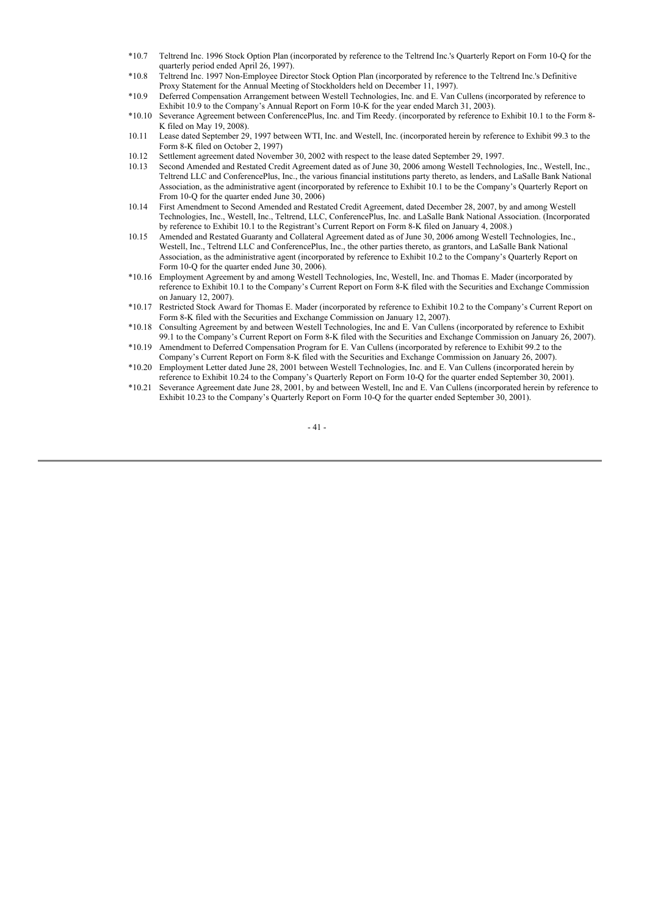- \*10.7 Teltrend Inc. 1996 Stock Option Plan (incorporated by reference to the Teltrend Inc.'s Quarterly Report on Form 10-Q for the quarterly period ended April 26, 1997).
- \*10.8 Teltrend Inc. 1997 Non-Employee Director Stock Option Plan (incorporated by reference to the Teltrend Inc.'s Definitive Proxy Statement for the Annual Meeting of Stockholders held on December 11, 1997).
- \*10.9 Deferred Compensation Arrangement between Westell Technologies, Inc. and E. Van Cullens (incorporated by reference to Exhibit 10.9 to the Company's Annual Report on Form 10-K for the year ended March 31, 2003).
- \*10.10 Severance Agreement between ConferencePlus, Inc. and Tim Reedy. (incorporated by reference to Exhibit 10.1 to the Form 8- K filed on May 19, 2008).
- 10.11 Lease dated September 29, 1997 between WTI, Inc. and Westell, Inc. (incorporated herein by reference to Exhibit 99.3 to the Form 8-K filed on October 2, 1997)
- 10.12 Settlement agreement dated November 30, 2002 with respect to the lease dated September 29, 1997.
- 10.13 Second Amended and Restated Credit Agreement dated as of June 30, 2006 among Westell Technologies, Inc., Westell, Inc., Teltrend LLC and ConferencePlus, Inc., the various financial institutions party thereto, as lenders, and LaSalle Bank National Association, as the administrative agent (incorporated by reference to Exhibit 10.1 to be the Company's Quarterly Report on From 10-Q for the quarter ended June 30, 2006)
- 10.14 First Amendment to Second Amended and Restated Credit Agreement, dated December 28, 2007, by and among Westell Technologies, Inc., Westell, Inc., Teltrend, LLC, ConferencePlus, Inc. and LaSalle Bank National Association. (Incorporated by reference to Exhibit 10.1 to the Registrant's Current Report on Form 8-K filed on January 4, 2008.)
- 10.15 Amended and Restated Guaranty and Collateral Agreement dated as of June 30, 2006 among Westell Technologies, Inc., Westell, Inc., Teltrend LLC and ConferencePlus, Inc., the other parties thereto, as grantors, and LaSalle Bank National Association, as the administrative agent (incorporated by reference to Exhibit 10.2 to the Company's Quarterly Report on Form 10-Q for the quarter ended June 30, 2006).
- \*10.16 Employment Agreement by and among Westell Technologies, Inc, Westell, Inc. and Thomas E. Mader (incorporated by reference to Exhibit 10.1 to the Company's Current Report on Form 8-K filed with the Securities and Exchange Commission on January 12, 2007).
- \*10.17 Restricted Stock Award for Thomas E. Mader (incorporated by reference to Exhibit 10.2 to the Company's Current Report on Form 8-K filed with the Securities and Exchange Commission on January 12, 2007).
- \*10.18 Consulting Agreement by and between Westell Technologies, Inc and E. Van Cullens (incorporated by reference to Exhibit 99.1 to the Company's Current Report on Form 8-K filed with the Securities and Exchange Commission on January 26, 2007).
- \*10.19 Amendment to Deferred Compensation Program for E. Van Cullens (incorporated by reference to Exhibit 99.2 to the Company's Current Report on Form 8-K filed with the Securities and Exchange Commission on January 26, 2007).
- \*10.20 Employment Letter dated June 28, 2001 between Westell Technologies, Inc. and E. Van Cullens (incorporated herein by reference to Exhibit 10.24 to the Company's Quarterly Report on Form 10-Q for the quarter ended September 30, 2001).
- \*10.21 Severance Agreement date June 28, 2001, by and between Westell, Inc and E. Van Cullens (incorporated herein by reference to Exhibit 10.23 to the Company's Quarterly Report on Form 10-Q for the quarter ended September 30, 2001).

 $-41 -$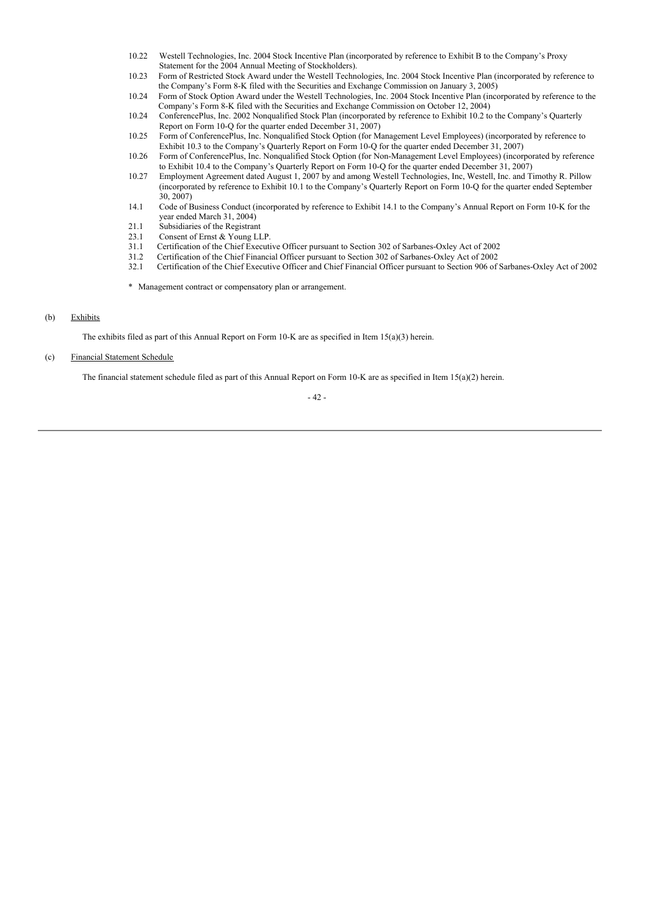- 10.22 Westell Technologies, Inc. 2004 Stock Incentive Plan (incorporated by reference to Exhibit B to the Company's Proxy Statement for the 2004 Annual Meeting of Stockholders).
- 10.23 Form of Restricted Stock Award under the Westell Technologies, Inc. 2004 Stock Incentive Plan (incorporated by reference to the Company's Form 8-K filed with the Securities and Exchange Commission on January 3, 2005)
- 10.24 Form of Stock Option Award under the Westell Technologies, Inc. 2004 Stock Incentive Plan (incorporated by reference to the Company's Form 8-K filed with the Securities and Exchange Commission on October 12, 2004)
- 10.24 ConferencePlus, Inc. 2002 Nonqualified Stock Plan (incorporated by reference to Exhibit 10.2 to the Company's Quarterly Report on Form 10-Q for the quarter ended December 31, 2007)
- 10.25 Form of ConferencePlus, Inc. Nonqualified Stock Option (for Management Level Employees) (incorporated by reference to Exhibit 10.3 to the Company's Quarterly Report on Form 10-Q for the quarter ended December 31, 2007)
- 10.26 Form of ConferencePlus, Inc. Nonqualified Stock Option (for Non-Management Level Employees) (incorporated by reference to Exhibit 10.4 to the Company's Quarterly Report on Form 10-Q for the quarter ended December 31, 2007)
- 10.27 Employment Agreement dated August 1, 2007 by and among Westell Technologies, Inc, Westell, Inc. and Timothy R. Pillow (incorporated by reference to Exhibit 10.1 to the Company's Quarterly Report on Form 10-Q for the quarter ended September 30, 2007)
- 14.1 Code of Business Conduct (incorporated by reference to Exhibit 14.1 to the Company's Annual Report on Form 10-K for the year ended March 31, 2004)
- 21.1 Subsidiaries of the Registrant
- 23.1 Consent of Ernst & Young LLP.
- 31.1 Certification of the Chief Executive Officer pursuant to Section 302 of Sarbanes-Oxley Act of 2002
- 31.2 Certification of the Chief Financial Officer pursuant to Section 302 of Sarbanes-Oxley Act of 2002
- 32.1 Certification of the Chief Executive Officer and Chief Financial Officer pursuant to Section 906 of Sarbanes-Oxley Act of 2002
- \* Management contract or compensatory plan or arrangement.

# (b) Exhibits

The exhibits filed as part of this Annual Report on Form 10-K are as specified in Item 15(a)(3) herein.

# (c) Financial Statement Schedule

The financial statement schedule filed as part of this Annual Report on Form 10-K are as specified in Item 15(a)(2) herein.

# - 42 -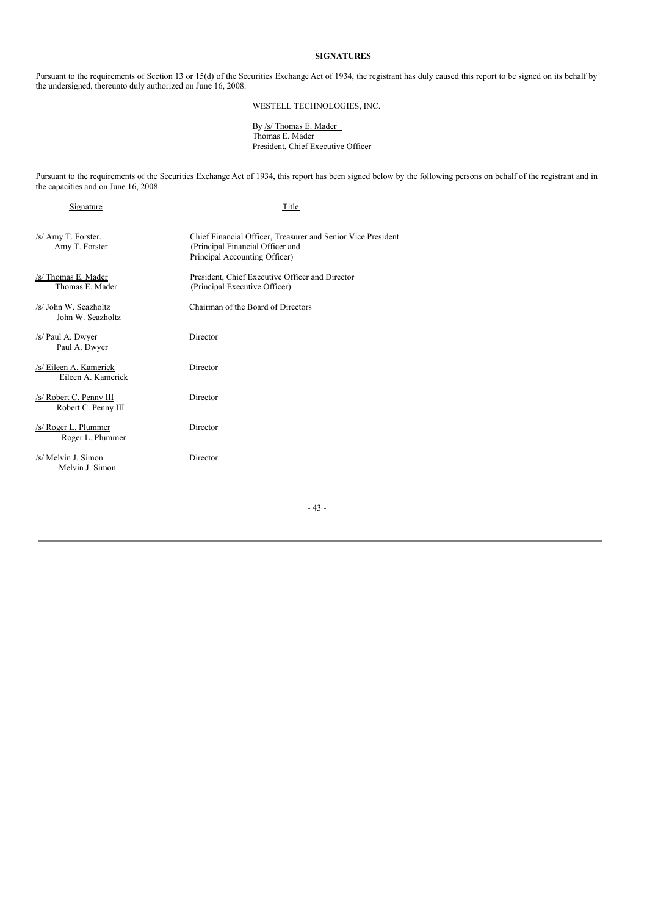# **SIGNATURES**

Pursuant to the requirements of Section 13 or 15(d) of the Securities Exchange Act of 1934, the registrant has duly caused this report to be signed on its behalf by the undersigned, thereunto duly authorized on June 16, 2008.

WESTELL TECHNOLOGIES, INC.

By /s/ Thomas E. Mader Thomas E. Mader President, Chief Executive Officer

Pursuant to the requirements of the Securities Exchange Act of 1934, this report has been signed below by the following persons on behalf of the registrant and in the capacities and on June 16, 2008.

| Signature                                       | Title                                                                                                                             |
|-------------------------------------------------|-----------------------------------------------------------------------------------------------------------------------------------|
| <u>/s/ Amy T. Forster.</u><br>Amy T. Forster    | Chief Financial Officer, Treasurer and Senior Vice President<br>(Principal Financial Officer and<br>Principal Accounting Officer) |
| /s/ Thomas E. Mader<br>Thomas E. Mader          | President, Chief Executive Officer and Director<br>(Principal Executive Officer)                                                  |
| /s/ John W. Seazholtz<br>John W. Seazholtz      | Chairman of the Board of Directors                                                                                                |
| /s/ Paul A. Dwyer<br>Paul A. Dwyer              | Director                                                                                                                          |
| /s/ Eileen A. Kamerick<br>Eileen A. Kamerick    | Director                                                                                                                          |
| /s/ Robert C. Penny III<br>Robert C. Penny III  | Director                                                                                                                          |
| <u>/s/ Roger L. Plummer</u><br>Roger L. Plummer | Director                                                                                                                          |
| /s/ Melvin J. Simon<br>Melvin J. Simon          | Director                                                                                                                          |
|                                                 |                                                                                                                                   |

- 43 -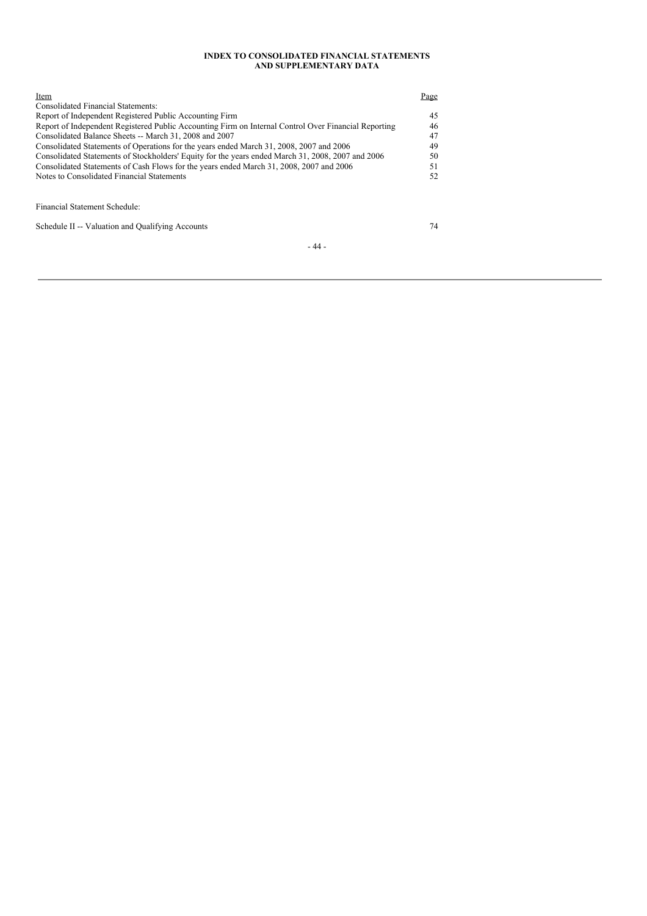#### **INDEX TO CONSOLIDATED FINANCIAL STATEMENTS AND SUPPLEMENTARY DATA**

| Item                                                                                                 | Page |
|------------------------------------------------------------------------------------------------------|------|
| <b>Consolidated Financial Statements:</b>                                                            |      |
| Report of Independent Registered Public Accounting Firm                                              | 45   |
| Report of Independent Registered Public Accounting Firm on Internal Control Over Financial Reporting | 46   |
| Consolidated Balance Sheets -- March 31, 2008 and 2007                                               | 47   |
| Consolidated Statements of Operations for the years ended March 31, 2008, 2007 and 2006              | 49   |
| Consolidated Statements of Stockholders' Equity for the years ended March 31, 2008, 2007 and 2006    | 50   |
| Consolidated Statements of Cash Flows for the years ended March 31, 2008, 2007 and 2006              | 51   |
| Notes to Consolidated Financial Statements                                                           | 52   |
| <b>Financial Statement Schedule:</b>                                                                 |      |
| Schedule II -- Valuation and Qualifying Accounts                                                     | 74   |

- 44 -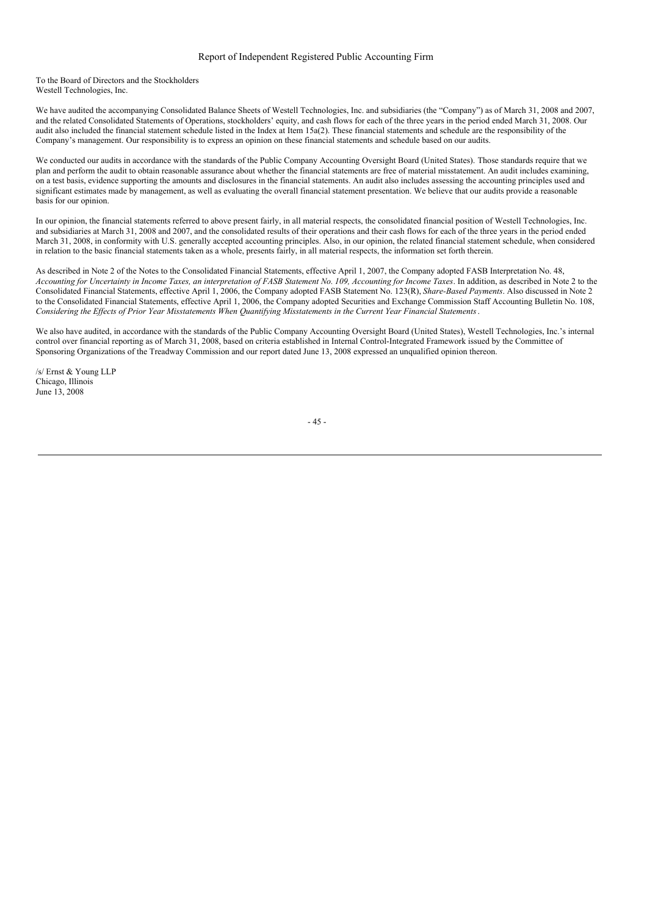## Report of Independent Registered Public Accounting Firm

### To the Board of Directors and the Stockholders Westell Technologies, Inc.

We have audited the accompanying Consolidated Balance Sheets of Westell Technologies, Inc. and subsidiaries (the "Company") as of March 31, 2008 and 2007, and the related Consolidated Statements of Operations, stockholders' equity, and cash flows for each of the three years in the period ended March 31, 2008. Our audit also included the financial statement schedule listed in the Index at Item 15a(2). These financial statements and schedule are the responsibility of the Company's management. Our responsibility is to express an opinion on these financial statements and schedule based on our audits.

We conducted our audits in accordance with the standards of the Public Company Accounting Oversight Board (United States). Those standards require that we plan and perform the audit to obtain reasonable assurance about whether the financial statements are free of material misstatement. An audit includes examining, on a test basis, evidence supporting the amounts and disclosures in the financial statements. An audit also includes assessing the accounting principles used and significant estimates made by management, as well as evaluating the overall financial statement presentation. We believe that our audits provide a reasonable basis for our opinion.

In our opinion, the financial statements referred to above present fairly, in all material respects, the consolidated financial position of Westell Technologies, Inc. and subsidiaries at March 31, 2008 and 2007, and the consolidated results of their operations and their cash flows for each of the three years in the period ended March 31, 2008, in conformity with U.S. generally accepted accounting principles. Also, in our opinion, the related financial statement schedule, when considered in relation to the basic financial statements taken as a whole, presents fairly, in all material respects, the information set forth therein.

As described in Note 2 of the Notes to the Consolidated Financial Statements, effective April 1, 2007, the Company adopted FASB Interpretation No. 48, Accounting for Uncertainty in Income Taxes, an interpretation of FASB Statement No. 109, Accounting for Income Taxes. In addition, as described in Note 2 to the Consolidated Financial Statements, effective April 1, 2006, the Company adopted FASB Statement No. 123(R), *Share-Based Payments*. Also discussed in Note 2 to the Consolidated Financial Statements, effective April 1, 2006, the Company adopted Securities and Exchange Commission Staff Accounting Bulletin No. 108, Considering the Effects of Prior Year Misstatements When Quantifying Misstatements in the Current Year Financial Statements.

We also have audited, in accordance with the standards of the Public Company Accounting Oversight Board (United States), Westell Technologies, Inc.'s internal control over financial reporting as of March 31, 2008, based on criteria established in Internal Control-Integrated Framework issued by the Committee of Sponsoring Organizations of the Treadway Commission and our report dated June 13, 2008 expressed an unqualified opinion thereon.

/s/ Ernst & Young LLP Chicago, Illinois June 13, 2008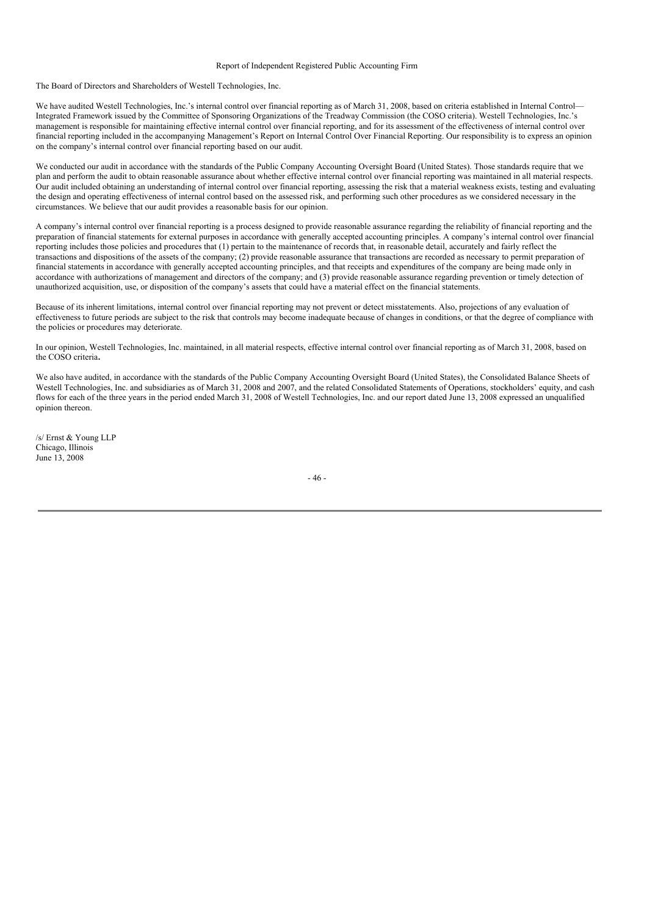#### Report of Independent Registered Public Accounting Firm

The Board of Directors and Shareholders of Westell Technologies, Inc.

We have audited Westell Technologies, Inc.'s internal control over financial reporting as of March 31, 2008, based on criteria established in Internal Control— Integrated Framework issued by the Committee of Sponsoring Organizations of the Treadway Commission (the COSO criteria). Westell Technologies, Inc.'s management is responsible for maintaining effective internal control over financial reporting, and for its assessment of the effectiveness of internal control over financial reporting included in the accompanying Management's Report on Internal Control Over Financial Reporting. Our responsibility is to express an opinion on the company's internal control over financial reporting based on our audit.

We conducted our audit in accordance with the standards of the Public Company Accounting Oversight Board (United States). Those standards require that we plan and perform the audit to obtain reasonable assurance about whether effective internal control over financial reporting was maintained in all material respects. Our audit included obtaining an understanding of internal control over financial reporting, assessing the risk that a material weakness exists, testing and evaluating the design and operating effectiveness of internal control based on the assessed risk, and performing such other procedures as we considered necessary in the circumstances. We believe that our audit provides a reasonable basis for our opinion.

A company's internal control over financial reporting is a process designed to provide reasonable assurance regarding the reliability of financial reporting and the preparation of financial statements for external purposes in accordance with generally accepted accounting principles. A company's internal control over financial reporting includes those policies and procedures that (1) pertain to the maintenance of records that, in reasonable detail, accurately and fairly reflect the transactions and dispositions of the assets of the company; (2) provide reasonable assurance that transactions are recorded as necessary to permit preparation of financial statements in accordance with generally accepted accounting principles, and that receipts and expenditures of the company are being made only in accordance with authorizations of management and directors of the company; and (3) provide reasonable assurance regarding prevention or timely detection of unauthorized acquisition, use, or disposition of the company's assets that could have a material effect on the financial statements.

Because of its inherent limitations, internal control over financial reporting may not prevent or detect misstatements. Also, projections of any evaluation of effectiveness to future periods are subject to the risk that controls may become inadequate because of changes in conditions, or that the degree of compliance with the policies or procedures may deteriorate.

In our opinion, Westell Technologies, Inc. maintained, in all material respects, effective internal control over financial reporting as of March 31, 2008, based on the COSO criteria**.**

We also have audited, in accordance with the standards of the Public Company Accounting Oversight Board (United States), the Consolidated Balance Sheets of Westell Technologies, Inc. and subsidiaries as of March 31, 2008 and 2007, and the related Consolidated Statements of Operations, stockholders' equity, and cash flows for each of the three years in the period ended March 31, 2008 of Westell Technologies, Inc. and our report dated June 13, 2008 expressed an unqualified opinion thereon.

/s/ Ernst & Young LLP Chicago, Illinois June 13, 2008

 $-46$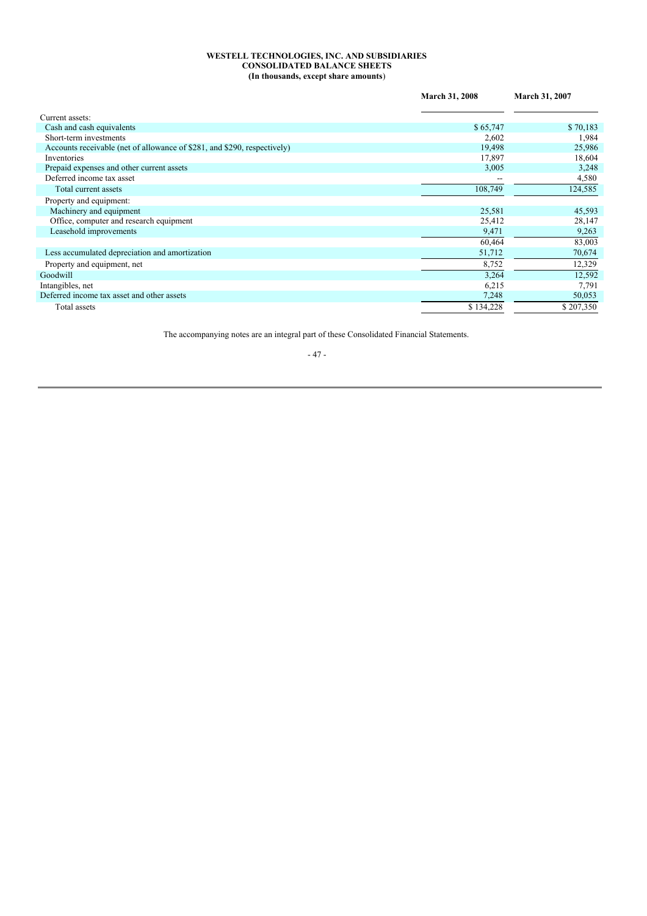### **WESTELL TECHNOLOGIES, INC. AND SUBSIDIARIES CONSOLIDATED BALANCE SHEETS (In thousands, except share amounts**)

|                                                                          | <b>March 31, 2008</b> | <b>March 31, 2007</b> |
|--------------------------------------------------------------------------|-----------------------|-----------------------|
| Current assets:                                                          |                       |                       |
| Cash and cash equivalents                                                | \$65,747              | \$70,183              |
| Short-term investments                                                   | 2,602                 | 1,984                 |
| Accounts receivable (net of allowance of \$281, and \$290, respectively) | 19,498                | 25,986                |
| Inventories                                                              | 17,897                | 18,604                |
| Prepaid expenses and other current assets                                | 3,005                 | 3,248                 |
| Deferred income tax asset                                                |                       | 4,580                 |
| Total current assets                                                     | 108,749               | 124,585               |
| Property and equipment:                                                  |                       |                       |
| Machinery and equipment                                                  | 25,581                | 45,593                |
| Office, computer and research equipment                                  | 25,412                | 28,147                |
| Leasehold improvements                                                   | 9,471                 | 9,263                 |
|                                                                          | 60,464                | 83,003                |
| Less accumulated depreciation and amortization                           | 51,712                | 70,674                |
| Property and equipment, net                                              | 8,752                 | 12,329                |
| Goodwill                                                                 | 3,264                 | 12,592                |
| Intangibles, net                                                         | 6,215                 | 7,791                 |
| Deferred income tax asset and other assets                               | 7,248                 | 50,053                |
| Total assets                                                             | \$134,228             | \$207,350             |

The accompanying notes are an integral part of these Consolidated Financial Statements.

- 47 -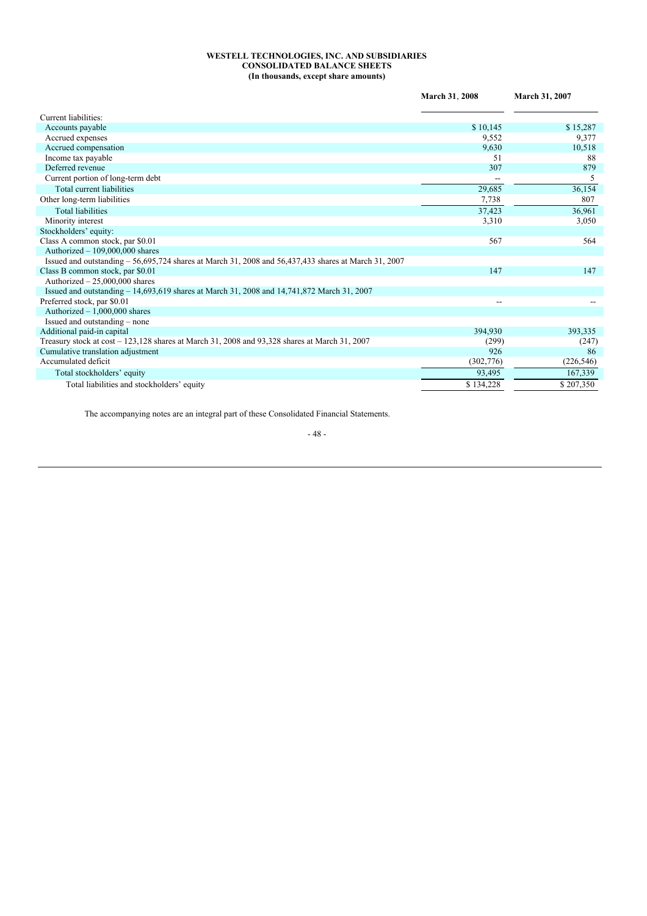### **WESTELL TECHNOLOGIES, INC. AND SUBSIDIARIES CONSOLIDATED BALANCE SHEETS (In thousands, except share amounts)**

|                                                                                                       | March 31, 2008 | <b>March 31, 2007</b> |
|-------------------------------------------------------------------------------------------------------|----------------|-----------------------|
| Current liabilities:                                                                                  |                |                       |
| Accounts payable                                                                                      | \$10,145       | \$15,287              |
| Accrued expenses                                                                                      | 9,552          | 9,377                 |
| Accrued compensation                                                                                  | 9,630          | 10,518                |
| Income tax payable                                                                                    | 51             | 88                    |
| Deferred revenue                                                                                      | 307            | 879                   |
| Current portion of long-term debt                                                                     |                | 5                     |
| Total current liabilities                                                                             | 29,685         | 36,154                |
| Other long-term liabilities                                                                           | 7,738          | 807                   |
| <b>Total liabilities</b>                                                                              | 37,423         | 36,961                |
| Minority interest                                                                                     | 3,310          | 3,050                 |
| Stockholders' equity:                                                                                 |                |                       |
| Class A common stock, par \$0.01                                                                      | 567            | 564                   |
| Authorized $-109,000,000$ shares                                                                      |                |                       |
| Issued and outstanding $-56,695,724$ shares at March 31, 2008 and 56,437,433 shares at March 31, 2007 |                |                       |
| Class B common stock, par \$0.01                                                                      | 147            | 147                   |
| Authorized $-25,000,000$ shares                                                                       |                |                       |
| Issued and outstanding $-14,693,619$ shares at March 31, 2008 and 14,741,872 March 31, 2007           |                |                       |
| Preferred stock, par \$0.01                                                                           | --             |                       |
| Authorized $-1,000,000$ shares                                                                        |                |                       |
| Issued and outstanding – none                                                                         |                |                       |
| Additional paid-in capital                                                                            | 394,930        | 393,335               |
| Treasury stock at $\cos t - 123,128$ shares at March 31, 2008 and 93,328 shares at March 31, 2007     | (299)          | (247)                 |
| Cumulative translation adjustment                                                                     | 926            | 86                    |
| Accumulated deficit                                                                                   | (302,776)      | (226, 546)            |
| Total stockholders' equity                                                                            | 93,495         | 167,339               |
| Total liabilities and stockholders' equity                                                            | \$134,228      | \$207,350             |

The accompanying notes are an integral part of these Consolidated Financial Statements.

- 48 -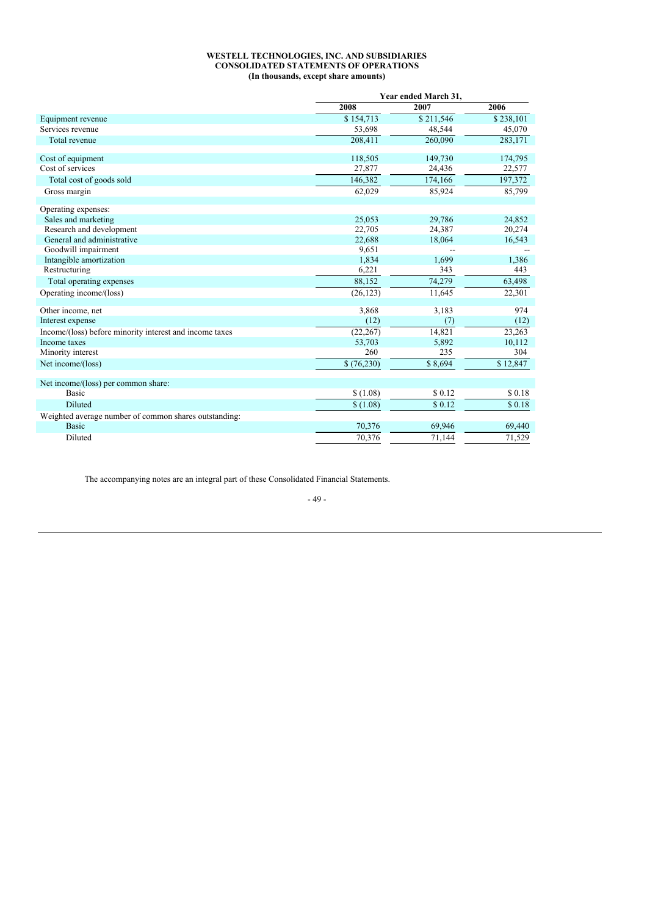### **WESTELL TECHNOLOGIES, INC. AND SUBSIDIARIES CONSOLIDATED STATEMENTS OF OPERATIONS (In thousands, except share amounts)**

|                                                         | Year ended March 31, |           |           |  |
|---------------------------------------------------------|----------------------|-----------|-----------|--|
|                                                         | 2008                 | 2007      | 2006      |  |
| Equipment revenue                                       | \$154,713            | \$211,546 | \$238,101 |  |
| Services revenue                                        | 53,698               | 48,544    | 45,070    |  |
| Total revenue                                           | 208,411              | 260,090   | 283,171   |  |
| Cost of equipment                                       | 118,505              | 149,730   | 174,795   |  |
| Cost of services                                        | 27,877               | 24,436    | 22,577    |  |
| Total cost of goods sold                                | 146,382              | 174,166   | 197,372   |  |
| Gross margin                                            | 62,029               | 85,924    | 85,799    |  |
| Operating expenses:                                     |                      |           |           |  |
| Sales and marketing                                     | 25,053               | 29,786    | 24,852    |  |
| Research and development                                | 22,705               | 24,387    | 20,274    |  |
| General and administrative                              | 22,688               | 18,064    | 16,543    |  |
| Goodwill impairment                                     | 9.651                |           |           |  |
| Intangible amortization                                 | 1,834                | 1,699     | 1,386     |  |
| Restructuring                                           | 6,221                | 343       | 443       |  |
| Total operating expenses                                | 88,152               | 74,279    | 63,498    |  |
| Operating income/(loss)                                 | (26, 123)            | 11,645    | 22,301    |  |
| Other income, net                                       | 3,868                | 3.183     | 974       |  |
| Interest expense                                        | (12)                 | (7)       | (12)      |  |
| Income/(loss) before minority interest and income taxes | (22, 267)            | 14,821    | 23,263    |  |
| Income taxes                                            | 53,703               | 5,892     | 10,112    |  |
| Minority interest                                       | 260                  | 235       | 304       |  |
| Net income/(loss)                                       | \$(76,230)           | \$8,694   | \$12,847  |  |
| Net income/(loss) per common share:                     |                      |           |           |  |
| <b>Basic</b>                                            | \$(1.08)             | \$0.12    | \$0.18    |  |
| <b>Diluted</b>                                          | \$(1.08)             | \$0.12    | \$0.18    |  |
| Weighted average number of common shares outstanding:   |                      |           |           |  |
| <b>Basic</b>                                            | 70,376               | 69,946    | 69,440    |  |
| Diluted                                                 | 70,376               | 71,144    | 71,529    |  |

The accompanying notes are an integral part of these Consolidated Financial Statements.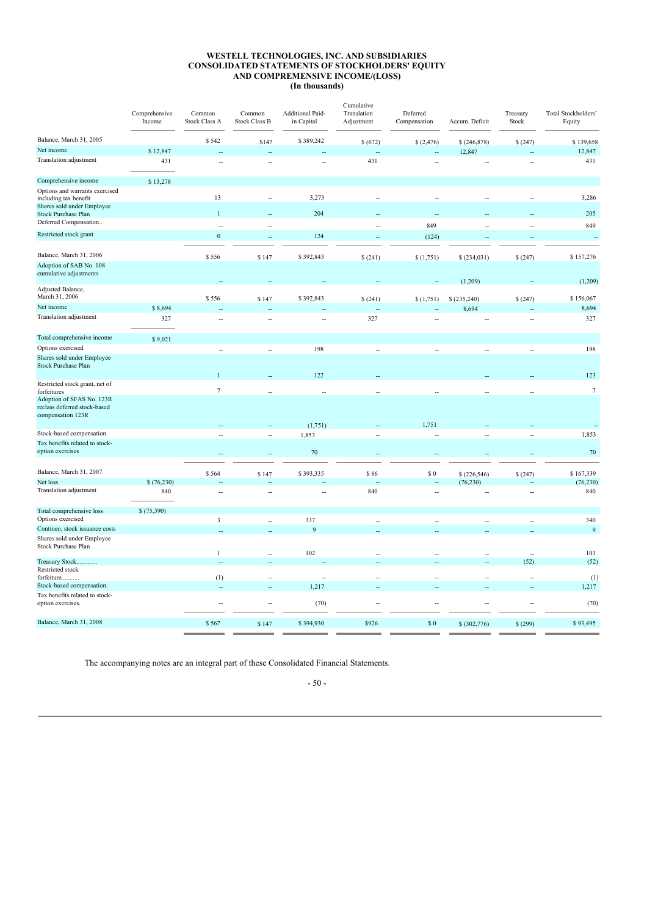#### **WESTELL TECHNOLOGIES, INC. AND SUBSIDIARIES CONSOLIDATED STATEMENTS OF STOCKHOLDERS' EQUITY AND COMPREMENSIVE INCOME/(LOSS) (In thousands)**

|                                                                                | Comprehensive<br>Income | Common<br><b>Stock Class A</b> | Common<br><b>Stock Class B</b> | Additional Paid-<br>in Capital | Cumulative<br>Translation<br>Adjustment | Deferred<br>Compensation | Accum. Deficit | Treasury<br>Stock                | Total Stockholders'<br>Equity |
|--------------------------------------------------------------------------------|-------------------------|--------------------------------|--------------------------------|--------------------------------|-----------------------------------------|--------------------------|----------------|----------------------------------|-------------------------------|
| Balance, March 31, 2005                                                        |                         | \$542                          | \$147                          | \$389,242                      | \$ (672)                                | \$(2,476)                | \$(246,878)    | \$(247)                          | \$139,658                     |
| Net income                                                                     | \$12,847                |                                |                                |                                |                                         |                          | 12,847         |                                  | 12,847                        |
| Translation adjustment                                                         | 431                     | $\overline{a}$                 |                                | $\overline{a}$                 | 431                                     | L.                       |                |                                  | 431                           |
| Comprehensive income                                                           | \$13,278                |                                |                                |                                |                                         |                          |                |                                  |                               |
| Options and warrants exercised<br>including tax benefit                        |                         | 13                             | $\sim$                         | 3,273                          | $\overline{\phantom{a}}$                |                          |                |                                  | 3,286                         |
| Shares sold under Employee<br>Stock Purchase Plan                              |                         | $\mathbf{1}$                   |                                | 204                            |                                         |                          |                |                                  | 205                           |
| Deferred Compensation                                                          |                         | Ξ.                             | $\overline{a}$                 |                                | $\overline{a}$                          | 849                      |                | Ξ.                               | 849                           |
| Restricted stock grant                                                         |                         | $\boldsymbol{0}$               | L.                             | 124                            |                                         | (124)                    |                |                                  | 44                            |
| Balance, March 31, 2006                                                        |                         | \$556                          | \$147                          | \$392,843                      | \$(241)                                 | \$(1,751)                | \$(234,031)    | \$(247)                          | \$157,276                     |
| Adoption of SAB No. 108<br>cumulative adjustments                              |                         |                                |                                |                                |                                         |                          | (1,209)        |                                  | (1,209)                       |
| Adjusted Balance,<br>March 31, 2006                                            |                         | \$556                          | \$147                          | \$392,843                      | \$(241)                                 | \$(1,751)                | \$(235,240)    | \$(247)                          | \$156,067                     |
| Net income                                                                     | \$8,694                 |                                |                                |                                |                                         |                          | 8,694          |                                  | 8,694                         |
| Translation adjustment                                                         | 327                     |                                |                                |                                | 327                                     |                          |                | ÷.                               | 327                           |
| Total comprehensive income                                                     | \$9,021                 |                                |                                |                                |                                         |                          |                |                                  |                               |
| Options exercised                                                              |                         | $\sim$                         | Ξ.                             | 198                            | $\overline{a}$                          | $\overline{\phantom{a}}$ | $\overline{a}$ | $\overline{\phantom{a}}$         | 198                           |
| Shares sold under Employee<br><b>Stock Purchase Plan</b>                       |                         | $\mathbf{1}$                   |                                | 122                            |                                         |                          |                |                                  | 123                           |
| Restricted stock grant, net of<br>forfeitures                                  |                         | $\boldsymbol{7}$               |                                |                                |                                         |                          |                |                                  | $\overline{7}$                |
| Adoption of SFAS No. 123R<br>reclass deferred stock-based<br>compensation 123R |                         |                                |                                |                                |                                         |                          |                |                                  |                               |
| Stock-based compensation                                                       |                         |                                |                                | (1,751)                        |                                         | 1,751                    |                |                                  |                               |
| Tax benefits related to stock-                                                 |                         | $\sim$                         | --                             | 1,853                          | ÷.                                      | $\overline{\phantom{a}}$ | ÷.             | $\overline{a}$                   | 1,853                         |
| option exercises                                                               |                         |                                |                                | 70                             |                                         |                          |                |                                  | 70                            |
| Balance, March 31, 2007                                                        |                         | \$564                          | \$147                          | \$393,335                      | \$86                                    | $\$$ $0$                 | \$(226,546)    | \$(247)                          | \$167,339                     |
| Net loss                                                                       | \$(76,230)              |                                | --                             |                                |                                         | Ξ,                       | (76, 230)      | $\overline{\phantom{a}}$         | (76, 230)                     |
| Translation adjustment                                                         | 840                     | $\sim$                         | Ξ.                             | ÷.                             | 840                                     | ÷.                       | Ξ.             | $\overline{a}$                   | 840                           |
| Total comprehensive loss                                                       | \$(75,390)              |                                |                                |                                |                                         |                          |                |                                  |                               |
| Options exercised                                                              |                         | $\mathbf{3}$                   | Ξ.                             | 337                            | $\overline{a}$                          | $\overline{\phantom{a}}$ | $\overline{a}$ | $\overline{a}$                   | 340                           |
| Contineo, stock issuance costs<br>Shares sold under Employee                   |                         | $\overline{a}$                 | $\overline{a}$                 | 9                              |                                         |                          |                |                                  | $\overline{9}$                |
| Stock Purchase Plan<br>Treasury Stock                                          |                         | $\mathbf{1}$                   | $\sim$                         | 102                            |                                         |                          | Ξ.             | $\overline{\phantom{a}}$<br>(52) | 103<br>(52)                   |
| Restricted stock                                                               |                         |                                |                                |                                |                                         |                          |                |                                  |                               |
| forfeiture<br>Stock-based compensation.                                        |                         | (1)                            | $\overline{a}$                 | L.<br>1,217                    |                                         |                          | Ξ.             | --                               | (1)                           |
| Tax benefits related to stock-                                                 |                         | ц.                             |                                |                                |                                         |                          |                |                                  | 1,217                         |
| option exercises.                                                              |                         | $\sim$                         |                                | (70)                           |                                         |                          |                |                                  | (70)                          |
| Balance, March 31, 2008                                                        |                         | \$567                          | \$147                          | \$394,930                      | \$926                                   | \$0                      | \$ (302,776)   | \$(299)                          | \$93,495                      |

The accompanying notes are an integral part of these Consolidated Financial Statements.

- 50 -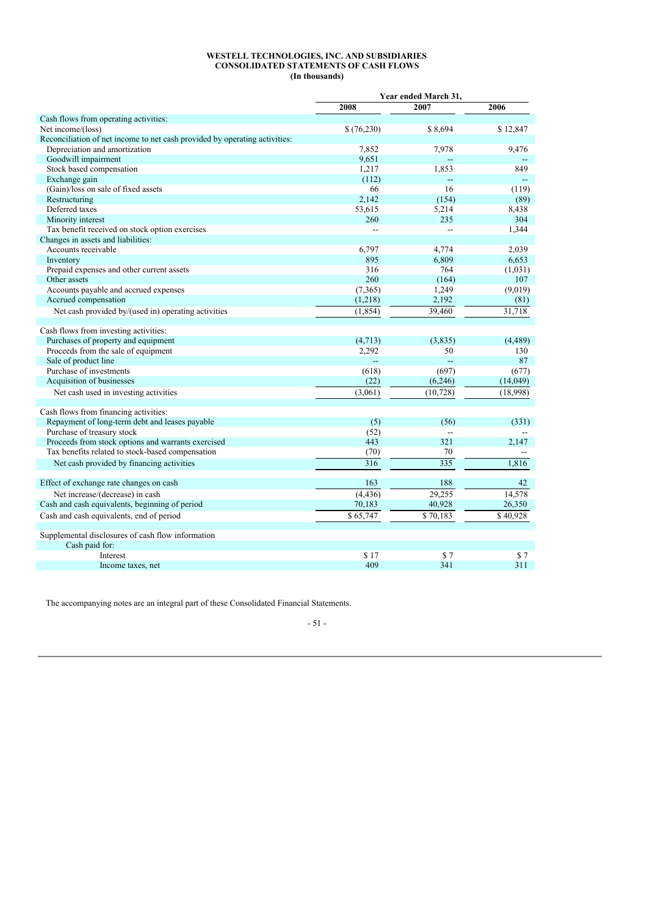#### **WESTELL TECHNOLOGIES, INC. AND SUBSIDIARIES CONSOLIDATED STATEMENTS OF CASH FLOWS (In thousands)**

|                                                                            | Year ended March 31, |                |           |  |
|----------------------------------------------------------------------------|----------------------|----------------|-----------|--|
|                                                                            | 2008                 | 2007           | 2006      |  |
| Cash flows from operating activities:                                      |                      |                |           |  |
| Net income/(loss)                                                          | \$(76,230)           | \$8,694        | \$12,847  |  |
| Reconciliation of net income to net cash provided by operating activities: |                      |                |           |  |
| Depreciation and amortization                                              | 7.852                | 7.978          | 9,476     |  |
| Goodwill impairment                                                        | 9,651                | $\overline{a}$ |           |  |
| Stock based compensation                                                   | 1,217                | 1,853          | 849       |  |
| Exchange gain                                                              | (112)                | ω.             |           |  |
| (Gain)/loss on sale of fixed assets                                        | 66                   | 16             | (119)     |  |
| Restructuring                                                              | 2,142                | (154)          | (89)      |  |
| Deferred taxes                                                             | 53,615               | 5,214          | 8,438     |  |
| Minority interest                                                          | 260                  | 235            | 304       |  |
| Tax benefit received on stock option exercises                             | $\overline{a}$       | $\overline{a}$ | 1,344     |  |
| Changes in assets and liabilities:                                         |                      |                |           |  |
| Accounts receivable                                                        | 6,797                | 4,774          | 2,039     |  |
| Inventory                                                                  | 895                  | 6,809          | 6,653     |  |
| Prepaid expenses and other current assets                                  | 316                  | 764            | (1,031)   |  |
| Other assets                                                               | 260                  | (164)          | 107       |  |
| Accounts payable and accrued expenses                                      | (7, 365)             | 1,249          | (9,019)   |  |
| Accrued compensation                                                       | (1,218)              | 2,192          | (81)      |  |
| Net cash provided by/(used in) operating activities                        | (1, 854)             | 39,460         | 31,718    |  |
| Cash flows from investing activities:                                      |                      |                |           |  |
| Purchases of property and equipment                                        | (4,713)              | (3,835)        | (4, 489)  |  |
| Proceeds from the sale of equipment                                        | 2,292                | 50             | 130       |  |
| Sale of product line                                                       | ωü,                  | L.             | 87        |  |
| Purchase of investments                                                    | (618)                | (697)          | (677)     |  |
| Acquisition of businesses                                                  | (22)                 | (6,246)        | (14, 049) |  |
| Net cash used in investing activities                                      | (3,061)              | (10, 728)      | (18,998)  |  |
| Cash flows from financing activities:                                      |                      |                |           |  |
| Repayment of long-term debt and leases payable                             | (5)                  | (56)           | (331)     |  |
| Purchase of treasury stock                                                 | (52)                 | Ξ.             |           |  |
| Proceeds from stock options and warrants exercised                         | 443                  | 321            | 2,147     |  |
| Tax benefits related to stock-based compensation                           | (70)                 | 70             |           |  |
| Net cash provided by financing activities                                  | 316                  | 335            | 1,816     |  |
| Effect of exchange rate changes on cash                                    | 163                  | 188            | 42        |  |
| Net increase/(decrease) in cash                                            | (4, 436)             | 29,255         | 14,578    |  |
| Cash and cash equivalents, beginning of period                             | 70,183               | 40,928         | 26,350    |  |
| Cash and cash equivalents, end of period                                   | \$65,747             | \$70,183       | \$40,928  |  |
| Supplemental disclosures of cash flow information                          |                      |                |           |  |
| Cash paid for:                                                             |                      |                |           |  |
| Interest                                                                   | \$17                 | \$7            | \$7       |  |
| Income taxes, net                                                          | 409                  | 341            | 311       |  |

The accompanying notes are an integral part of these Consolidated Financial Statements.

# - 51 -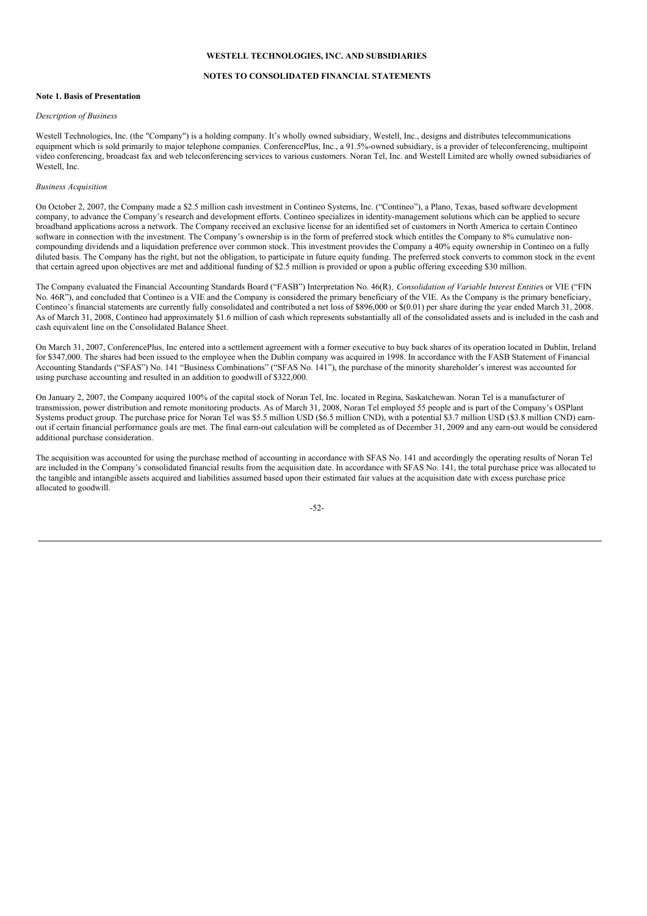# **WESTELL TECHNOLOGIES, INC. AND SUBSIDIARIES**

# **NOTES TO CONSOLIDATED FINANCIAL STATEMENTS**

### **Note 1. Basis of Presentation**

#### *Description of Business*

Westell Technologies, Inc. (the "Company") is a holding company. It's wholly owned subsidiary, Westell, Inc., designs and distributes telecommunications equipment which is sold primarily to major telephone companies. ConferencePlus, Inc., a 91.5%-owned subsidiary, is a provider of teleconferencing, multipoint video conferencing, broadcast fax and web teleconferencing services to various customers. Noran Tel, Inc. and Westell Limited are wholly owned subsidiaries of Westell, Inc.

#### *Business Acquisition*

On October 2, 2007, the Company made a \$2.5 million cash investment in Contineo Systems, Inc. ("Contineo"), a Plano, Texas, based software development company, to advance the Company's research and development efforts. Contineo specializes in identity-management solutions which can be applied to secure broadband applications across a network. The Company received an exclusive license for an identified set of customers in North America to certain Contineo software in connection with the investment. The Company's ownership is in the form of preferred stock which entitles the Company to 8% cumulative noncompounding dividends and a liquidation preference over common stock. This investment provides the Company a 40% equity ownership in Contineo on a fully diluted basis. The Company has the right, but not the obligation, to participate in future equity funding. The preferred stock converts to common stock in the event that certain agreed upon objectives are met and additional funding of \$2.5 million is provided or upon a public offering exceeding \$30 million.

The Company evaluated the Financial Accounting Standards Board ("FASB") Interpretation No. 46(R)*, Consolidation of Variable Interest Entitie*s or VIE ("FIN No. 46R"), and concluded that Contineo is a VIE and the Company is considered the primary beneficiary of the VIE. As the Company is the primary beneficiary, Contineo's financial statements are currently fully consolidated and contributed a net loss of \$896,000 or \$(0.01) per share during the year ended March 31, 2008. As of March 31, 2008, Contineo had approximately \$1.6 million of cash which represents substantially all of the consolidated assets and is included in the cash and cash equivalent line on the Consolidated Balance Sheet.

On March 31, 2007, ConferencePlus, Inc entered into a settlement agreement with a former executive to buy back shares of its operation located in Dublin, Ireland for \$347,000. The shares had been issued to the employee when the Dublin company was acquired in 1998. In accordance with the FASB Statement of Financial Accounting Standards ("SFAS") No. 141 "Business Combinations" ("SFAS No. 141"), the purchase of the minority shareholder's interest was accounted for using purchase accounting and resulted in an addition to goodwill of \$322,000.

On January 2, 2007, the Company acquired 100% of the capital stock of Noran Tel, Inc. located in Regina, Saskatchewan. Noran Tel is a manufacturer of transmission, power distribution and remote monitoring products. As of March 31, 2008, Noran Tel employed 55 people and is part of the Company's OSPlant Systems product group. The purchase price for Noran Tel was \$5.5 million USD (\$6.5 million CND), with a potential \$3.7 million USD (\$3.8 million CND) earnout if certain financial performance goals are met. The final earn-out calculation will be completed as of December 31, 2009 and any earn-out would be considered additional purchase consideration.

The acquisition was accounted for using the purchase method of accounting in accordance with SFAS No. 141 and accordingly the operating results of Noran Tel are included in the Company's consolidated financial results from the acquisition date. In accordance with SFAS No. 141, the total purchase price was allocated to the tangible and intangible assets acquired and liabilities assumed based upon their estimated fair values at the acquisition date with excess purchase price allocated to goodwill.

# -52-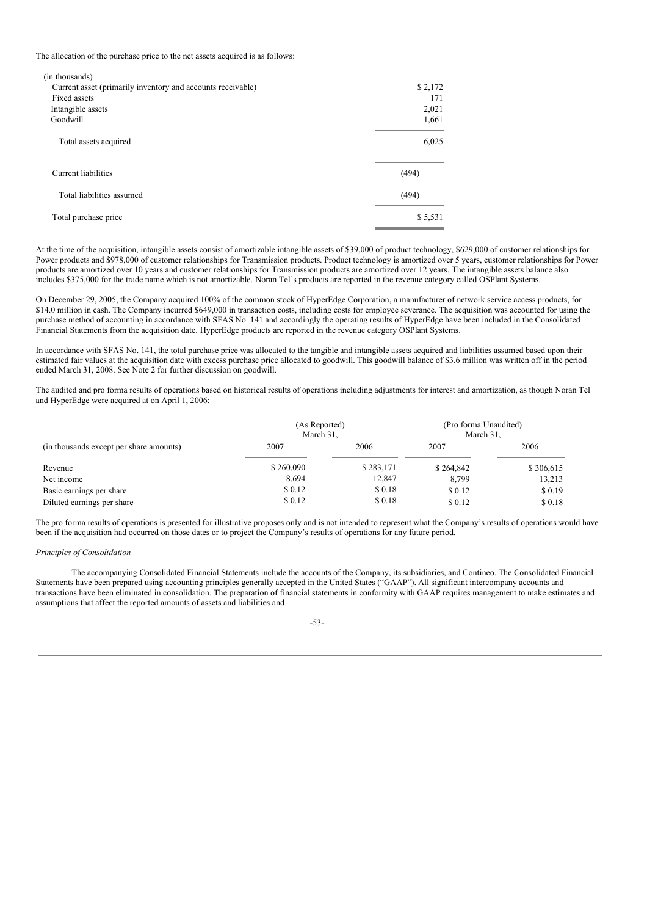The allocation of the purchase price to the net assets acquired is as follows:

| (in thousands)                                              |         |
|-------------------------------------------------------------|---------|
| Current asset (primarily inventory and accounts receivable) | \$2,172 |
| Fixed assets                                                | 171     |
| Intangible assets                                           | 2,021   |
| Goodwill                                                    | 1,661   |
| Total assets acquired                                       | 6,025   |
| Current liabilities                                         | (494)   |
| Total liabilities assumed                                   | (494)   |
| Total purchase price                                        | \$5,531 |

At the time of the acquisition, intangible assets consist of amortizable intangible assets of \$39,000 of product technology, \$629,000 of customer relationships for Power products and \$978,000 of customer relationships for Transmission products. Product technology is amortized over 5 years, customer relationships for Power products are amortized over 10 years and customer relationships for Transmission products are amortized over 12 years. The intangible assets balance also includes \$375,000 for the trade name which is not amortizable. Noran Tel's products are reported in the revenue category called OSPlant Systems.

On December 29, 2005, the Company acquired 100% of the common stock of HyperEdge Corporation, a manufacturer of network service access products, for \$14.0 million in cash. The Company incurred \$649,000 in transaction costs, including costs for employee severance. The acquisition was accounted for using the purchase method of accounting in accordance with SFAS No. 141 and accordingly the operating results of HyperEdge have been included in the Consolidated Financial Statements from the acquisition date. HyperEdge products are reported in the revenue category OSPlant Systems.

In accordance with SFAS No. 141, the total purchase price was allocated to the tangible and intangible assets acquired and liabilities assumed based upon their estimated fair values at the acquisition date with excess purchase price allocated to goodwill. This goodwill balance of \$3.6 million was written off in the period ended March 31, 2008. See Note 2 for further discussion on goodwill.

The audited and pro forma results of operations based on historical results of operations including adjustments for interest and amortization, as though Noran Tel and HyperEdge were acquired at on April 1, 2006:

|                                         | (As Reported)<br>March 31, |           | (Pro forma Unaudited)<br>March 31, |           |  |
|-----------------------------------------|----------------------------|-----------|------------------------------------|-----------|--|
| (in thousands except per share amounts) | 2007                       | 2006      | 2007                               | 2006      |  |
| Revenue                                 | \$260,090                  | \$283,171 | \$264,842                          | \$306,615 |  |
| Net income                              | 8.694                      | 12.847    | 8,799                              | 13,213    |  |
| Basic earnings per share                | \$0.12                     | \$0.18    | \$0.12                             | \$0.19    |  |
| Diluted earnings per share              | \$0.12                     | \$0.18    | \$0.12                             | \$0.18    |  |

The pro forma results of operations is presented for illustrative proposes only and is not intended to represent what the Company's results of operations would have been if the acquisition had occurred on those dates or to project the Company's results of operations for any future period.

#### *Principles of Consolidation*

The accompanying Consolidated Financial Statements include the accounts of the Company, its subsidiaries, and Contineo. The Consolidated Financial Statements have been prepared using accounting principles generally accepted in the United States ("GAAP"). All significant intercompany accounts and transactions have been eliminated in consolidation. The preparation of financial statements in conformity with GAAP requires management to make estimates and assumptions that affect the reported amounts of assets and liabilities and

### -53-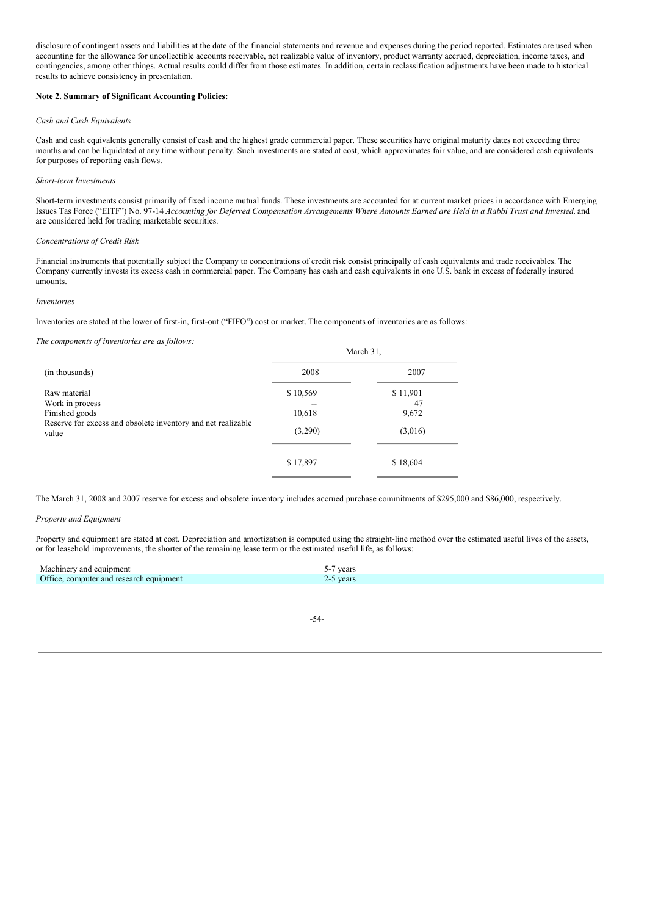disclosure of contingent assets and liabilities at the date of the financial statements and revenue and expenses during the period reported. Estimates are used when accounting for the allowance for uncollectible accounts receivable, net realizable value of inventory, product warranty accrued, depreciation, income taxes, and accounting for the allowance for uncollectible accounts recei contingencies, among other things. Actual results could differ from those estimates. In addition, certain reclassification adjustments have been made to historical results to achieve consistency in presentation.

## **Note 2. Summary of Significant Accounting Policies:**

#### *Cash and Cash Equivalents*

Cash and cash equivalents generally consist of cash and the highest grade commercial paper. These securities have original maturity dates not exceeding three months and can be liquidated at any time without penalty. Such investments are stated at cost, which approximates fair value, and are considered cash equivalents for purposes of reporting cash flows.

### *Short-term Investments*

Short-term investments consist primarily of fixed income mutual funds. These investments are accounted for at current market prices in accordance with Emerging Issues Tas Force ("EITF") No. 97-14 Accounting for Deferred Compensation Arrangements Where Amounts Earned are Held in a Rabbi Trust and Invested, and are considered held for trading marketable securities.

### *Concentrations of Credit Risk*

Financial instruments that potentially subject the Company to concentrations of credit risk consist principally of cash equivalents and trade receivables. The Company currently invests its excess cash in commercial paper. The Company has cash and cash equivalents in one U.S. bank in excess of federally insured amounts.

### *Inventories*

Inventories are stated at the lower of first-in, first-out ("FIFO") cost or market. The components of inventories are as follows:

*The components of inventories are as follows:*

|                                                                       |          | March 31,   |
|-----------------------------------------------------------------------|----------|-------------|
| (in thousands)                                                        | 2008     | 2007        |
| Raw material                                                          | \$10,569 | \$11,901    |
| Work in process<br>Finished goods                                     | 10,618   | 47<br>9,672 |
| Reserve for excess and obsolete inventory and net realizable<br>value | (3,290)  | (3,016)     |
|                                                                       | \$17,897 | \$18,604    |

The March 31, 2008 and 2007 reserve for excess and obsolete inventory includes accrued purchase commitments of \$295,000 and \$86,000, respectively.

# *Property and Equipment*

Property and equipment are stated at cost. Depreciation and amortization is computed using the straight-line method over the estimated useful lives of the assets, or for leasehold improvements, the shorter of the remaining lease term or the estimated useful life, as follows:

| Machinery and equipment                 | vears   |
|-----------------------------------------|---------|
| Office, computer and research equipment | 5 years |

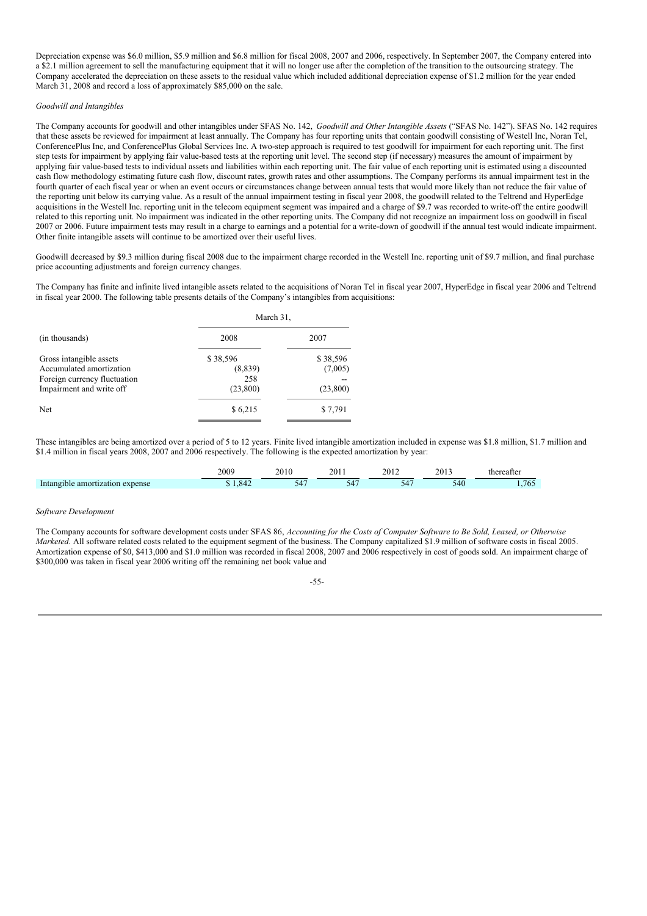Depreciation expense was \$6.0 million, \$5.9 million and \$6.8 million for fiscal 2008, 2007 and 2006, respectively. In September 2007, the Company entered into a \$2.1 million agreement to sell the manufacturing equipment that it will no longer use after the completion of the transition to the outsourcing strategy. The Company accelerated the depreciation on these assets to the residual value which included additional depreciation expense of \$1.2 million for the year ended March 31, 2008 and record a loss of approximately \$85,000 on the sale.

## *Goodwill and Intangibles*

The Company accounts for goodwill and other intangibles under SFAS No. 142, *Goodwill and Other Intangible Assets* ("SFAS No. 142"). SFAS No. 142 requires that these assets be reviewed for impairment at least annually. The Company has four reporting units that contain goodwill consisting of Westell Inc, Noran Tel, ConferencePlus Inc, and ConferencePlus Global Services Inc. A two-step approach is required to test goodwill for impairment for each reporting unit. The first step tests for impairment by applying fair value-based tests at the reporting unit level. The second step (if necessary) measures the amount of impairment by applying fair value-based tests to individual assets and liabilities within each reporting unit. The fair value of each reporting unit is estimated using a discounted cash flow methodology estimating future cash flow, discount rates, growth rates and other assumptions. The Company performs its annual impairment test in the fourth quarter of each fiscal year or when an event occurs or circumstances change between annual tests that would more likely than not reduce the fair value of the reporting unit below its carrying value. As a result of the annual impairment testing in fiscal year 2008, the goodwill related to the Teltrend and HyperEdge acquisitions in the Westell Inc. reporting unit in the telecom equipment segment was impaired and a charge of \$9.7 was recorded to write-off the entire goodwill related to this reporting unit. No impairment was indicated in the other reporting units. The Company did not recognize an impairment loss on goodwill in fiscal 2007 or 2006. Future impairment tests may result in a charge to earnings and a potential for a write-down of goodwill if the annual test would indicate impairment. Other finite intangible assets will continue to be amortized over their useful lives.

Goodwill decreased by \$9.3 million during fiscal 2008 due to the impairment charge recorded in the Westell Inc. reporting unit of \$9.7 million, and final purchase price accounting adjustments and foreign currency changes.

The Company has finite and infinite lived intangible assets related to the acquisitions of Noran Tel in fiscal year 2007, HyperEdge in fiscal year 2006 and Teltrend in fiscal year 2000. The following table presents details of the Company's intangibles from acquisitions:

|                                                                                                                 | March 31,                              |                                 |
|-----------------------------------------------------------------------------------------------------------------|----------------------------------------|---------------------------------|
| (in thousands)                                                                                                  | 2008                                   | 2007                            |
| Gross intangible assets<br>Accumulated amortization<br>Foreign currency fluctuation<br>Impairment and write off | \$38,596<br>(8,839)<br>258<br>(23,800) | \$38,596<br>(7,005)<br>(23,800) |
| Net                                                                                                             | \$6,215                                | \$7,791                         |

These intangibles are being amortized over a period of 5 to 12 years. Finite lived intangible amortization included in expense was \$1.8 million, \$1.7 million and \$1.4 million in fiscal years 2008, 2007 and 2006 respectively. The following is the expected amortization by year:

|                                                | 2009 | 2010 | 2011    | 2012        | 2013      |               |
|------------------------------------------------|------|------|---------|-------------|-----------|---------------|
| expense<br>Intangible<br>amortization :<br>. . | 842  | $-4$ | Д<br>◡╌ | $-11$<br>54 | $\Lambda$ | $ -$<br>1.765 |

#### *Software Development*

The Company accounts for software development costs under SFAS 86. Accounting for the Costs of Computer Software to Be Sold. Leased, or Otherwise *Marketed*. All software related costs related to the equipment segment of the business. The Company capitalized \$1.9 million of software costs in fiscal 2005. Amortization expense of \$0, \$413,000 and \$1.0 million was recorded in fiscal 2008, 2007 and 2006 respectively in cost of goods sold. An impairment charge of \$300,000 was taken in fiscal year 2006 writing off the remaining net book value and

#### -55-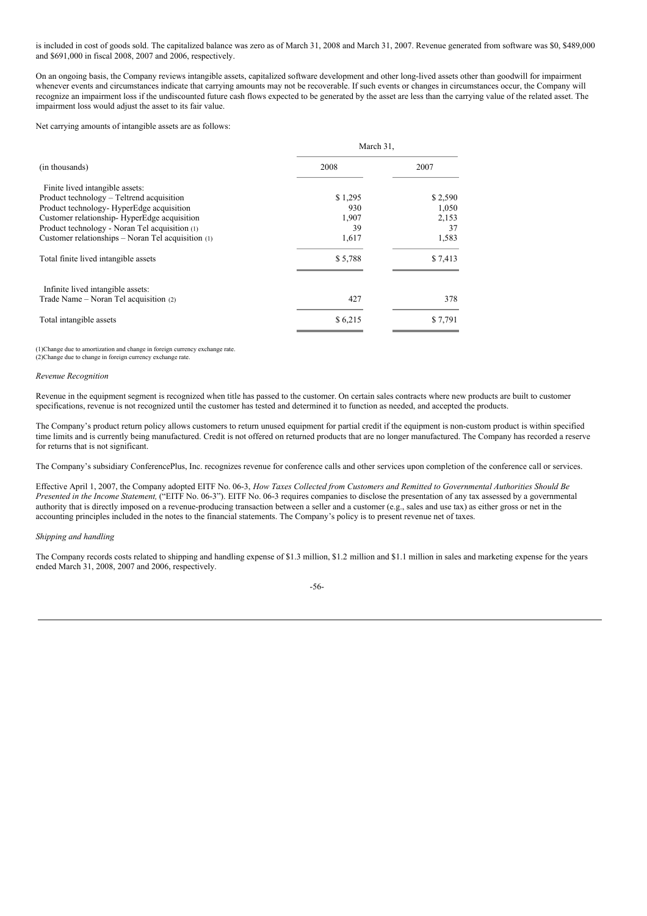is included in cost of goods sold. The capitalized balance was zero as of March 31, 2008 and March 31, 2007. Revenue generated from software was \$0, \$489,000 and \$691,000 in fiscal 2008, 2007 and 2006, respectively.

On an ongoing basis, the Company reviews intangible assets, capitalized software development and other long-lived assets other than goodwill for impairment whenever events and circumstances indicate that carrying amounts may not be recoverable. If such events or changes in circumstances occur, the Company will recognize an impairment loss if the undiscounted future cash flows expected to be generated by the asset are less than the carrying value of the related asset. The impairment loss would adjust the asset to its fair value.

Net carrying amounts of intangible assets are as follows:

|                                                    | March 31, |         |
|----------------------------------------------------|-----------|---------|
| (in thousands)                                     | 2008      | 2007    |
| Finite lived intangible assets:                    |           |         |
| Product technology – Teltrend acquisition          | \$1,295   | \$2,590 |
| Product technology-HyperEdge acquisition           | 930       | 1,050   |
| Customer relationship-HyperEdge acquisition        | 1,907     | 2,153   |
| Product technology - Noran Tel acquisition (1)     | 39        | 37      |
| Customer relationships – Noran Tel acquisition (1) | 1,617     | 1,583   |
| Total finite lived intangible assets               | \$5,788   | \$7,413 |
| Infinite lived intangible assets:                  |           |         |
| Trade Name – Noran Tel acquisition (2)             | 427       | 378     |
| Total intangible assets                            | \$6,215   | \$7.791 |

(1)Change due to amortization and change in foreign currency exchange rate. (2)Change due to change in foreign currency exchange rate.

#### *Revenue Recognition*

Revenue in the equipment segment is recognized when title has passed to the customer. On certain sales contracts where new products are built to customer specifications, revenue is not recognized until the customer has tested and determined it to function as needed, and accepted the products.

The Company's product return policy allows customers to return unused equipment for partial credit if the equipment is non-custom product is within specified time limits and is currently being manufactured. Credit is not offered on returned products that are no longer manufactured. The Company has recorded a reserve for returns that is not significant.

The Company's subsidiary ConferencePlus, Inc. recognizes revenue for conference calls and other services upon completion of the conference call or services.

Effective April 1, 2007, the Company adopted EITF No. 06-3, How Taxes Collected from Customers and Remitted to Governmental Authorities Should Be *Presented in the Income Statement,* ("EITF No. 06-3"). EITF No. 06-3 requires companies to disclose the presentation of any tax assessed by a governmental authority that is directly imposed on a revenue-producing transaction between a seller and a customer (e.g., sales and use tax) as either gross or net in the accounting principles included in the notes to the financial statements. The Company's policy is to present revenue net of taxes.

#### *Shipping and handling*

The Company records costs related to shipping and handling expense of \$1.3 million, \$1.2 million and \$1.1 million in sales and marketing expense for the years ended March 31, 2008, 2007 and 2006, respectively.

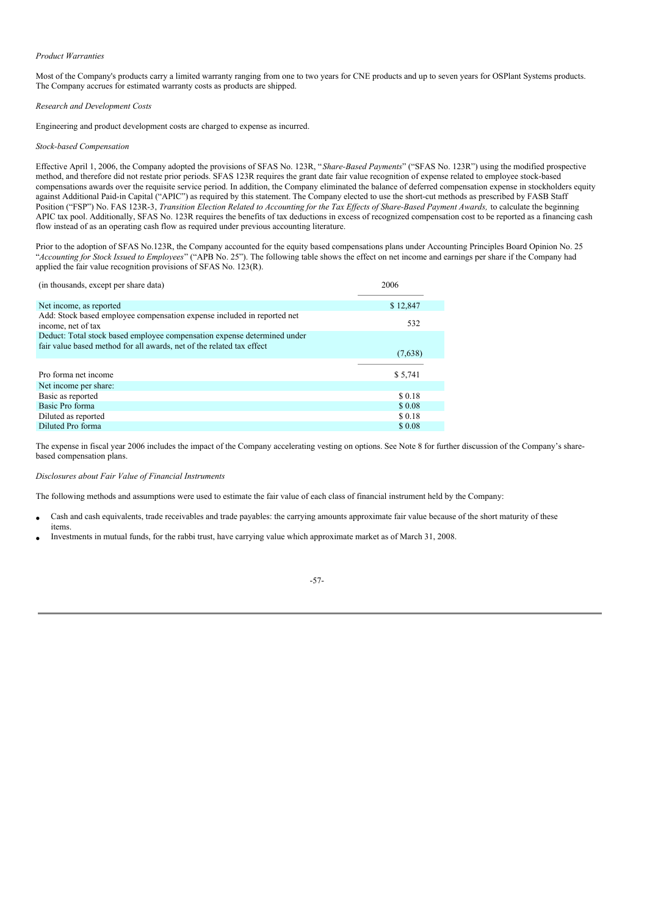## *Product Warranties*

Most of the Company's products carry a limited warranty ranging from one to two years for CNE products and up to seven years for OSPlant Systems products. The Company accrues for estimated warranty costs as products are shipped.

### *Research and Development Costs*

Engineering and product development costs are charged to expense as incurred.

#### *Stock-based Compensation*

Effective April 1, 2006, the Company adopted the provisions of SFAS No. 123R, "*Share-Based Payments*" ("SFAS No. 123R") using the modified prospective method, and therefore did not restate prior periods. SFAS 123R requires the grant date fair value recognition of expense related to employee stock-based compensations awards over the requisite service period. In addition, the Company eliminated the balance of deferred compensation expense in stockholders equity against Additional Paid-in Capital ("APIC") as required by this statement. The Company elected to use the short-cut methods as prescribed by FASB Staff Position ("FSP") No. FAS 123R-3, Transition Election Related to Accounting for the Tax Effects of Share-Based Payment Awards, to calculate the beginning APIC tax pool. Additionally, SFAS No. 123R requires the benefits of tax deductions in excess of recognized compensation cost to be reported as a financing cash flow instead of as an operating cash flow as required under previous accounting literature.

Prior to the adoption of SFAS No.123R, the Company accounted for the equity based compensations plans under Accounting Principles Board Opinion No. 25 "*Accounting for Stock Issued to Employees*" ("APB No. 25"). The following table shows the effect on net income and earnings per share if the Company had applied the fair value recognition provisions of SFAS No. 123(R).

| (in thousands, except per share data)                                                         | 2006     |
|-----------------------------------------------------------------------------------------------|----------|
| Net income, as reported                                                                       | \$12,847 |
| Add: Stock based employee compensation expense included in reported net<br>income, net of tax | 532      |
| Deduct: Total stock based employee compensation expense determined under                      |          |
| fair value based method for all awards, net of the related tax effect                         | (7,638)  |
|                                                                                               |          |
| Pro forma net income                                                                          | \$5,741  |
| Net income per share:                                                                         |          |
| Basic as reported                                                                             | \$0.18   |
| Basic Pro forma                                                                               | \$0.08   |
| Diluted as reported                                                                           | \$0.18   |
| Diluted Pro forma                                                                             | \$0.08   |

The expense in fiscal year 2006 includes the impact of the Company accelerating vesting on options. See Note 8 for further discussion of the Company's sharebased compensation plans.

*Disclosures about Fair Value of Financial Instruments*

items.

The following methods and assumptions were used to estimate the fair value of each class of financial instrument held by the Company:

- **•** Cash and cash equivalents, trade receivables and trade payables: the carrying amounts approximate fair value because of the short maturity of these
- **•** Investments in mutual funds, for the rabbi trust, have carrying value which approximate market as of March 31, 2008.

# -57-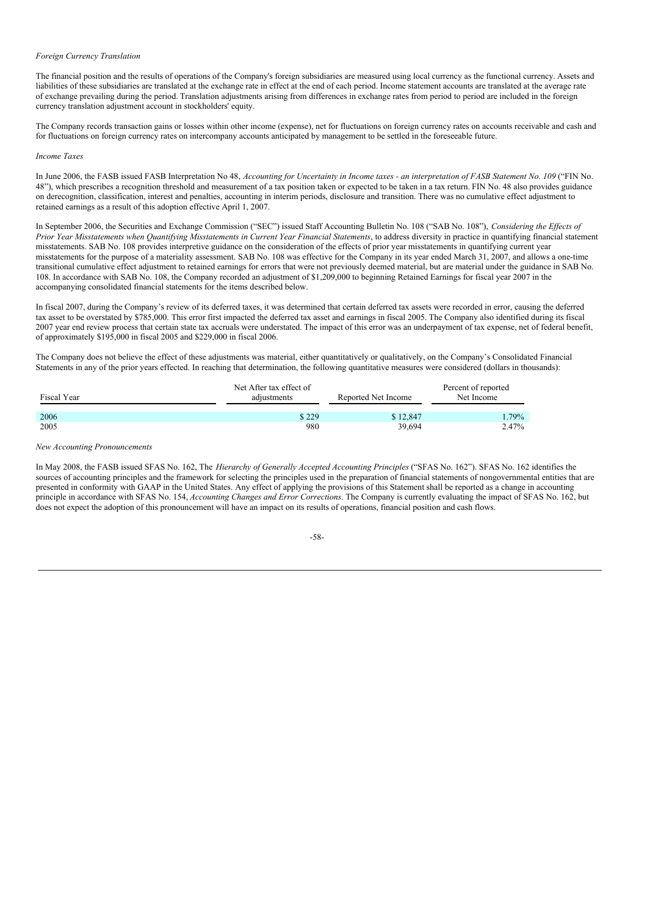### *Foreign Currency Translation*

The financial position and the results of operations of the Company's foreign subsidiaries are measured using local currency as the functional currency. Assets and liabilities of these subsidiaries are translated at the exchange rate in effect at the end of each period. Income statement accounts are translated at the average rate of exchange prevailing during the period. Translation adjustments arising from differences in exchange rates from period to period are included in the foreign currency translation adjustment account in stockholders' equity.

The Company records transaction gains or losses within other income (expense), net for fluctuations on foreign currency rates on accounts receivable and cash and for fluctuations on foreign currency rates on intercompany accounts anticipated by management to be settled in the foreseeable future.

# *Income Taxes*

In June 2006, the FASB issued FASB Interpretation No 48, Accounting for Uncertainty in Income taxes - an interpretation of FASB Statement No. 109 ("FIN No. 48"), which prescribes a recognition threshold and measurement of a tax position taken or expected to be taken in a tax return. FIN No. 48 also provides guidance on derecognition, classification, interest and penalties, accounting in interim periods, disclosure and transition. There was no cumulative effect adjustment to retained earnings as a result of this adoption effective April 1, 2007.

In September 2006, the Securities and Exchange Commission ("SEC") issued Staff Accounting Bulletin No. 108 ("SAB No. 108"), *Considering the Ef ects of* Prior Year Misstatements when Quantifying Misstatements in Current Year Financial Statements, to address diversity in practice in quantifying financial statement misstatements. SAB No. 108 provides interpretive guidance on the consideration of the effects of prior year misstatements in quantifying current year misstatements for the purpose of a materiality assessment. SAB No. 108 was effective for the Company in its year ended March 31, 2007, and allows a one-time transitional cumulative effect adjustment to retained earnings for errors that were not previously deemed material, but are material under the guidance in SAB No. 108. In accordance with SAB No. 108, the Company recorded an adjustment of \$1,209,000 to beginning Retained Earnings for fiscal year 2007 in the accompanying consolidated financial statements for the items described below.

In fiscal 2007, during the Company's review of its deferred taxes, it was determined that certain deferred tax assets were recorded in error, causing the deferred tax asset to be overstated by \$785,000. This error first impacted the deferred tax asset and earnings in fiscal 2005. The Company also identified during its fiscal 2007 year end review process that certain state tax accruals were understated. The impact of this error was an underpayment of tax expense, net of federal benefit, of approximately \$195,000 in fiscal 2005 and \$229,000 in fiscal 2006.

The Company does not believe the effect of these adjustments was material, either quantitatively or qualitatively, on the Company's Consolidated Financial Statements in any of the prior years effected. In reaching that determination, the following quantitative measures were considered (dollars in thousands):

| Net After tax effect of |             |                     | Percent of reported |
|-------------------------|-------------|---------------------|---------------------|
| Fiscal Year             | adiustments | Reported Net Income | Net Income          |
|                         |             |                     |                     |
| 2006                    | \$229       | \$12,847            | $1.79\%$            |
| 2005                    | 980         | 39.694              | 2.47%               |

#### *New Accounting Pronouncements*

In May 2008, the FASB issued SFAS No. 162, The *Hierarchy of Generally Accepted Accounting Principles* ("SFAS No. 162"). SFAS No. 162 identifies the sources of accounting principles and the framework for selecting the principles used in the preparation of financial statements of nongovernmental entities that are presented in conformity with GAAP in the United States. Any effect of applying the provisions of this Statement shall be reported as a change in accounting principle in accordance with SFAS No. 154, *Accounting Changes and Error Corrections*. The Company is currently evaluating the impact of SFAS No. 162, but does not expect the adoption of this pronouncement will have an impact on its results of operations, financial position and cash flows.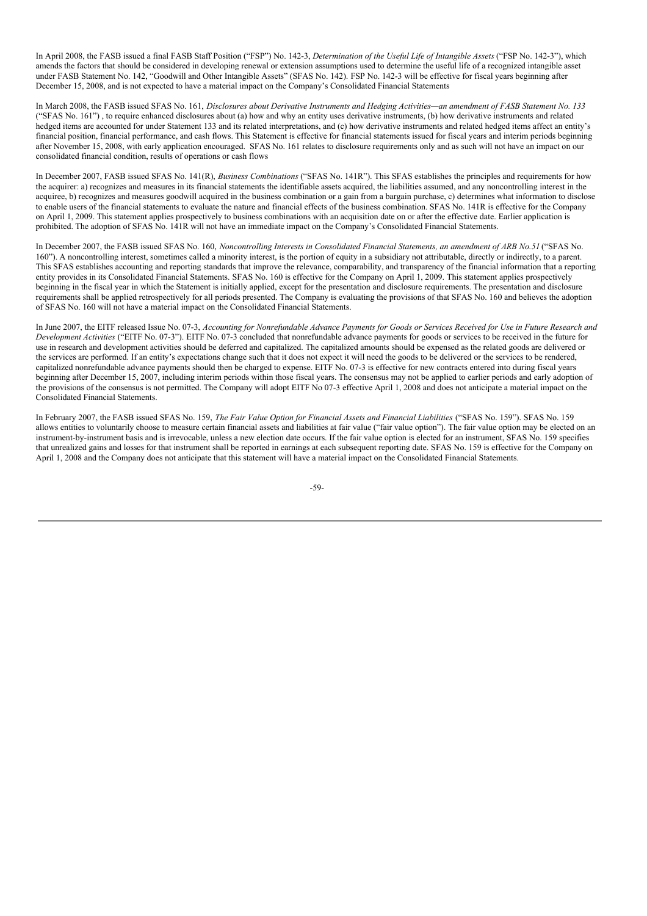In April 2008, the FASB issued a final FASB Staff Position ("FSP") No. 142-3, *Determination of the Useful Life of Intangible Assets* ("FSP No. 142-3"), which amends the factors that should be considered in developing renewal or extension assumptions used to determine the useful life of a recognized intangible asset under FASB Statement No. 142, "Goodwill and Other Intangible Assets" (SFAS No. 142). FSP No. 142-3 will be effective for fiscal years beginning after December 15, 2008, and is not expected to have a material impact on the Company's Consolidated Financial Statements

In March 2008, the FASB issued SFAS No. 161, Disclosures about Derivative Instruments and Hedging Activities-an amendment of FASB Statement No. 133 ("SFAS No. 161") , to require enhanced disclosures about (a) how and why an entity uses derivative instruments, (b) how derivative instruments and related hedged items are accounted for under Statement 133 and its related interpretations, and (c) how derivative instruments and related hedged items affect an entity's financial position, financial performance, and cash flows. This Statement is effective for financial statements issued for fiscal years and interim periods beginning after November 15, 2008, with early application encouraged. SFAS No. 161 relates to disclosure requirements only and as such will not have an impact on our consolidated financial condition, results of operations or cash flows

In December 2007, FASB issued SFAS No. 141(R), *Business Combinations* ("SFAS No. 141R"). This SFAS establishes the principles and requirements for how the acquirer: a) recognizes and measures in its financial statements the identifiable assets acquired, the liabilities assumed, and any noncontrolling interest in the acquiree, b) recognizes and measures goodwill acquired in the business combination or a gain from a bargain purchase, c) determines what information to disclose to enable users of the financial statements to evaluate the nature and financial effects of the business combination. SFAS No. 141R is effective for the Company on April 1, 2009. This statement applies prospectively to business combinations with an acquisition date on or after the effective date. Earlier application is prohibited. The adoption of SFAS No. 141R will not have an immediate impact on the Company's Consolidated Financial Statements.

In December 2007, the FASB issued SFAS No. 160, *Noncontrolling Interests in Consolidated Financial Statements, an amendment of ARB No.51*("SFAS No. 160"). A noncontrolling interest, sometimes called a minority interest, is the portion of equity in a subsidiary not attributable, directly or indirectly, to a parent. This SFAS establishes accounting and reporting standards that improve the relevance, comparability, and transparency of the financial information that a reporting entity provides in its Consolidated Financial Statements. SFAS No. 160 is effective for the Company on April 1, 2009. This statement applies prospectively beginning in the fiscal year in which the Statement is initially applied, except for the presentation and disclosure requirements. The presentation and disclosure requirements shall be applied retrospectively for all periods presented. The Company is evaluating the provisions of that SFAS No. 160 and believes the adoption of SFAS No. 160 will not have a material impact on the Consolidated Financial Statements.

In June 2007, the EITF released Issue No. 07-3, Accounting for Nonrefundable Advance Payments for Goods or Services Received for Use in Future Research and *Development Activities* ("EITF No. 07-3"). EITF No. 07-3 concluded that nonrefundable advance payments for goods or services to be received in the future for use in research and development activities should be deferred and capitalized. The capitalized amounts should be expensed as the related goods are delivered or the services are performed. If an entity's expectations change such that it does not expect it will need the goods to be delivered or the services to be rendered, capitalized nonrefundable advance payments should then be charged to expense. EITF No. 07-3 is effective for new contracts entered into during fiscal years beginning after December 15, 2007, including interim periods within those fiscal years. The consensus may not be applied to earlier periods and early adoption of the provisions of the consensus is not permitted. The Company will adopt EITF No 07-3 effective April 1, 2008 and does not anticipate a material impact on the Consolidated Financial Statements.

In February 2007, the FASB issued SFAS No. 159, *The Fair Value Option for Financial Assets and Financial Liabilities* ("SFAS No. 159"). SFAS No. 159 allows entities to voluntarily choose to measure certain financial assets and liabilities at fair value ("fair value option"). The fair value option may be elected on an instrument-by-instrument basis and is irrevocable, unless a new election date occurs. If the fair value option is elected for an instrument, SFAS No. 159 specifies that unrealized gains and losses for that instrument shall be reported in earnings at each subsequent reporting date. SFAS No. 159 is effective for the Company on April 1, 2008 and the Company does not anticipate that this statement will have a material impact on the Consolidated Financial Statements.

-59-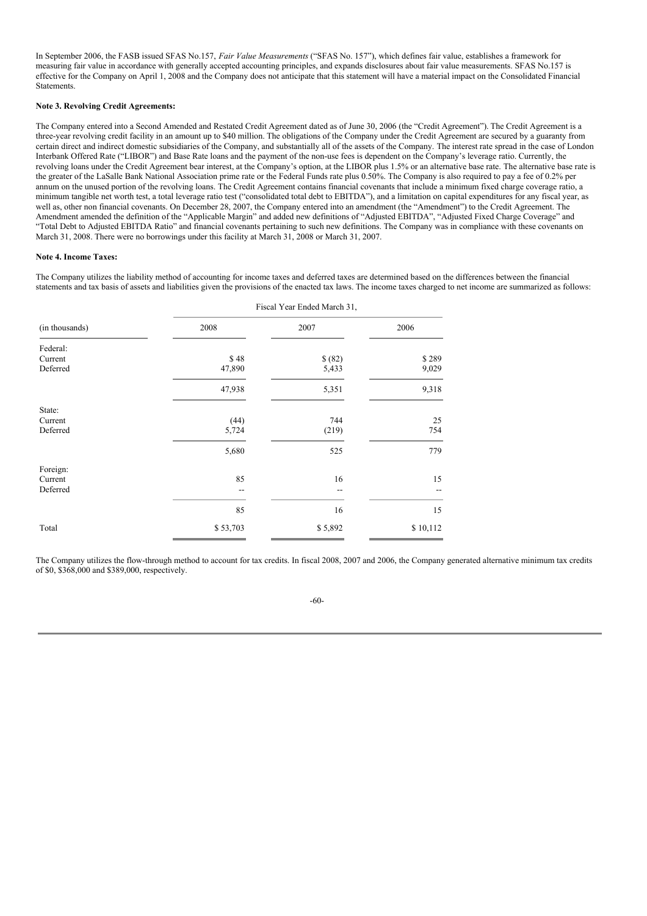In September 2006, the FASB issued SFAS No.157, *Fair Value Measurements* ("SFAS No. 157"), which defines fair value, establishes a framework for measuring fair value in accordance with generally accepted accounting principles, and expands disclosures about fair value measurements. SFAS No.157 is effective for the Company on April 1, 2008 and the Company does not anticipate that this statement will have a material impact on the Consolidated Financial Statements.

# **Note 3. Revolving Credit Agreements:**

The Company entered into a Second Amended and Restated Credit Agreement dated as of June 30, 2006 (the "Credit Agreement"). The Credit Agreement is a three-year revolving credit facility in an amount up to \$40 million. The obligations of the Company under the Credit Agreement are secured by a guaranty from certain direct and indirect domestic subsidiaries of the Company, and substantially all of the assets of the Company. The interest rate spread in the case of London Interbank Offered Rate ("LIBOR") and Base Rate loans and the payment of the non-use fees is dependent on the Company's leverage ratio. Currently, the revolving loans under the Credit Agreement bear interest, at the Company's option, at the LIBOR plus 1.5% or an alternative base rate. The alternative base rate is the greater of the LaSalle Bank National Association prime rate or the Federal Funds rate plus 0.50%. The Company is also required to pay a fee of 0.2% per annum on the unused portion of the revolving loans. The Credit Agreement contains financial covenants that include a minimum fixed charge coverage ratio, a minimum tangible net worth test, a total leverage ratio test ("consolidated total debt to EBITDA"), and a limitation on capital expenditures for any fiscal year, as well as, other non financial covenants. On December 28, 2007, the Company entered into an amendment (the "Amendment") to the Credit Agreement. The Amendment amended the definition of the "Applicable Margin" and added new definitions of "Adjusted EBITDA", "Adjusted Fixed Charge Coverage" and "Total Debt to Adjusted EBITDA Ratio" and financial covenants pertaining to such new definitions. The Company was in compliance with these covenants on March 31, 2008. There were no borrowings under this facility at March 31, 2008 or March 31, 2007.

### **Note 4. Income Taxes:**

The Company utilizes the liability method of accounting for income taxes and deferred taxes are determined based on the differences between the financial statements and tax basis of assets and liabilities given the provisions of the enacted tax laws. The income taxes charged to net income are summarized as follows:

| Fiscal Year Ended March 31, |         |          |
|-----------------------------|---------|----------|
| 2008                        | 2007    | 2006     |
|                             |         |          |
| \$48                        |         | \$289    |
| 47,890                      | 5,433   | 9,029    |
| 47,938                      | 5,351   | 9,318    |
|                             |         |          |
| (44)                        | 744     | 25       |
| 5,724                       | (219)   | 754      |
| 5,680                       | 525     | 779      |
|                             |         |          |
| 85                          | 16      | 15       |
| --                          |         |          |
| 85                          | 16      | 15       |
| \$53,703                    | \$5,892 | \$10,112 |
|                             |         | \$ (82)  |

The Company utilizes the flow-through method to account for tax credits. In fiscal 2008, 2007 and 2006, the Company generated alternative minimum tax credits of \$0, \$368,000 and \$389,000, respectively.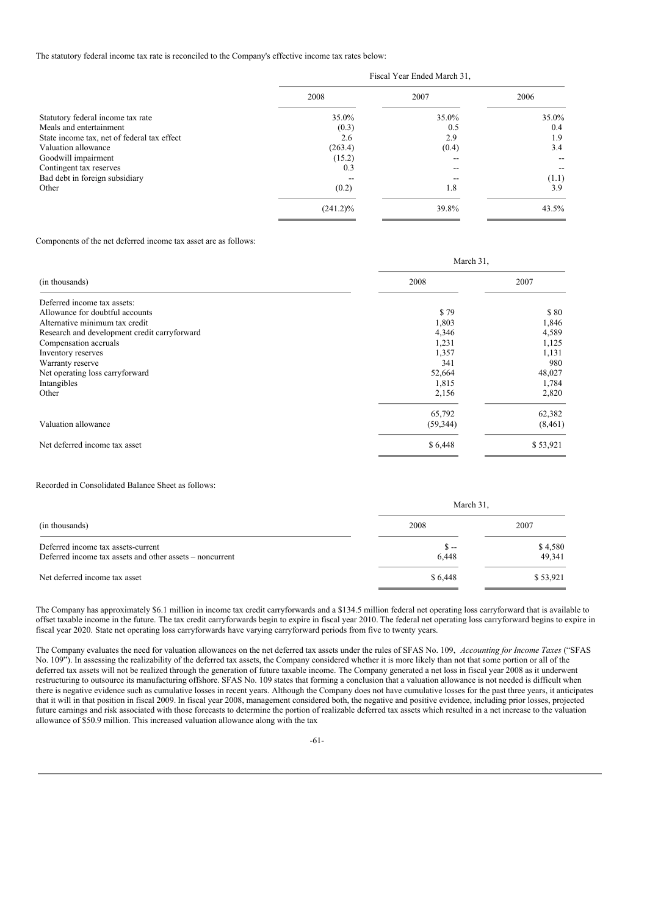The statutory federal income tax rate is reconciled to the Company's effective income tax rates below:

|                                             | Fiscal Year Ended March 31, |          |          |
|---------------------------------------------|-----------------------------|----------|----------|
|                                             | 2008                        | 2007     | 2006     |
| Statutory federal income tax rate           | 35.0%                       | $35.0\%$ | 35.0%    |
| Meals and entertainment                     | (0.3)                       | 0.5      | 0.4      |
| State income tax, net of federal tax effect | 2.6                         | 2.9      | 1.9      |
| Valuation allowance                         | (263.4)                     | (0.4)    | 3.4      |
| Goodwill impairment                         | (15.2)                      |          |          |
| Contingent tax reserves                     | 0.3                         | --       |          |
| Bad debt in foreign subsidiary              | --                          |          | (1.1)    |
| Other                                       | (0.2)                       | 1.8      | 3.9      |
|                                             | $(241.2)\%$                 | 39.8%    | $43.5\%$ |
|                                             |                             |          |          |

Components of the net deferred income tax asset are as follows:

|                                              |           | March 31, |  |
|----------------------------------------------|-----------|-----------|--|
| (in thousands)                               | 2008      | 2007      |  |
| Deferred income tax assets:                  |           |           |  |
| Allowance for doubtful accounts              | \$79      | \$80      |  |
| Alternative minimum tax credit               | 1,803     | 1,846     |  |
| Research and development credit carryforward | 4,346     | 4,589     |  |
| Compensation accruals                        | 1,231     | 1,125     |  |
| Inventory reserves                           | 1,357     | 1,131     |  |
| Warranty reserve                             | 341       | 980       |  |
| Net operating loss carryforward              | 52,664    | 48,027    |  |
| Intangibles                                  | 1,815     | 1,784     |  |
| Other                                        | 2,156     | 2,820     |  |
|                                              | 65,792    | 62,382    |  |
| Valuation allowance                          | (59, 344) | (8,461)   |  |
| Net deferred income tax asset                | \$6,448   | \$53,921  |  |

Recorded in Consolidated Balance Sheet as follows:

|                                                                                                | March 31,      |                   |
|------------------------------------------------------------------------------------------------|----------------|-------------------|
| (in thousands)                                                                                 | 2008           | 2007              |
| Deferred income tax assets-current<br>Deferred income tax assets and other assets – noncurrent | $S -$<br>6,448 | \$4,580<br>49,341 |
| Net deferred income tax asset                                                                  | \$6,448        | \$53,921          |

The Company has approximately \$6.1 million in income tax credit carryforwards and a \$134.5 million federal net operating loss carryforward that is available to offset taxable income in the future. The tax credit carryforwards begin to expire in fiscal year 2010. The federal net operating loss carryforward begins to expire in fiscal year 2020. State net operating loss carryforwards have varying carryforward periods from five to twenty years.

The Company evaluates the need for valuation allowances on the net deferred tax assets under the rules of SFAS No. 109, *Accounting for Income Taxes* ("SFAS No. 109"). In assessing the realizability of the deferred tax assets, the Company considered whether it is more likely than not that some portion or all of the deferred tax assets will not be realized through the generation of future taxable income. The Company generated a net loss in fiscal year 2008 as it underwent restructuring to outsource its manufacturing offshore. SFAS No. 109 states that forming a conclusion that a valuation allowance is not needed is difficult when there is negative evidence such as cumulative losses in recent years. Although the Company does not have cumulative losses for the past three years, it anticipates that it will in that position in fiscal 2009. In fiscal year 2008, management considered both, the negative and positive evidence, including prior losses, projected future earnings and risk associated with those forecasts to determine the portion of realizable deferred tax assets which resulted in a net increase to the valuation allowance of \$50.9 million. This increased valuation allowance along with the tax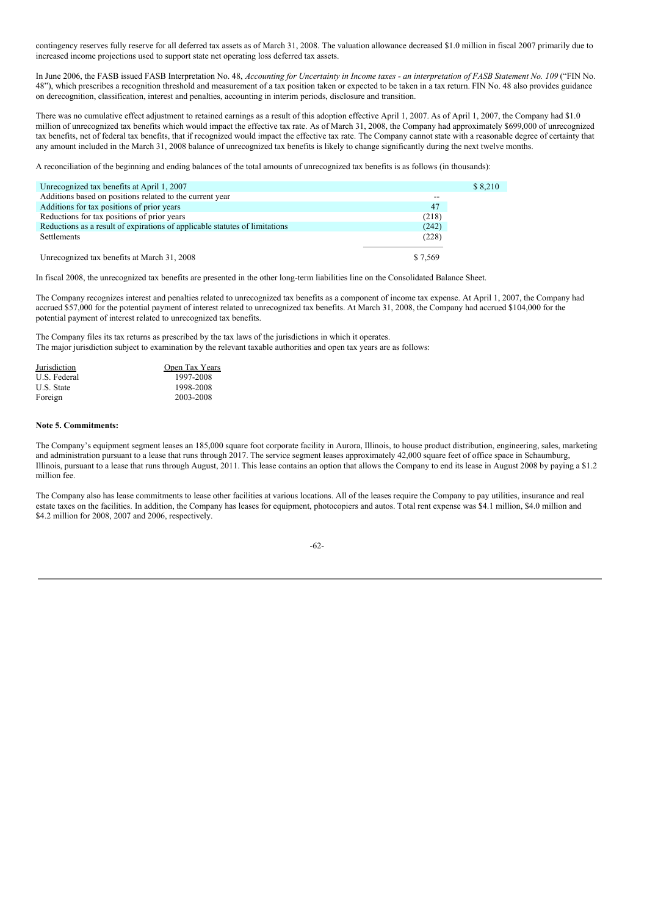contingency reserves fully reserve for all deferred tax assets as of March 31, 2008. The valuation allowance decreased \$1.0 million in fiscal 2007 primarily due to increased income projections used to support state net operating loss deferred tax assets.

In June 2006, the FASB issued FASB Interpretation No. 48, Accounting for Uncertainty in Income taxes - an interpretation of FASB Statement No. 109 ("FIN No. 48"), which prescribes a recognition threshold and measurement of a tax position taken or expected to be taken in a tax return. FIN No. 48 also provides guidance on derecognition, classification, interest and penalties, accounting in interim periods, disclosure and transition.

There was no cumulative effect adjustment to retained earnings as a result of this adoption effective April 1, 2007. As of April 1, 2007, the Company had \$1.0 million of unrecognized tax benefits which would impact the effective tax rate. As of March 31, 2008, the Company had approximately \$699,000 of unrecognized tax benefits, net of federal tax benefits, that if recognized would impact the effective tax rate. The Company cannot state with a reasonable degree of certainty that any amount included in the March 31, 2008 balance of unrecognized tax benefits is likely to change significantly during the next twelve months.

A reconciliation of the beginning and ending balances of the total amounts of unrecognized tax benefits is as follows (in thousands):

| Unrecognized tax benefits at April 1, 2007                                  |         | \$8,210 |
|-----------------------------------------------------------------------------|---------|---------|
| Additions based on positions related to the current year                    | $- -$   |         |
| Additions for tax positions of prior years                                  | 47      |         |
| Reductions for tax positions of prior years                                 | (218)   |         |
| Reductions as a result of expirations of applicable statutes of limitations | (242)   |         |
| <b>Settlements</b>                                                          | (228)   |         |
|                                                                             |         |         |
| Unrecognized tax benefits at March 31, 2008                                 | \$7.569 |         |

In fiscal 2008, the unrecognized tax benefits are presented in the other long-term liabilities line on the Consolidated Balance Sheet.

The Company recognizes interest and penalties related to unrecognized tax benefits as a component of income tax expense. At April 1, 2007, the Company had accrued \$57,000 for the potential payment of interest related to unrecognized tax benefits. At March 31, 2008, the Company had accrued \$104,000 for the potential payment of interest related to unrecognized tax benefits.

The Company files its tax returns as prescribed by the tax laws of the jurisdictions in which it operates. The major jurisdiction subject to examination by the relevant taxable authorities and open tax years are as follows:

| Jurisdiction | Open Tax Years |
|--------------|----------------|
| U.S. Federal | 1997-2008      |
| U.S. State   | 1998-2008      |
| Foreign      | 2003-2008      |

## **Note 5. Commitments:**

The Company's equipment segment leases an 185,000 square foot corporate facility in Aurora, Illinois, to house product distribution, engineering, sales, marketing and administration pursuant to a lease that runs through 2017. The service segment leases approximately 42,000 square feet of office space in Schaumburg, Illinois, pursuant to a lease that runs through August, 2011. This lease contains an option that allows the Company to end its lease in August 2008 by paying a \$1.2 million fee.

The Company also has lease commitments to lease other facilities at various locations. All of the leases require the Company to pay utilities, insurance and real estate taxes on the facilities. In addition, the Company has leases for equipment, photocopiers and autos. Total rent expense was \$4.1 million, \$4.0 million and \$4.2 million for 2008, 2007 and 2006, respectively.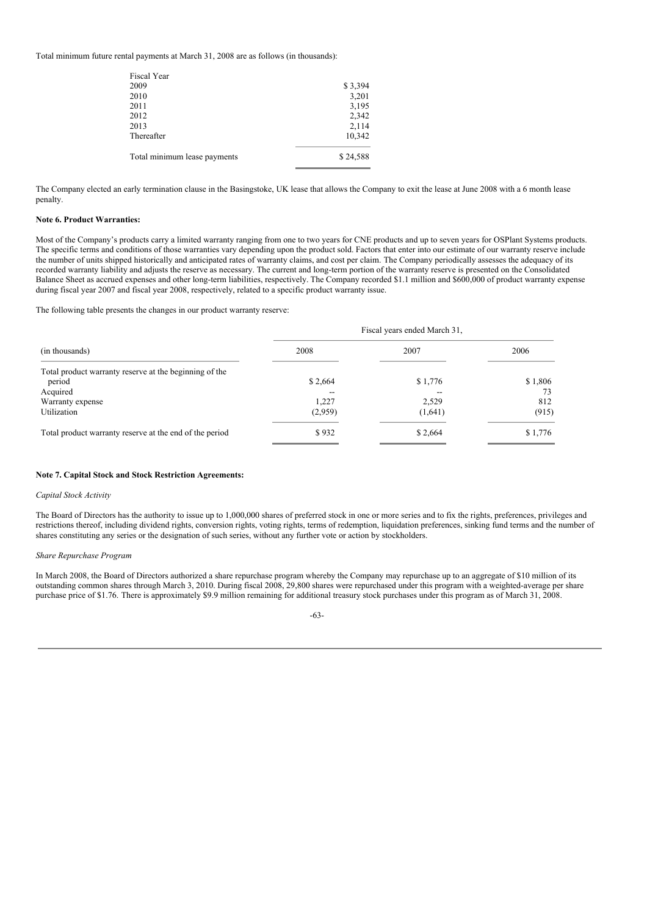Total minimum future rental payments at March 31, 2008 are as follows (in thousands):

| Fiscal Year                  |          |
|------------------------------|----------|
| 2009                         | \$3,394  |
| 2010                         | 3,201    |
| 2011                         | 3,195    |
| 2012                         | 2,342    |
| 2013                         | 2,114    |
| Thereafter                   | 10,342   |
| Total minimum lease payments | \$24,588 |

The Company elected an early termination clause in the Basingstoke, UK lease that allows the Company to exit the lease at June 2008 with a 6 month lease penalty.

# **Note 6. Product Warranties:**

Most of the Company's products carry a limited warranty ranging from one to two years for CNE products and up to seven years for OSPlant Systems products. The specific terms and conditions of those warranties vary depending upon the product sold. Factors that enter into our estimate of our warranty reserve include the number of units shipped historically and anticipated rates of warranty claims, and cost per claim. The Company periodically assesses the adequacy of its recorded warranty liability and adjusts the reserve as necessary. The current and long-term portion of the warranty reserve is presented on the Consolidated Balance Sheet as accrued expenses and other long-term liabilities, respectively. The Company recorded \$1.1 million and \$600,000 of product warranty expense during fiscal year 2007 and fiscal year 2008, respectively, related to a specific product warranty issue.

The following table presents the changes in our product warranty reserve:

|                                                         | Fiscal years ended March 31, |         |         |  |
|---------------------------------------------------------|------------------------------|---------|---------|--|
| (in thousands)                                          | 2008                         | 2007    | 2006    |  |
| Total product warranty reserve at the beginning of the  |                              |         |         |  |
| period                                                  | \$2,664                      | \$1,776 | \$1,806 |  |
| Acquired                                                | $- -$                        |         | 73      |  |
| Warranty expense                                        | 1.227                        | 2,529   | 812     |  |
| Utilization                                             | (2,959)                      | (1,641) | (915)   |  |
| Total product warranty reserve at the end of the period | \$932                        | \$2,664 | \$1,776 |  |
|                                                         |                              |         |         |  |

#### **Note 7. Capital Stock and Stock Restriction Agreements:**

# *Capital Stock Activity*

The Board of Directors has the authority to issue up to 1,000,000 shares of preferred stock in one or more series and to fix the rights, preferences, privileges and restrictions thereof, including dividend rights, conversion rights, voting rights, terms of redemption, liquidation preferences, sinking fund terms and the number of shares constituting any series or the designation of such series, without any further vote or action by stockholders.

### *Share Repurchase Program*

In March 2008, the Board of Directors authorized a share repurchase program whereby the Company may repurchase up to an aggregate of \$10 million of its outstanding common shares through March 3, 2010. During fiscal 2008, 29,800 shares were repurchased under this program with a weighted-average per share purchase price of \$1.76. There is approximately \$9.9 million remaining for additional treasury stock purchases under this program as of March 31, 2008.

#### -63-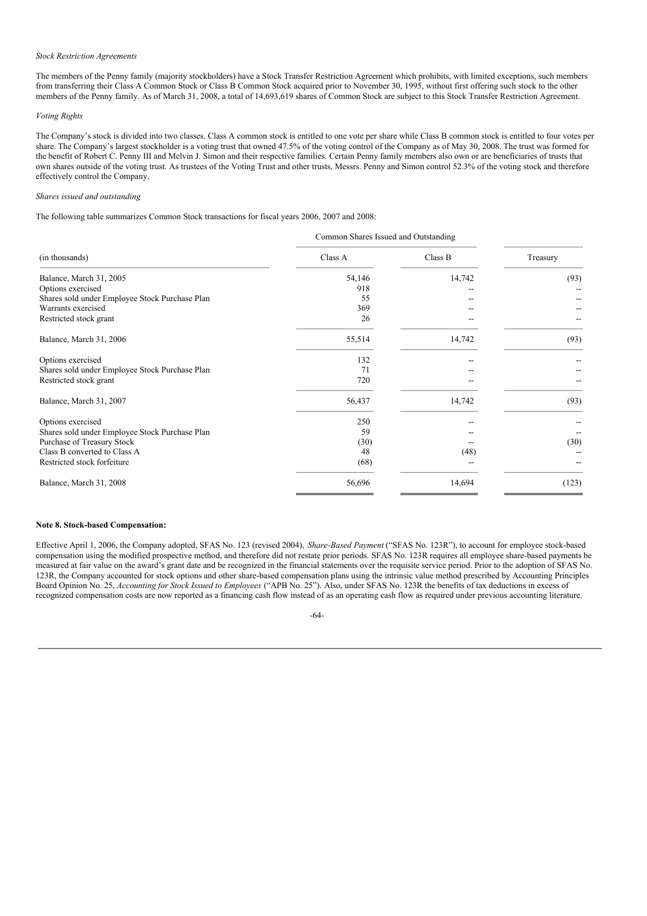### *Stock Restriction Agreements*

The members of the Penny family (majority stockholders) have a Stock Transfer Restriction Agreement which prohibits, with limited exceptions, such members from transferring their Class A Common Stock or Class B Common Stock acquired prior to November 30, 1995, without first offering such stock to the other members of the Penny family. As of March 31, 2008, a total of 14,693,619 shares of Common Stock are subject to this Stock Transfer Restriction Agreement.

#### *Voting Rights*

The Company's stock is divided into two classes. Class A common stock is entitled to one vote per share while Class B common stock is entitled to four votes per share. The Company's largest stockholder is a voting trust that owned 47.5% of the voting control of the Company as of May 30, 2008. The trust was formed for the benefit of Robert C. Penny III and Melvin J. Simon and their respective families. Certain Penny family members also own or are beneficiaries of trusts that own shares outside of the voting trust. As trustees of the Voting Trust and other trusts, Messrs. Penny and Simon control 52.3% of the voting stock and therefore effectively control the Company.

#### *Shares issued and outstanding*

The following table summarizes Common Stock transactions for fiscal years 2006, 2007 and 2008:

|                                                | Common Shares Issued and Outstanding |         |          |
|------------------------------------------------|--------------------------------------|---------|----------|
| (in thousands)                                 | Class A                              | Class B | Treasury |
| Balance, March 31, 2005                        | 54,146                               | 14,742  | (93)     |
| Options exercised                              | 918                                  |         |          |
| Shares sold under Employee Stock Purchase Plan | 55                                   |         |          |
| Warrants exercised                             | 369                                  |         |          |
| Restricted stock grant                         | 26                                   | --      |          |
| Balance, March 31, 2006                        | 55,514                               | 14,742  | (93)     |
| Options exercised                              | 132                                  | --      |          |
| Shares sold under Employee Stock Purchase Plan | 71                                   |         |          |
| Restricted stock grant                         | 720                                  |         |          |
| Balance, March 31, 2007                        | 56,437                               | 14,742  | (93)     |
| Options exercised                              | 250                                  |         |          |
| Shares sold under Employee Stock Purchase Plan | 59                                   |         |          |
| Purchase of Treasury Stock                     | (30)                                 |         | (30)     |
| Class B converted to Class A                   | 48                                   | (48)    |          |
| Restricted stock forfeiture                    | (68)                                 |         |          |
| Balance, March 31, 2008                        | 56,696                               | 14,694  | (123)    |

### **Note 8. Stock-based Compensation:**

Effective April 1, 2006, the Company adopted, SFAS No. 123 (revised 2004), *Share-Based Payment* ("SFAS No. 123R"), to account for employee stock-based compensation using the modified prospective method, and therefore did not restate prior periods. SFAS No. 123R requires all employee share-based payments be measured at fair value on the award's grant date and be recognized in the financial statements over the requisite service period. Prior to the adoption of SFAS No. 123R, the Company accounted for stock options and other share-based compensation plans using the intrinsic value method prescribed by Accounting Principles Board Opinion No. 25, *Accounting for Stock Issued to Employees* ("APB No. 25"). Also, under SFAS No. 123R the benefits of tax deductions in excess of recognized compensation costs are now reported as a financing cash flow instead of as an operating cash flow as required under previous accounting literature.

#### -64-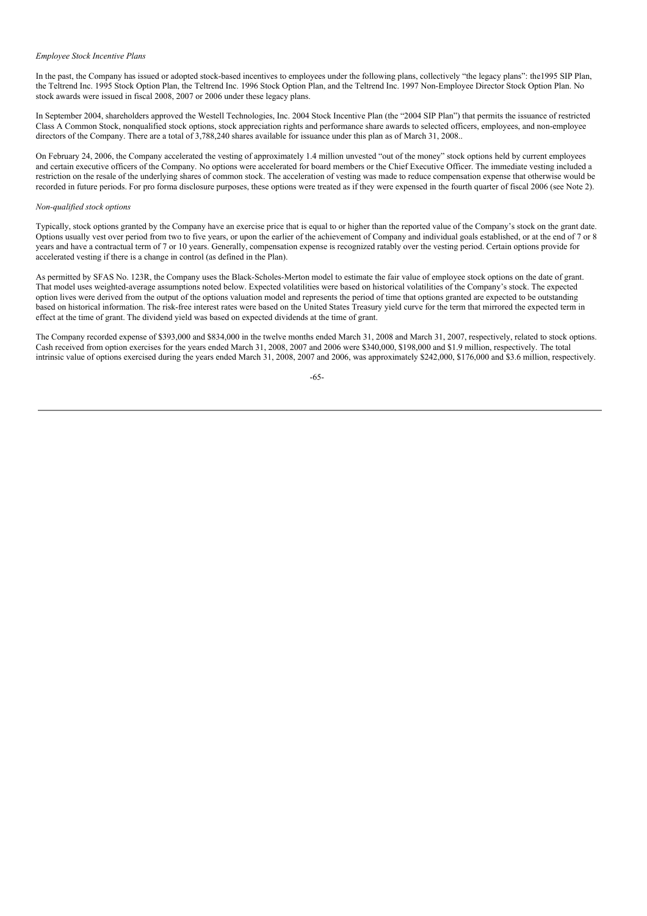#### *Employee Stock Incentive Plans*

In the past, the Company has issued or adopted stock-based incentives to employees under the following plans, collectively "the legacy plans": the1995 SIP Plan, the Teltrend Inc. 1995 Stock Option Plan, the Teltrend Inc. 1996 Stock Option Plan, and the Teltrend Inc. 1997 Non-Employee Director Stock Option Plan. No stock awards were issued in fiscal 2008, 2007 or 2006 under these legacy plans.

In September 2004, shareholders approved the Westell Technologies, Inc. 2004 Stock Incentive Plan (the "2004 SIP Plan") that permits the issuance of restricted Class A Common Stock, nonqualified stock options, stock appreciation rights and performance share awards to selected officers, employees, and non-employee directors of the Company. There are a total of 3,788,240 shares available for issuance under this plan as of March 31, 2008..

On February 24, 2006, the Company accelerated the vesting of approximately 1.4 million unvested "out of the money" stock options held by current employees and certain executive officers of the Company. No options were accelerated for board members or the Chief Executive Officer. The immediate vesting included a restriction on the resale of the underlying shares of common stock. The acceleration of vesting was made to reduce compensation expense that otherwise would be recorded in future periods. For pro forma disclosure purposes, these options were treated as if they were expensed in the fourth quarter of fiscal 2006 (see Note 2).

#### *Non-qualified stock options*

Typically, stock options granted by the Company have an exercise price that is equal to or higher than the reported value of the Company's stock on the grant date. Options usually vest over period from two to five years, or upon the earlier of the achievement of Company and individual goals established, or at the end of 7 or 8 years and have a contractual term of 7 or 10 years. Generally, compensation expense is recognized ratably over the vesting period. Certain options provide for accelerated vesting if there is a change in control (as defined in the Plan).

As permitted by SFAS No. 123R, the Company uses the Black-Scholes-Merton model to estimate the fair value of employee stock options on the date of grant. That model uses weighted-average assumptions noted below. Expected volatilities were based on historical volatilities of the Company's stock. The expected option lives were derived from the output of the options valuation model and represents the period of time that options granted are expected to be outstanding based on historical information. The risk-free interest rates were based on the United States Treasury yield curve for the term that mirrored the expected term in effect at the time of grant. The dividend yield was based on expected dividends at the time of grant.

The Company recorded expense of \$393,000 and \$834,000 in the twelve months ended March 31, 2008 and March 31, 2007, respectively, related to stock options. Cash received from option exercises for the years ended March 31, 2008, 2007 and 2006 were \$340,000, \$198,000 and \$1.9 million, respectively. The total intrinsic value of options exercised during the years ended March 31, 2008, 2007 and 2006, was approximately \$242,000, \$176,000 and \$3.6 million, respectively.

-65-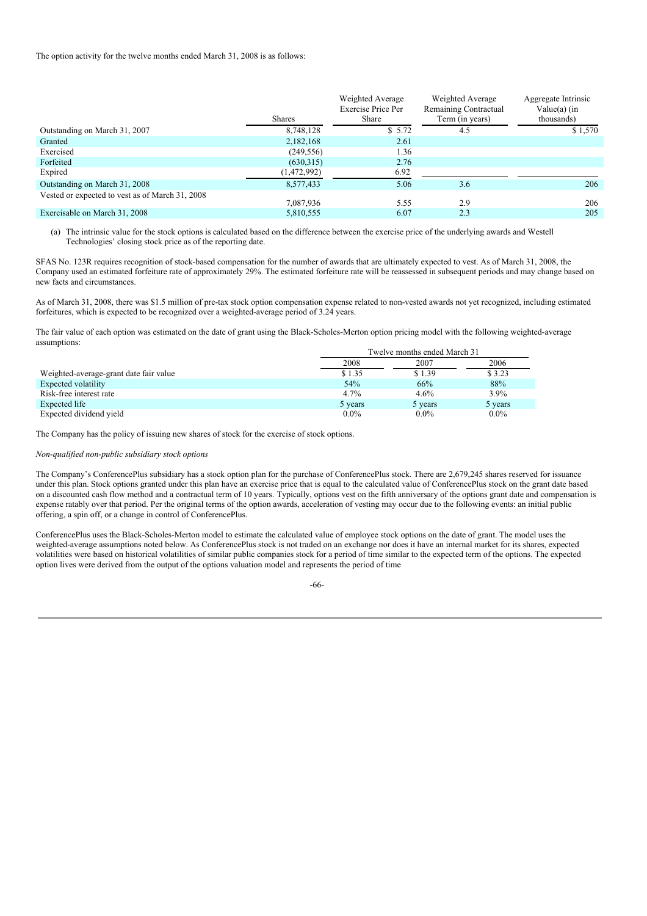## The option activity for the twelve months ended March 31, 2008 is as follows:

|                                                 | <b>Shares</b> | Weighted Average<br>Exercise Price Per<br>Share | Weighted Average<br>Remaining Contractual<br>Term (in years) | Aggregate Intrinsic<br>$Value(a)$ (in<br>thousands) |
|-------------------------------------------------|---------------|-------------------------------------------------|--------------------------------------------------------------|-----------------------------------------------------|
| Outstanding on March 31, 2007                   | 8,748,128     | \$5.72                                          | 4.5                                                          | \$1.570                                             |
| Granted                                         | 2,182,168     | 2.61                                            |                                                              |                                                     |
| Exercised                                       | (249, 556)    | 1.36                                            |                                                              |                                                     |
| Forfeited                                       | (630, 315)    | 2.76                                            |                                                              |                                                     |
| Expired                                         | (1,472,992)   | 6.92                                            |                                                              |                                                     |
| Outstanding on March 31, 2008                   | 8,577,433     | 5.06                                            | 3.6                                                          | 206                                                 |
| Vested or expected to vest as of March 31, 2008 |               |                                                 |                                                              |                                                     |
|                                                 | 7,087,936     | 5.55                                            | 2.9                                                          | 206                                                 |
| Exercisable on March 31, 2008                   | 5,810,555     | 6.07                                            | 2.3                                                          | 205                                                 |

(a) The intrinsic value for the stock options is calculated based on the difference between the exercise price of the underlying awards and Westell Technologies' closing stock price as of the reporting date.

SFAS No. 123R requires recognition of stock-based compensation for the number of awards that are ultimately expected to vest. As of March 31, 2008, the Company used an estimated forfeiture rate of approximately 29%. The estimated forfeiture rate will be reassessed in subsequent periods and may change based on new facts and circumstances.

As of March 31, 2008, there was \$1.5 million of pre-tax stock option compensation expense related to non-vested awards not yet recognized, including estimated forfeitures, which is expected to be recognized over a weighted-average period of 3.24 years.

The fair value of each option was estimated on the date of grant using the Black-Scholes-Merton option pricing model with the following weighted-average assumptions:  $T_{\text{max}}$  months end months end  $T_{\text{max}}$ 

|                                        | I welve months ended March 31 |         |         |
|----------------------------------------|-------------------------------|---------|---------|
|                                        | 2008                          | 2007    | 2006    |
| Weighted-average-grant date fair value | \$1.35                        | \$1.39  | \$3.23  |
| Expected volatility                    | 54%                           | 66%     | 88%     |
| Risk-free interest rate                | $4.7\%$                       | 4.6%    | 3.9%    |
| Expected life                          | 5 years                       | 5 years | 5 years |
| Expected dividend yield                | $0.0\%$                       | $0.0\%$ | $0.0\%$ |

The Company has the policy of issuing new shares of stock for the exercise of stock options.

## *Non-qualified non-public subsidiary stock options*

The Company's ConferencePlus subsidiary has a stock option plan for the purchase of ConferencePlus stock. There are 2,679,245 shares reserved for issuance under this plan. Stock options granted under this plan have an exercise price that is equal to the calculated value of ConferencePlus stock on the grant date based on a discounted cash flow method and a contractual term of 10 years. Typically, options vest on the fifth anniversary of the options grant date and compensation is expense ratably over that period. Per the original terms of the option awards, acceleration of vesting may occur due to the following events: an initial public offering, a spin off, or a change in control of ConferencePlus.

ConferencePlus uses the Black-Scholes-Merton model to estimate the calculated value of employee stock options on the date of grant. The model uses the weighted-average assumptions noted below. As ConferencePlus stock is not traded on an exchange nor does it have an internal market for its shares, expected volatilities were based on historical volatilities of similar public companies stock for a period of time similar to the expected term of the options. The expected option lives were derived from the output of the options valuation model and represents the period of time

-66-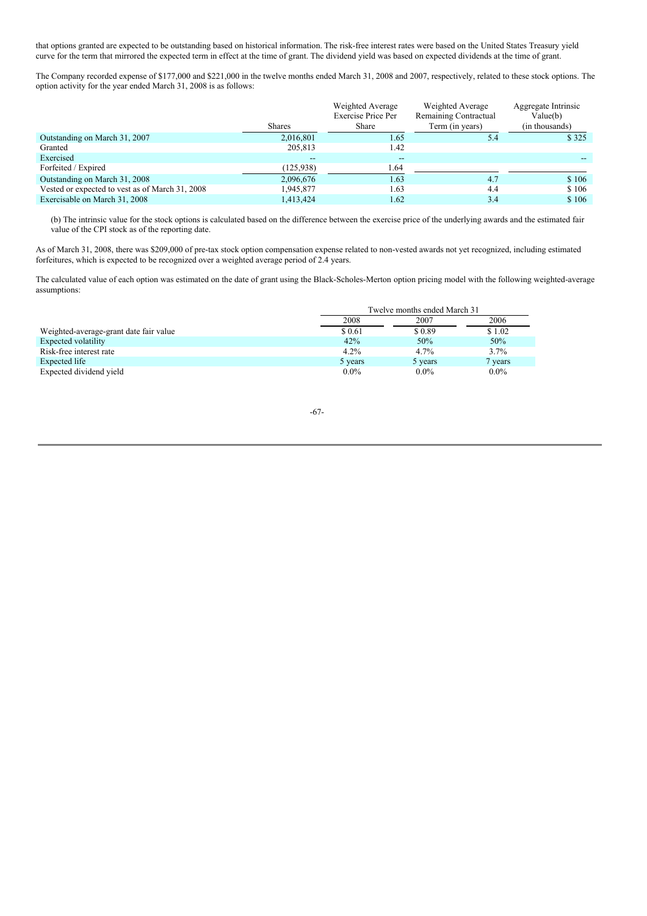that options granted are expected to be outstanding based on historical information. The risk-free interest rates were based on the United States Treasury yield curve for the term that mirrored the expected term in effect at the time of grant. The dividend yield was based on expected dividends at the time of grant.

The Company recorded expense of \$177,000 and \$221,000 in the twelve months ended March 31, 2008 and 2007, respectively, related to these stock options. The option activity for the year ended March 31, 2008 is as follows:

|                                                 |               | Weighted Average   | Weighted Average      | Aggregate Intrinsic |
|-------------------------------------------------|---------------|--------------------|-----------------------|---------------------|
|                                                 |               | Exercise Price Per | Remaining Contractual | Value(b)            |
|                                                 | <b>Shares</b> | Share              | Term (in years)       | (in thousands)      |
| Outstanding on March 31, 2007                   | 2,016,801     | 1.65               | 5.4                   | \$325               |
| Granted                                         | 205,813       | 1.42               |                       |                     |
| Exercised                                       | $- -$         | $- -$              |                       |                     |
| Forfeited / Expired                             | (125, 938)    | 1.64               |                       |                     |
| Outstanding on March 31, 2008                   | 2.096.676     | 1.63               | 4.7                   | \$106               |
| Vested or expected to vest as of March 31, 2008 | 1,945,877     | 1.63               | 4.4                   | \$106               |
| Exercisable on March 31, 2008                   | 1,413,424     | 1.62               | 3.4                   | \$106               |

(b) The intrinsic value for the stock options is calculated based on the difference between the exercise price of the underlying awards and the estimated fair value of the CPI stock as of the reporting date.

As of March 31, 2008, there was \$209,000 of pre-tax stock option compensation expense related to non-vested awards not yet recognized, including estimated forfeitures, which is expected to be recognized over a weighted average period of 2.4 years.

The calculated value of each option was estimated on the date of grant using the Black-Scholes-Merton option pricing model with the following weighted-average assumptions:

|                                        | Twelve months ended March 31 |         |         |
|----------------------------------------|------------------------------|---------|---------|
|                                        | 2008                         | 2007    | 2006    |
| Weighted-average-grant date fair value | \$ 0.61                      | \$0.89  | \$1.02  |
| Expected volatility                    | 42%                          | 50%     | 50%     |
| Risk-free interest rate                | $4.2\%$                      | $4.7\%$ | 3.7%    |
| Expected life                          | 5 years                      | 5 years | vears   |
| Expected dividend yield                | $0.0\%$                      | $0.0\%$ | $0.0\%$ |

# -67-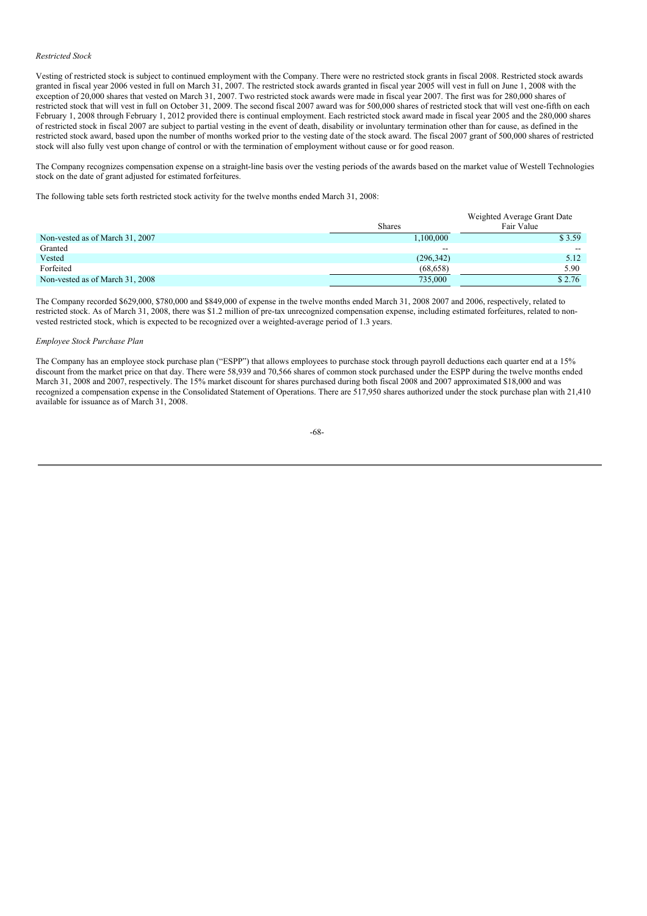## *Restricted Stock*

Vesting of restricted stock is subject to continued employment with the Company. There were no restricted stock grants in fiscal 2008. Restricted stock awards granted in fiscal year 2006 vested in full on March 31, 2007. The restricted stock awards granted in fiscal year 2005 will vest in full on June 1, 2008 with the exception of 20,000 shares that vested on March 31, 2007. Two restricted stock awards were made in fiscal year 2007. The first was for 280,000 shares of restricted stock that will vest in full on October 31, 2009. The second fiscal 2007 award was for 500,000 shares of restricted stock that will vest one-fifth on each February 1, 2008 through February 1, 2012 provided there is continual employment. Each restricted stock award made in fiscal year 2005 and the 280,000 shares of restricted stock in fiscal 2007 are subject to partial vesting in the event of death, disability or involuntary termination other than for cause, as defined in the restricted stock award, based upon the number of months worked prior to the vesting date of the stock award. The fiscal 2007 grant of 500,000 shares of restricted stock will also fully vest upon change of control or with the termination of employment without cause or for good reason.

The Company recognizes compensation expense on a straight-line basis over the vesting periods of the awards based on the market value of Westell Technologies stock on the date of grant adjusted for estimated forfeitures.

The following table sets forth restricted stock activity for the twelve months ended March 31, 2008:

|                                 |               | Weighted Average Grant Date |
|---------------------------------|---------------|-----------------------------|
|                                 | <b>Shares</b> | Fair Value                  |
| Non-vested as of March 31, 2007 | 1,100,000     | \$3.59                      |
| Granted                         | $- -$         | $- -$                       |
| Vested                          | (296, 342)    | 5.12                        |
| Forfeited                       | (68, 658)     | 5.90                        |
| Non-vested as of March 31, 2008 | 735,000       | \$2.76                      |

The Company recorded \$629,000, \$780,000 and \$849,000 of expense in the twelve months ended March 31, 2008 2007 and 2006, respectively, related to restricted stock. As of March 31, 2008, there was \$1.2 million of pre-tax unrecognized compensation expense, including estimated forfeitures, related to nonvested restricted stock, which is expected to be recognized over a weighted-average period of 1.3 years.

### *Employee Stock Purchase Plan*

The Company has an employee stock purchase plan ("ESPP") that allows employees to purchase stock through payroll deductions each quarter end at a 15% discount from the market price on that day. There were 58,939 and 70,566 shares of common stock purchased under the ESPP during the twelve months ended March 31, 2008 and 2007, respectively. The 15% market discount for shares purchased during both fiscal 2008 and 2007 approximated \$18,000 and was recognized a compensation expense in the Consolidated Statement of Operations. There are 517,950 shares authorized under the stock purchase plan with 21,410 available for issuance as of March 31, 2008.

-68-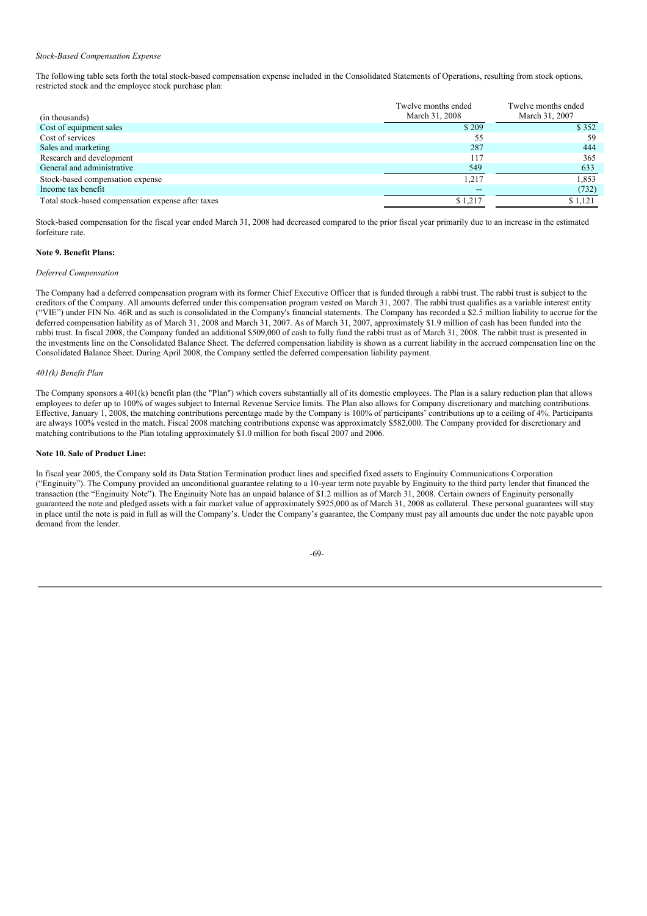### *Stock-Based Compensation Expense*

The following table sets forth the total stock-based compensation expense included in the Consolidated Statements of Operations, resulting from stock options, restricted stock and the employee stock purchase plan:

|                                                    | Twelve months ended | Twelve months ended |
|----------------------------------------------------|---------------------|---------------------|
| (in thousands)                                     | March 31, 2008      | March 31, 2007      |
| Cost of equipment sales                            | \$209               | \$352               |
| Cost of services                                   | 55                  | 59                  |
| Sales and marketing                                | 287                 | 444                 |
| Research and development                           | 117                 | 365                 |
| General and administrative                         | 549                 | 633                 |
| Stock-based compensation expense                   | 1,217               | 1,853               |
| Income tax benefit                                 | $-$                 | (732)               |
| Total stock-based compensation expense after taxes | \$1,217             | \$1,121             |

Stock-based compensation for the fiscal year ended March 31, 2008 had decreased compared to the prior fiscal year primarily due to an increase in the estimated forfeiture rate.

#### **Note 9. Benefit Plans:**

#### *Deferred Compensation*

The Company had a deferred compensation program with its former Chief Executive Officer that is funded through a rabbi trust. The rabbi trust is subject to the creditors of the Company. All amounts deferred under this compensation program vested on March 31, 2007. The rabbi trust qualifies as a variable interest entity ("VIE") under FIN No. 46R and as such is consolidated in the Company's financial statements. The Company has recorded a \$2.5 million liability to accrue for the deferred compensation liability as of March 31, 2008 and March 31, 2007. As of March 31, 2007, approximately \$1.9 million of cash has been funded into the rabbi trust. In fiscal 2008, the Company funded an additional \$509,000 of cash to fully fund the rabbi trust as of March 31, 2008. The rabbit trust is presented in the investments line on the Consolidated Balance Sheet. The deferred compensation liability is shown as a current liability in the accrued compensation line on the Consolidated Balance Sheet. During April 2008, the Company settled the deferred compensation liability payment.

#### *401(k) Benefit Plan*

The Company sponsors a 401(k) benefit plan (the "Plan") which covers substantially all of its domestic employees. The Plan is a salary reduction plan that allows employees to defer up to 100% of wages subject to Internal Revenue Service limits. The Plan also allows for Company discretionary and matching contributions. Effective, January 1, 2008, the matching contributions percentage made by the Company is 100% of participants' contributions up to a ceiling of 4%. Participants are always 100% vested in the match. Fiscal 2008 matching contributions expense was approximately \$582,000. The Company provided for discretionary and matching contributions to the Plan totaling approximately \$1.0 million for both fiscal 2007 and 2006.

#### **Note 10. Sale of Product Line:**

In fiscal year 2005, the Company sold its Data Station Termination product lines and specified fixed assets to Enginuity Communications Corporation ("Enginuity"). The Company provided an unconditional guarantee relating to a 10-year term note payable by Enginuity to the third party lender that financed the transaction (the "Enginuity Note"). The Enginuity Note has an unpaid balance of \$1.2 million as of March 31, 2008. Certain owners of Enginuity personally guaranteed the note and pledged assets with a fair market value of approximately \$925,000 as of March 31, 2008 as collateral. These personal guarantees will stay in place until the note is paid in full as will the Company's. Under the Company's guarantee, the Company must pay all amounts due under the note payable upon demand from the lender.

$$
-69-
$$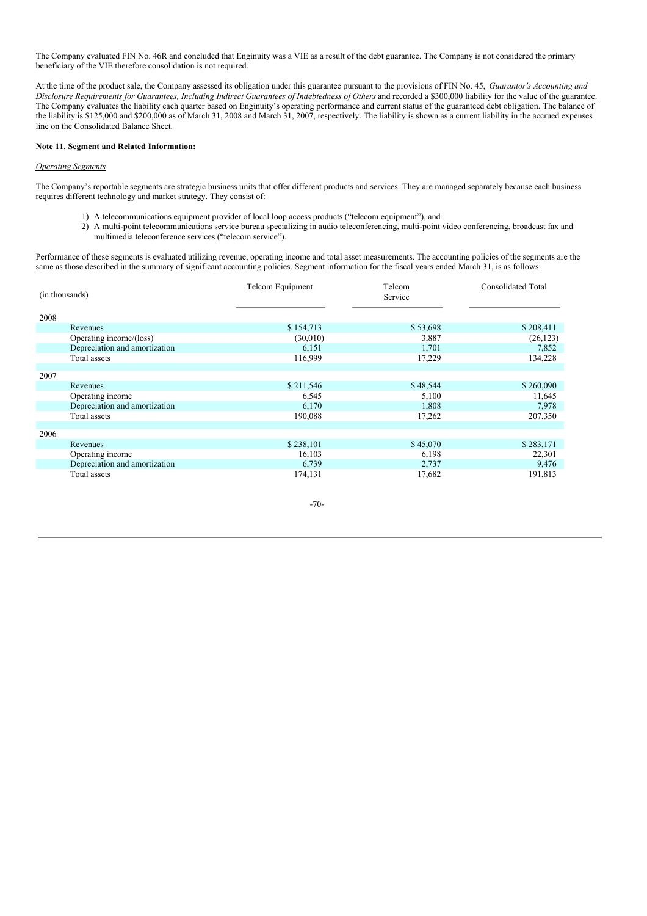The Company evaluated FIN No. 46R and concluded that Enginuity was a VIE as a result of the debt guarantee. The Company is not considered the primary beneficiary of the VIE therefore consolidation is not required.

At the time of the product sale, the Company assessed its obligation under this guarantee pursuant to the provisions of FIN No. 45, *Guarantor's Accounting and* Disclosure Requirements for Guarantees, Including Indirect Guarantees of Indebtedness of Others and recorded a \$300,000 liability for the value of the guarantee. The Company evaluates the liability each quarter based on Enginuity's operating performance and current status of the guaranteed debt obligation. The balance of the liability is \$125,000 and \$200,000 as of March 31, 2008 and March 31, 2007, respectively. The liability is shown as a current liability in the accrued expenses line on the Consolidated Balance Sheet.

#### **Note 11. Segment and Related Information:**

#### *Operating Segments*

The Company's reportable segments are strategic business units that offer different products and services. They are managed separately because each business requires different technology and market strategy. They consist of:

- 1) A telecommunications equipment provider of local loop access products ("telecom equipment"), and
- 2) A multi-point telecommunications service bureau specializing in audio teleconferencing, multi-point video conferencing, broadcast fax and multimedia teleconference services ("telecom service").

Performance of these segments is evaluated utilizing revenue, operating income and total asset measurements. The accounting policies of the segments are the same as those described in the summary of significant accounting policies. Segment information for the fiscal years ended March 31, is as follows:

| (in thousands) |                               | Telcom Equipment | Telcom<br>Service | <b>Consolidated Total</b> |
|----------------|-------------------------------|------------------|-------------------|---------------------------|
| 2008           |                               |                  |                   |                           |
|                | Revenues                      | \$154,713        | \$53,698          | \$208,411                 |
|                | Operating income/(loss)       | (30,010)         | 3,887             | (26, 123)                 |
|                | Depreciation and amortization | 6,151            | 1,701             | 7,852                     |
|                | Total assets                  | 116,999          | 17,229            | 134,228                   |
|                |                               |                  |                   |                           |
| 2007           |                               |                  |                   |                           |
|                | Revenues                      | \$211,546        | \$48,544          | \$260,090                 |
|                | Operating income              | 6,545            | 5,100             | 11,645                    |
|                | Depreciation and amortization | 6,170            | 1,808             | 7,978                     |
|                | Total assets                  | 190,088          | 17,262            | 207,350                   |
|                |                               |                  |                   |                           |
| 2006           |                               |                  |                   |                           |
|                | Revenues                      | \$238,101        | \$45,070          | \$283,171                 |
|                | Operating income              | 16,103           | 6,198             | 22,301                    |
|                | Depreciation and amortization | 6,739            | 2,737             | 9,476                     |
|                | Total assets                  | 174,131          | 17,682            | 191,813                   |

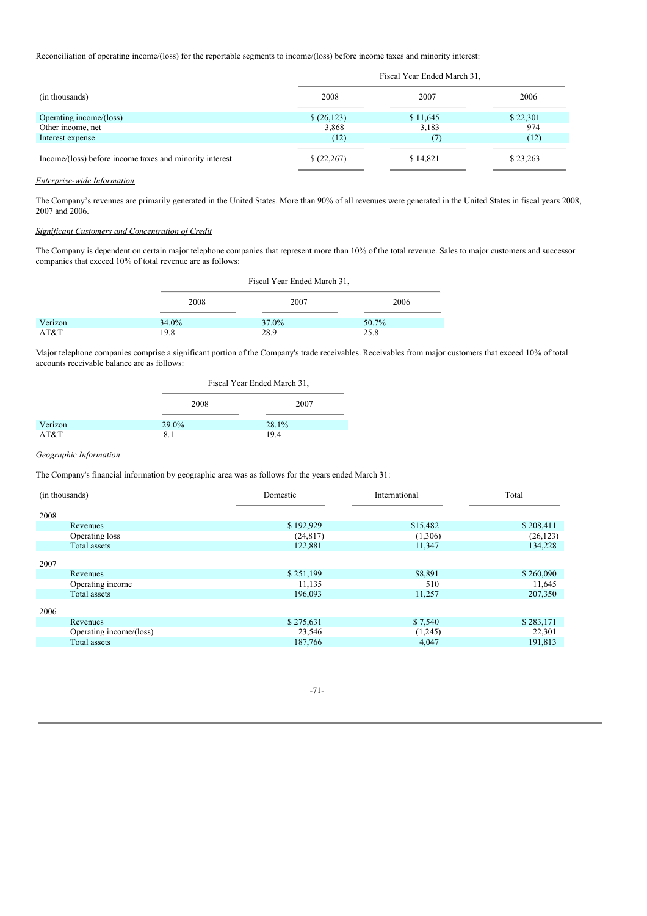Reconciliation of operating income/(loss) for the reportable segments to income/(loss) before income taxes and minority interest:

|                                                         |            | Fiscal Year Ended March 31, |          |  |
|---------------------------------------------------------|------------|-----------------------------|----------|--|
| (in thousands)                                          | 2008       | 2007                        | 2006     |  |
| Operating income/(loss)                                 | \$(26,123) | \$11,645                    | \$22,301 |  |
| Other income, net                                       | 3,868      | 3,183                       | 974      |  |
| Interest expense                                        | (12)       | (7)                         | (12)     |  |
| Income/(loss) before income taxes and minority interest | \$(22,267) | \$14,821                    | \$23,263 |  |

### *Enterprise-wide Information*

The Company's revenues are primarily generated in the United States. More than 90% of all revenues were generated in the United States in fiscal years 2008, 2007 and 2006.

### *Significant Customers and Concentration of Credit*

The Company is dependent on certain major telephone companies that represent more than 10% of the total revenue. Sales to major customers and successor companies that exceed 10% of total revenue are as follows:

|         |       | Fiscal Year Ended March 31, |       |  |
|---------|-------|-----------------------------|-------|--|
|         | 2008  | 2007                        | 2006  |  |
| Verizon | 34.0% | 37.0%                       | 50.7% |  |
| AT&T    | 19.8  | 28.9                        | 25.8  |  |

Major telephone companies comprise a significant portion of the Company's trade receivables. Receivables from major customers that exceed 10% of total accounts receivable balance are as follows:

|         |       | Fiscal Year Ended March 31, |  |  |
|---------|-------|-----------------------------|--|--|
|         | 2008  | 2007                        |  |  |
| Verizon | 29.0% | 28.1%                       |  |  |
| AT&T    | 81    | 19.4                        |  |  |

#### *Geographic Information*

The Company's financial information by geographic area was as follows for the years ended March 31:

| (in thousands) |                         | Domestic  | International | Total     |
|----------------|-------------------------|-----------|---------------|-----------|
| 2008           |                         |           |               |           |
|                | Revenues                | \$192,929 | \$15,482      | \$208,411 |
|                | Operating loss          | (24, 817) | (1,306)       | (26, 123) |
|                | Total assets            | 122,881   | 11,347        | 134,228   |
|                |                         |           |               |           |
| 2007           |                         |           |               |           |
|                | Revenues                | \$251,199 | \$8,891       | \$260,090 |
|                | Operating income        | 11,135    | 510           | 11,645    |
|                | Total assets            | 196,093   | 11,257        | 207,350   |
| 2006           |                         |           |               |           |
|                | Revenues                | \$275,631 | \$7,540       | \$283,171 |
|                | Operating income/(loss) | 23,546    | (1,245)       | 22,301    |
|                | Total assets            | 187,766   | 4,047         | 191,813   |
|                |                         |           |               |           |

#### -71-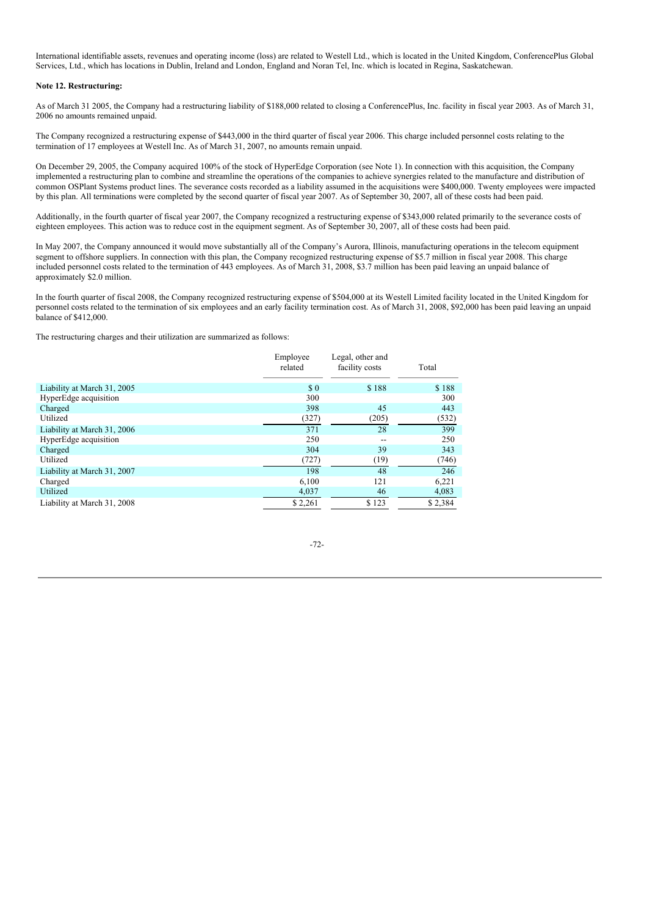International identifiable assets, revenues and operating income (loss) are related to Westell Ltd., which is located in the United Kingdom, ConferencePlus Global Services, Ltd., which has locations in Dublin, Ireland and London, England and Noran Tel, Inc. which is located in Regina, Saskatchewan.

#### **Note 12. Restructuring:**

As of March 31 2005, the Company had a restructuring liability of \$188,000 related to closing a ConferencePlus, Inc. facility in fiscal year 2003. As of March 31, 2006 no amounts remained unpaid.

The Company recognized a restructuring expense of \$443,000 in the third quarter of fiscal year 2006. This charge included personnel costs relating to the termination of 17 employees at Westell Inc. As of March 31, 2007, no amounts remain unpaid.

On December 29, 2005, the Company acquired 100% of the stock of HyperEdge Corporation (see Note 1). In connection with this acquisition, the Company implemented a restructuring plan to combine and streamline the operations of the companies to achieve synergies related to the manufacture and distribution of common OSPlant Systems product lines. The severance costs recorded as a liability assumed in the acquisitions were \$400,000. Twenty employees were impacted by this plan. All terminations were completed by the second quarter of fiscal year 2007. As of September 30, 2007, all of these costs had been paid.

Additionally, in the fourth quarter of fiscal year 2007, the Company recognized a restructuring expense of \$343,000 related primarily to the severance costs of eighteen employees. This action was to reduce cost in the equipment segment. As of September 30, 2007, all of these costs had been paid.

In May 2007, the Company announced it would move substantially all of the Company's Aurora, Illinois, manufacturing operations in the telecom equipment segment to offshore suppliers. In connection with this plan, the Company recognized restructuring expense of \$5.7 million in fiscal year 2008. This charge included personnel costs related to the termination of 443 employees. As of March 31, 2008, \$3.7 million has been paid leaving an unpaid balance of approximately \$2.0 million.

In the fourth quarter of fiscal 2008, the Company recognized restructuring expense of \$504,000 at its Westell Limited facility located in the United Kingdom for personnel costs related to the termination of six employees and an early facility termination cost. As of March 31, 2008, \$92,000 has been paid leaving an unpaid balance of \$412,000.

The restructuring charges and their utilization are summarized as follows:

|                             | Employee<br>related | Legal, other and<br>facility costs | Total   |
|-----------------------------|---------------------|------------------------------------|---------|
| Liability at March 31, 2005 | \$0                 | \$188                              | \$188   |
| HyperEdge acquisition       | 300                 |                                    | 300     |
| Charged                     | 398                 | 45                                 | 443     |
| Utilized                    | (327)               | (205)                              | (532)   |
| Liability at March 31, 2006 | 371                 | 28                                 | 399     |
| HyperEdge acquisition       | 250                 |                                    | 250     |
| Charged                     | 304                 | 39                                 | 343     |
| Utilized                    | (727)               | (19)                               | (746)   |
| Liability at March 31, 2007 | 198                 | 48                                 | 246     |
| Charged                     | 6,100               | 121                                | 6,221   |
| Utilized                    | 4,037               | 46                                 | 4,083   |
| Liability at March 31, 2008 | \$2,261             | \$123                              | \$2,384 |

-72-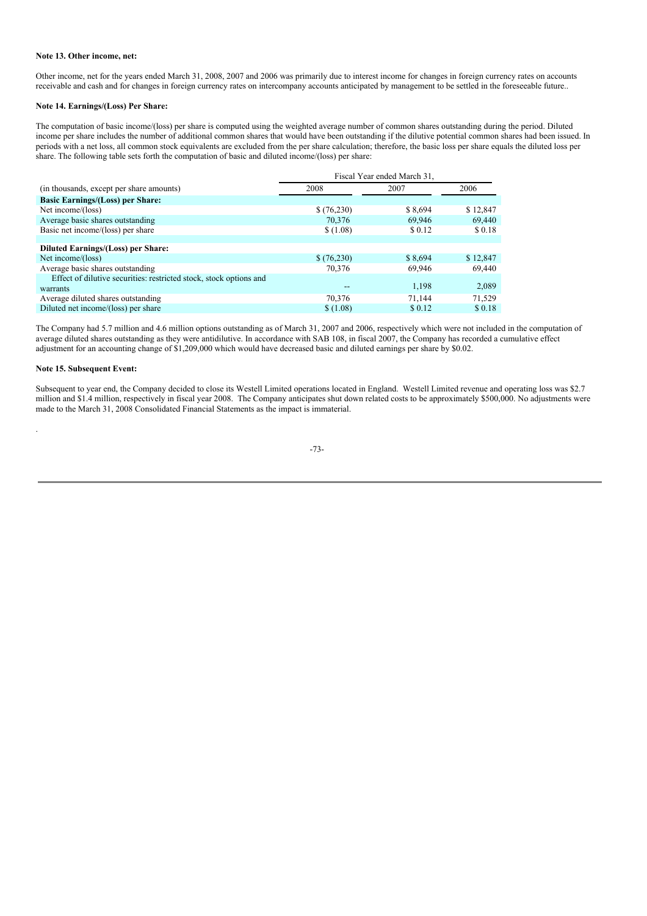### **Note 13. Other income, net:**

Other income, net for the years ended March 31, 2008, 2007 and 2006 was primarily due to interest income for changes in foreign currency rates on accounts receivable and cash and for changes in foreign currency rates on intercompany accounts anticipated by management to be settled in the foreseeable future..

#### **Note 14. Earnings/(Loss) Per Share:**

The computation of basic income/(loss) per share is computed using the weighted average number of common shares outstanding during the period. Diluted income per share includes the number of additional common shares that would have been outstanding if the dilutive potential common shares had been issued. In periods with a net loss, all common stock equivalents are excluded from the per share calculation; therefore, the basic loss per share equals the diluted loss per share. The following table sets forth the computation of basic and diluted income/(loss) per share:

|                                                                    | Fiscal Year ended March 31, |         |          |
|--------------------------------------------------------------------|-----------------------------|---------|----------|
| (in thousands, except per share amounts)                           | 2008                        | 2007    | 2006     |
| <b>Basic Earnings/(Loss) per Share:</b>                            |                             |         |          |
| Net income/(loss)                                                  | \$(76,230)                  | \$8,694 | \$12,847 |
| Average basic shares outstanding                                   | 70,376                      | 69,946  | 69,440   |
| Basic net income/(loss) per share                                  | \$(1.08)                    | \$ 0.12 | \$0.18   |
|                                                                    |                             |         |          |
| Diluted Earnings/(Loss) per Share:                                 |                             |         |          |
| Net income/(loss)                                                  | \$(76,230)                  | \$8.694 | \$12,847 |
| Average basic shares outstanding                                   | 70.376                      | 69,946  | 69,440   |
| Effect of dilutive securities: restricted stock, stock options and |                             |         |          |
| warrants                                                           |                             | 1,198   | 2,089    |
| Average diluted shares outstanding                                 | 70.376                      | 71.144  | 71,529   |
| Diluted net income/(loss) per share                                | \$(1.08)                    | \$0.12  | \$0.18   |

The Company had 5.7 million and 4.6 million options outstanding as of March 31, 2007 and 2006, respectively which were not included in the computation of average diluted shares outstanding as they were antidilutive. In accordance with SAB 108, in fiscal 2007, the Company has recorded a cumulative effect adjustment for an accounting change of \$1,209,000 which would have decreased basic and diluted earnings per share by \$0.02.

#### **Note 15. Subsequent Event:**

.

Subsequent to year end, the Company decided to close its Westell Limited operations located in England. Westell Limited revenue and operating loss was \$2.7 million and \$1.4 million, respectively in fiscal year 2008. The Company anticipates shut down related costs to be approximately \$500,000. No adjustments were made to the March 31, 2008 Consolidated Financial Statements as the impact is immaterial.

### -73-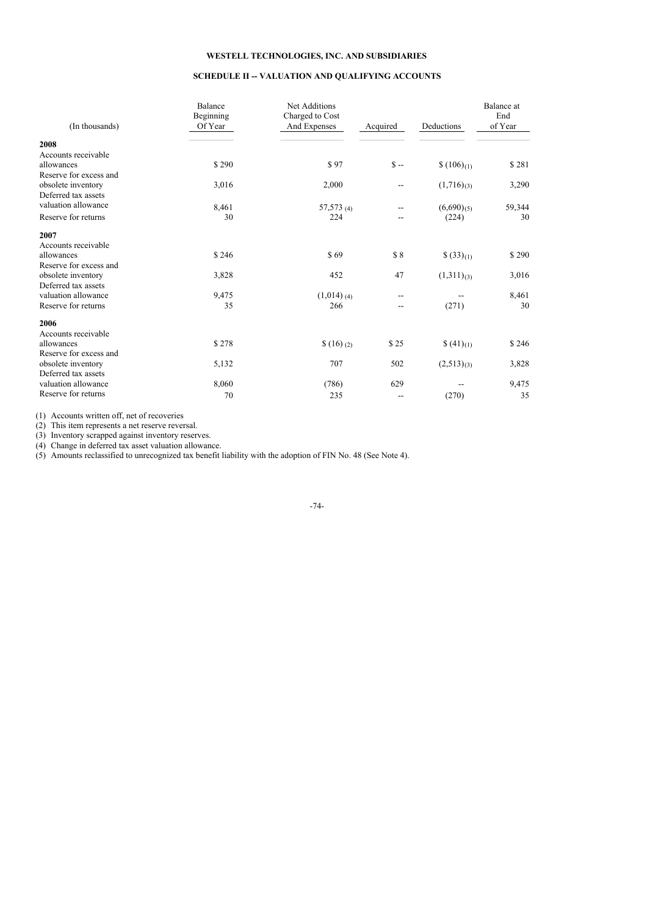# **WESTELL TECHNOLOGIES, INC. AND SUBSIDIARIES**

### **SCHEDULE II -- VALUATION AND QUALIFYING ACCOUNTS**

| (In thousands)         | Balance<br>Beginning<br>Of Year | <b>Net Additions</b><br>Charged to Cost<br>And Expenses | Acquired                 | Deductions               | Balance at<br>End<br>of Year |
|------------------------|---------------------------------|---------------------------------------------------------|--------------------------|--------------------------|------------------------------|
| 2008                   |                                 |                                                         |                          |                          |                              |
| Accounts receivable    |                                 |                                                         |                          |                          |                              |
| allowances             | \$290                           | \$97                                                    | $S -$                    | $(106)_{(1)}$            | \$281                        |
| Reserve for excess and |                                 |                                                         |                          |                          |                              |
| obsolete inventory     | 3,016                           | 2,000                                                   | $\overline{\phantom{a}}$ | $(1,716)_{(3)}$          | 3,290                        |
| Deferred tax assets    |                                 |                                                         |                          |                          |                              |
| valuation allowance    | 8,461                           | $57,573$ (4)                                            |                          | $(6,690)_{(5)}$          | 59,344                       |
| Reserve for returns    | 30                              | 224                                                     |                          | (224)                    | 30                           |
| 2007                   |                                 |                                                         |                          |                          |                              |
| Accounts receivable    |                                 |                                                         |                          |                          |                              |
| allowances             | \$246                           | \$69                                                    | \$8                      | (33)(1)                  | \$290                        |
| Reserve for excess and |                                 |                                                         |                          |                          |                              |
| obsolete inventory     | 3,828                           | 452                                                     | 47                       | $(1,311)$ <sub>(3)</sub> | 3,016                        |
| Deferred tax assets    |                                 |                                                         |                          |                          |                              |
| valuation allowance    | 9,475                           | $(1,014)$ (4)                                           | --                       |                          | 8,461                        |
| Reserve for returns    | 35                              | 266                                                     |                          | (271)                    | 30                           |
| 2006                   |                                 |                                                         |                          |                          |                              |
| Accounts receivable    |                                 |                                                         |                          |                          |                              |
| allowances             | \$278                           | $(16)$ (2)                                              | \$25                     | $(41)_{(1)}$             | \$246                        |
| Reserve for excess and |                                 |                                                         |                          |                          |                              |
| obsolete inventory     | 5,132                           | 707                                                     | 502                      | $(2,513)_{(3)}$          | 3,828                        |
| Deferred tax assets    |                                 |                                                         |                          |                          |                              |
| valuation allowance    | 8,060                           | (786)                                                   | 629                      |                          | 9,475                        |
| Reserve for returns    | 70                              | 235                                                     |                          | (270)                    | 35                           |

(1) Accounts written off, net of recoveries

(2) This item represents a net reserve reversal.

(3) Inventory scrapped against inventory reserves.

(4) Change in deferred tax asset valuation allowance.

(5) Amounts reclassified to unrecognized tax benefit liability with the adoption of FIN No. 48 (See Note 4).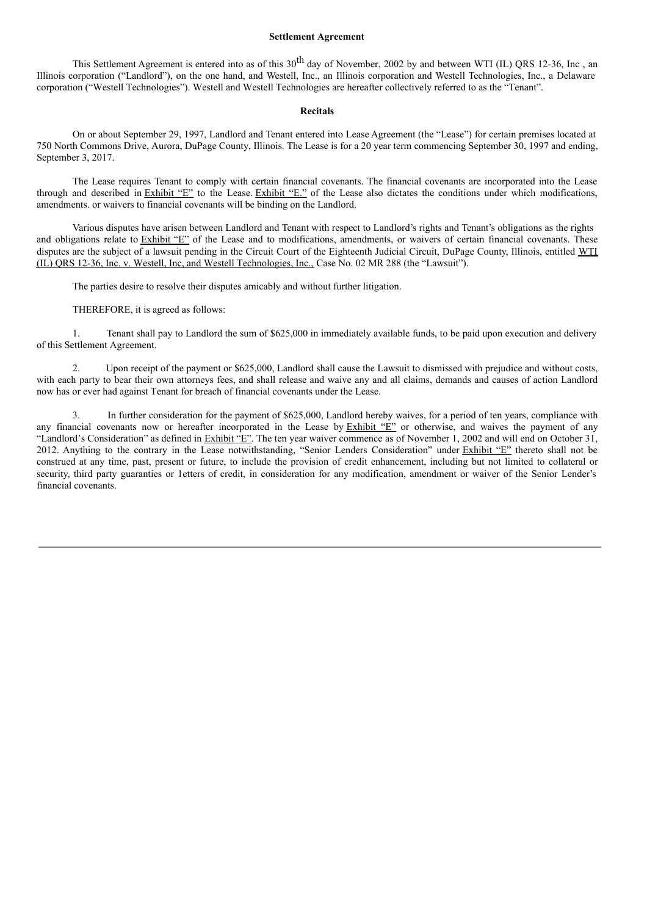### **Settlement Agreement**

This Settlement Agreement is entered into as of this  $30<sup>th</sup>$  day of November, 2002 by and between WTI (IL) QRS 12-36, Inc, an Illinois corporation ("Landlord"), on the one hand, and Westell, Inc., an Illinois corporation and Westell Technologies, Inc., a Delaware corporation ("Westell Technologies"). Westell and Westell Technologies are hereafter collectively referred to as the "Tenant".

#### **Recitals**

On or about September 29, 1997, Landlord and Tenant entered into Lease Agreement (the "Lease") for certain premises located at 750 North Commons Drive, Aurora, DuPage County, Illinois. The Lease is for a 20 year term commencing September 30, 1997 and ending, September 3, 2017.

The Lease requires Tenant to comply with certain financial covenants. The financial covenants are incorporated into the Lease through and described in Exhibit "E" to the Lease. Exhibit "E." of the Lease also dictates the conditions under which modifications, amendments. or waivers to financial covenants will be binding on the Landlord.

Various disputes have arisen between Landlord and Tenant with respect to Landlord's rights and Tenant's obligations as the rights and obligations relate to Exhibit "E" of the Lease and to modifications, amendments, or waivers of certain financial covenants. These disputes are the subject of a lawsuit pending in the Circuit Court of the Eighteenth Judicial Circuit, DuPage County, Illinois, entitled WTI (IL) QRS 12-36, Inc. v. Westell, Inc, and Westell Technologies, Inc., Case No. 02 MR 288 (the "Lawsuit").

The parties desire to resolve their disputes amicably and without further litigation.

THEREFORE, it is agreed as follows:

1. Tenant shall pay to Landlord the sum of \$625,000 in immediately available funds, to be paid upon execution and delivery of this Settlement Agreement.

2. Upon receipt of the payment or \$625,000, Landlord shall cause the Lawsuit to dismissed with prejudice and without costs, with each party to bear their own attorneys fees, and shall release and waive any and all claims, demands and causes of action Landlord now has or ever had against Tenant for breach of financial covenants under the Lease.

In further consideration for the payment of \$625,000, Landlord hereby waives, for a period of ten years, compliance with any financial covenants now or hereafter incorporated in the Lease by Exhibit "E" or otherwise, and waives the payment of any "Landlord's Consideration" as defined in Exhibit "E". The ten year waiver commence as of November 1, 2002 and will end on October 31, 2012. Anything to the contrary in the Lease notwithstanding, "Senior Lenders Consideration" under Exhibit "E" thereto shall not be construed at any time, past, present or future, to include the provision of credit enhancement, including but not limited to collateral or security, third party guaranties or 1etters of credit, in consideration for any modification, amendment or waiver of the Senior Lender's financial covenants.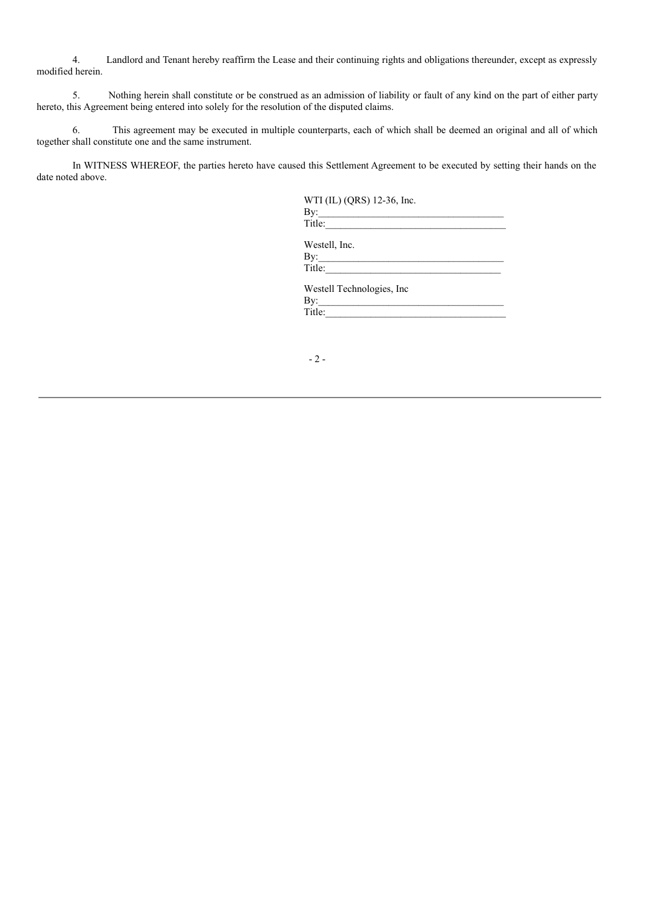4. Landlord and Tenant hereby reaffirm the Lease and their continuing rights and obligations thereunder, except as expressly modified herein.

5. Nothing herein shall constitute or be construed as an admission of liability or fault of any kind on the part of either party hereto, this Agreement being entered into solely for the resolution of the disputed claims.

6. This agreement may be executed in multiple counterparts, each of which shall be deemed an original and all of which together shall constitute one and the same instrument.

In WITNESS WHEREOF, the parties hereto have caused this Settlement Agreement to be executed by setting their hands on the date noted above.

WTI (IL) (QRS) 12-36, Inc.

| By: $\qquad \qquad$       |  |
|---------------------------|--|
| Title:                    |  |
| Westell, Inc.             |  |
| By: $\qquad \qquad$       |  |
|                           |  |
| Westell Technologies, Inc |  |
| By: $\qquad \qquad$       |  |
| Title:                    |  |

| ۰. |  |
|----|--|
|    |  |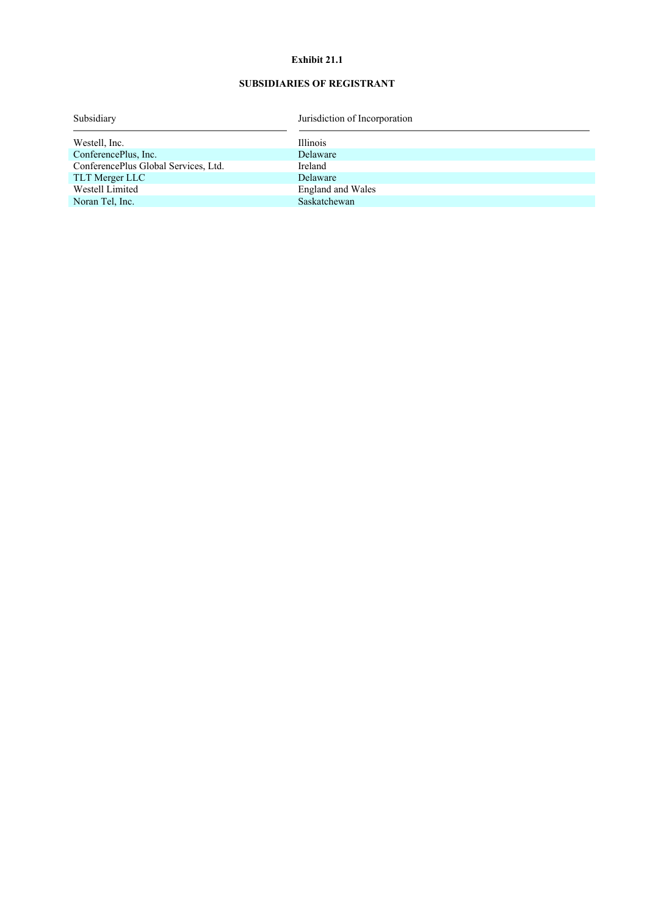# **Exhibit 21.1**

# **SUBSIDIARIES OF REGISTRANT**

| Subsidiary                           | Jurisdiction of Incorporation |  |  |
|--------------------------------------|-------------------------------|--|--|
| Westell, Inc.                        | <b>Illinois</b>               |  |  |
| ConferencePlus, Inc.                 | Delaware                      |  |  |
| ConferencePlus Global Services, Ltd. | Ireland                       |  |  |
| <b>TLT Merger LLC</b>                | Delaware                      |  |  |
| Westell Limited                      | England and Wales             |  |  |
| Noran Tel, Inc.                      | Saskatchewan                  |  |  |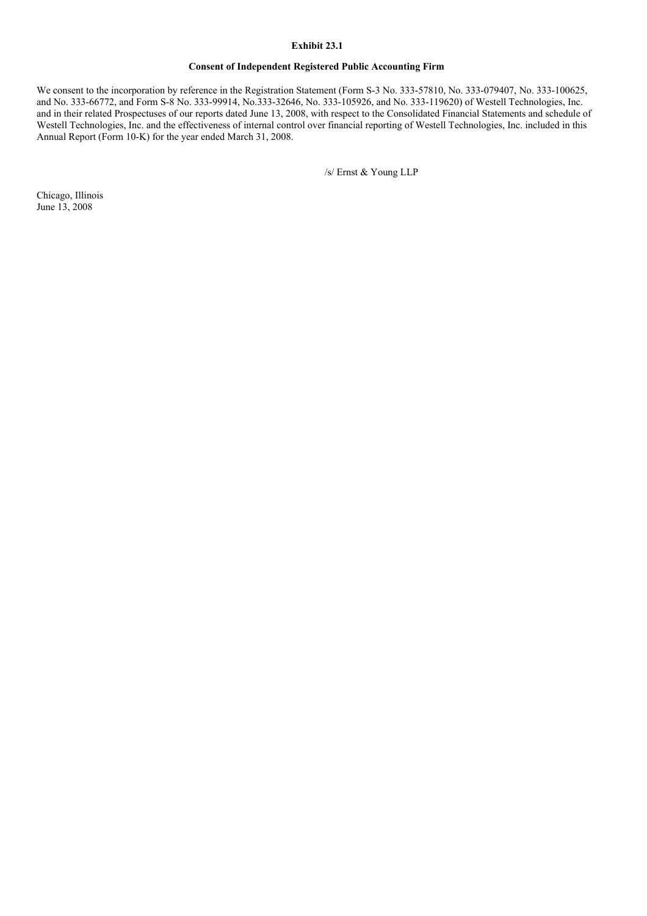## **Exhibit 23.1**

### **Consent of Independent Registered Public Accounting Firm**

We consent to the incorporation by reference in the Registration Statement (Form S-3 No. 333-57810, No. 333-079407, No. 333-100625, and No. 333-66772, and Form S-8 No. 333-99914, No.333-32646, No. 333-105926, and No. 333-119620) of Westell Technologies, Inc. and in their related Prospectuses of our reports dated June 13, 2008, with respect to the Consolidated Financial Statements and schedule of Westell Technologies, Inc. and the effectiveness of internal control over financial reporting of Westell Technologies, Inc. included in this Annual Report (Form 10-K) for the year ended March 31, 2008.

/s/ Ernst & Young LLP

Chicago, Illinois June 13, 2008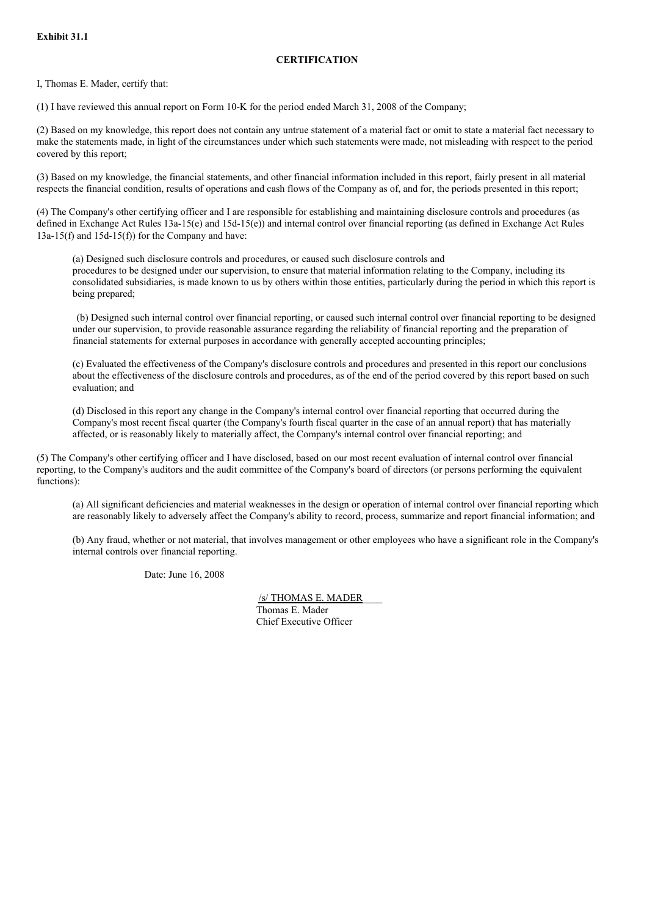# **CERTIFICATION**

I, Thomas E. Mader, certify that:

(1) I have reviewed this annual report on Form 10-K for the period ended March 31, 2008 of the Company;

(2) Based on my knowledge, this report does not contain any untrue statement of a material fact or omit to state a material fact necessary to make the statements made, in light of the circumstances under which such statements were made, not misleading with respect to the period covered by this report;

(3) Based on my knowledge, the financial statements, and other financial information included in this report, fairly present in all material respects the financial condition, results of operations and cash flows of the Company as of, and for, the periods presented in this report;

(4) The Company's other certifying officer and I are responsible for establishing and maintaining disclosure controls and procedures (as defined in Exchange Act Rules 13a-15(e) and 15d-15(e)) and internal control over financial reporting (as defined in Exchange Act Rules 13a-15(f) and 15d-15(f)) for the Company and have:

(a) Designed such disclosure controls and procedures, or caused such disclosure controls and procedures to be designed under our supervision, to ensure that material information relating to the Company, including its consolidated subsidiaries, is made known to us by others within those entities, particularly during the period in which this report is being prepared;

(b) Designed such internal control over financial reporting, or caused such internal control over financial reporting to be designed under our supervision, to provide reasonable assurance regarding the reliability of financial reporting and the preparation of financial statements for external purposes in accordance with generally accepted accounting principles;

(c) Evaluated the effectiveness of the Company's disclosure controls and procedures and presented in this report our conclusions about the effectiveness of the disclosure controls and procedures, as of the end of the period covered by this report based on such evaluation; and

(d) Disclosed in this report any change in the Company's internal control over financial reporting that occurred during the Company's most recent fiscal quarter (the Company's fourth fiscal quarter in the case of an annual report) that has materially affected, or is reasonably likely to materially affect, the Company's internal control over financial reporting; and

(5) The Company's other certifying officer and I have disclosed, based on our most recent evaluation of internal control over financial reporting, to the Company's auditors and the audit committee of the Company's board of directors (or persons performing the equivalent functions):

(a) All significant deficiencies and material weaknesses in the design or operation of internal control over financial reporting which are reasonably likely to adversely affect the Company's ability to record, process, summarize and report financial information; and

(b) Any fraud, whether or not material, that involves management or other employees who have a significant role in the Company's internal controls over financial reporting.

Date: June 16, 2008

/s/ THOMAS E. MADER\_\_\_\_ Thomas E. Mader Chief Executive Officer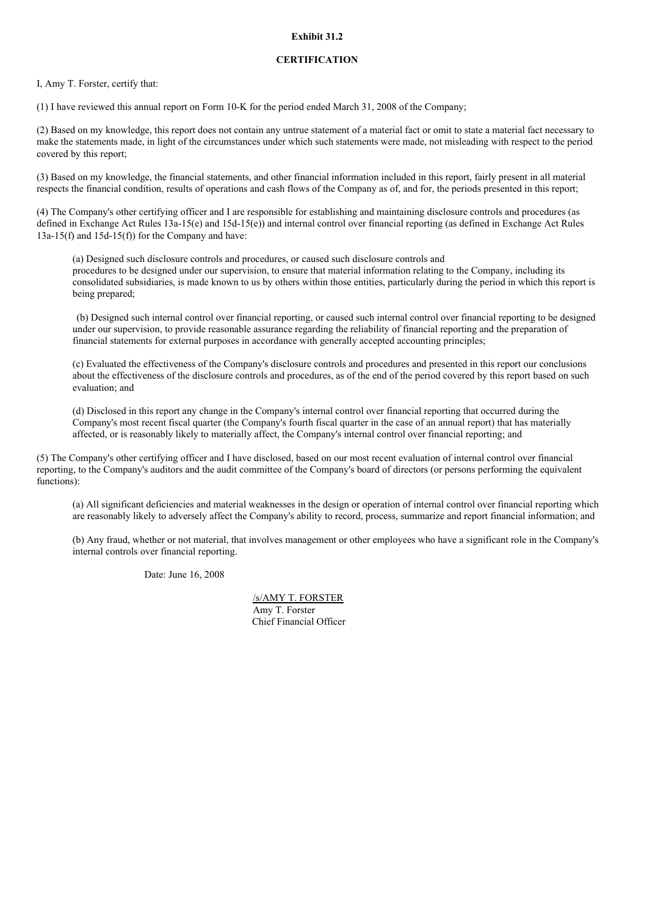### **Exhibit 31.2**

# **CERTIFICATION**

I, Amy T. Forster, certify that:

(1) I have reviewed this annual report on Form 10-K for the period ended March 31, 2008 of the Company;

(2) Based on my knowledge, this report does not contain any untrue statement of a material fact or omit to state a material fact necessary to make the statements made, in light of the circumstances under which such statements were made, not misleading with respect to the period covered by this report;

(3) Based on my knowledge, the financial statements, and other financial information included in this report, fairly present in all material respects the financial condition, results of operations and cash flows of the Company as of, and for, the periods presented in this report;

(4) The Company's other certifying officer and I are responsible for establishing and maintaining disclosure controls and procedures (as defined in Exchange Act Rules 13a-15(e) and 15d-15(e)) and internal control over financial reporting (as defined in Exchange Act Rules 13a-15(f) and 15d-15(f)) for the Company and have:

(a) Designed such disclosure controls and procedures, or caused such disclosure controls and procedures to be designed under our supervision, to ensure that material information relating to the Company, including its consolidated subsidiaries, is made known to us by others within those entities, particularly during the period in which this report is being prepared;

(b) Designed such internal control over financial reporting, or caused such internal control over financial reporting to be designed under our supervision, to provide reasonable assurance regarding the reliability of financial reporting and the preparation of financial statements for external purposes in accordance with generally accepted accounting principles;

(c) Evaluated the effectiveness of the Company's disclosure controls and procedures and presented in this report our conclusions about the effectiveness of the disclosure controls and procedures, as of the end of the period covered by this report based on such evaluation; and

(d) Disclosed in this report any change in the Company's internal control over financial reporting that occurred during the Company's most recent fiscal quarter (the Company's fourth fiscal quarter in the case of an annual report) that has materially affected, or is reasonably likely to materially affect, the Company's internal control over financial reporting; and

(5) The Company's other certifying officer and I have disclosed, based on our most recent evaluation of internal control over financial reporting, to the Company's auditors and the audit committee of the Company's board of directors (or persons performing the equivalent functions):

(a) All significant deficiencies and material weaknesses in the design or operation of internal control over financial reporting which are reasonably likely to adversely affect the Company's ability to record, process, summarize and report financial information; and

(b) Any fraud, whether or not material, that involves management or other employees who have a significant role in the Company's internal controls over financial reporting.

Date: June 16, 2008

/s/AMY T. FORSTER Amy T. Forster Chief Financial Officer